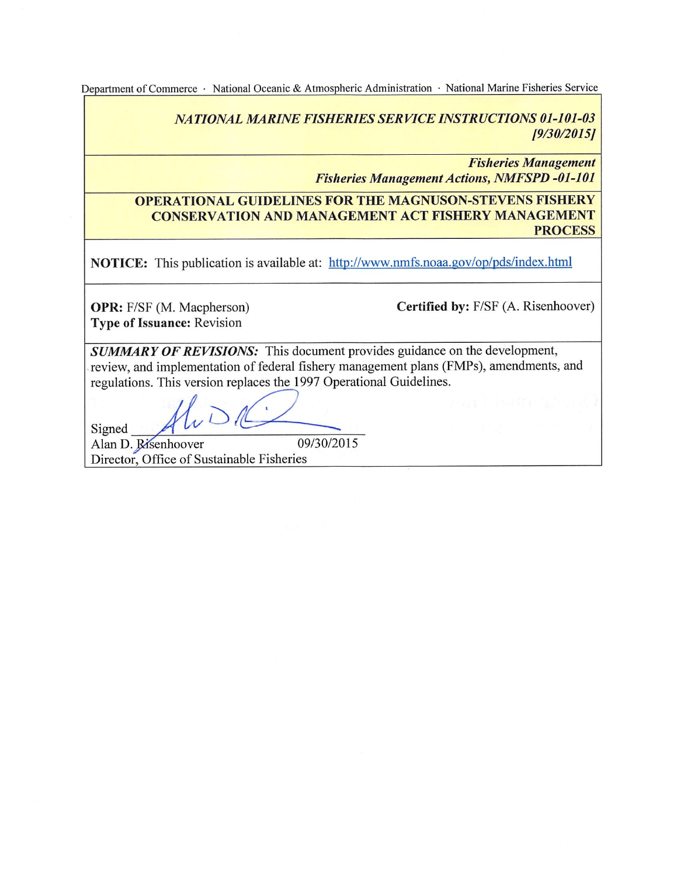Informational Report 6 Electronic Only November 2015

Department of Commerce · National Oceanic & Atmospheric Administration · National Marine Fisheries Service

**NATIONAL MARINE FISHERIES SERVICE INSTRUCTIONS 01-101-03**  $[9/30/2015]$ 

> **Fisheries Management Fisheries Management Actions, NMFSPD -01-101**

#### **OPERATIONAL GUIDELINES FOR THE MAGNUSON-STEVENS FISHERY CONSERVATION AND MANAGEMENT ACT FISHERY MANAGEMENT PROCESS**

NOTICE: This publication is available at: http://www.nmfs.noaa.gov/op/pds/index.html

**OPR:** F/SF (M. Macpherson) **Type of Issuance: Revision** 

Certified by: F/SF (A. Risenhoover)

**SUMMARY OF REVISIONS:** This document provides guidance on the development, review, and implementation of federal fishery management plans (FMPs), amendments, and regulations. This version replaces the 1997 Operational Guidelines.

Signed 09/30/2015

Alan D. Risenhoover Director, Office of Sustainable Fisheries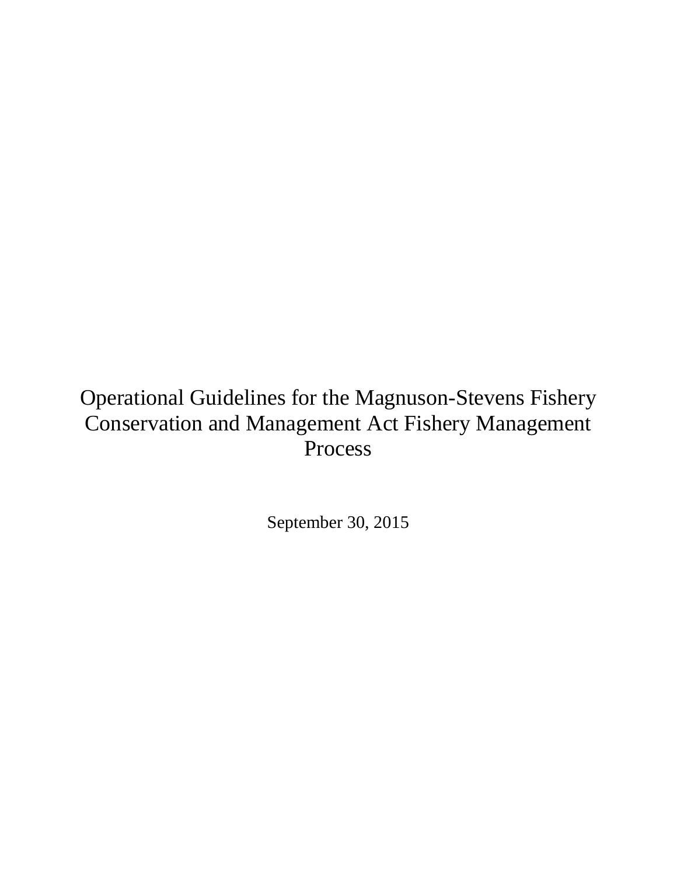# Operational Guidelines for the Magnuson-Stevens Fishery Conservation and Management Act Fishery Management Process

September 30, 2015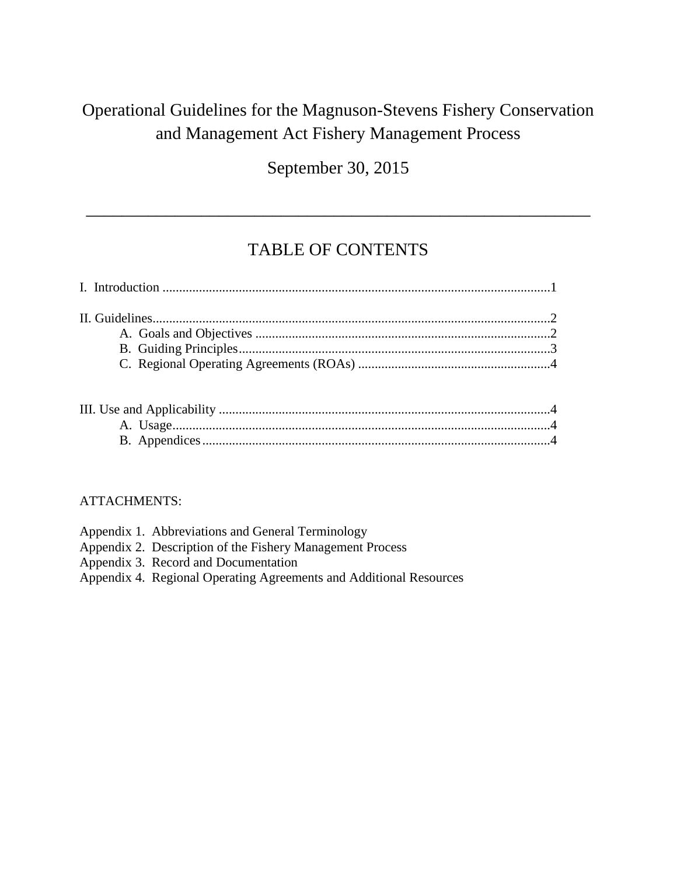# Operational Guidelines for the Magnuson-Stevens Fishery Conservation and Management Act Fishery Management Process

September 30, 2015

### TABLE OF CONTENTS

\_\_\_\_\_\_\_\_\_\_\_\_\_\_\_\_\_\_\_\_\_\_\_\_\_\_\_\_\_\_\_\_\_\_\_\_\_\_\_\_\_\_\_\_\_\_\_\_\_\_\_\_\_\_\_\_\_

#### ATTACHMENTS:

| Appendix 1. Abbreviations and General Terminology                  |
|--------------------------------------------------------------------|
| Appendix 2. Description of the Fishery Management Process          |
| Appendix 3. Record and Documentation                               |
| Appendix 4. Regional Operating Agreements and Additional Resources |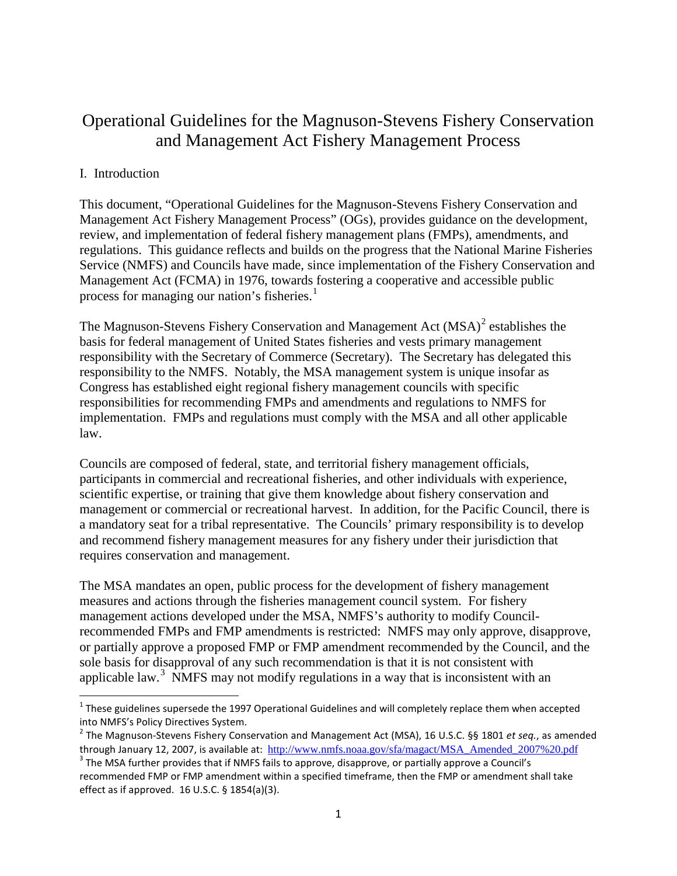### Operational Guidelines for the Magnuson-Stevens Fishery Conservation and Management Act Fishery Management Process

#### I. Introduction

This document, "Operational Guidelines for the Magnuson-Stevens Fishery Conservation and Management Act Fishery Management Process" (OGs), provides guidance on the development, review, and implementation of federal fishery management plans (FMPs), amendments, and regulations. This guidance reflects and builds on the progress that the National Marine Fisheries Service (NMFS) and Councils have made, since implementation of the Fishery Conservation and Management Act (FCMA) in 1976, towards fostering a cooperative and accessible public process for managing our nation's fisheries.<sup>[1](#page-3-0)</sup>

The Magnuson-Stevens Fishery Conservation and Management Act  $(MSA)^2$  $(MSA)^2$  establishes the basis for federal management of United States fisheries and vests primary management responsibility with the Secretary of Commerce (Secretary). The Secretary has delegated this responsibility to the NMFS. Notably, the MSA management system is unique insofar as Congress has established eight regional fishery management councils with specific responsibilities for recommending FMPs and amendments and regulations to NMFS for implementation. FMPs and regulations must comply with the MSA and all other applicable law.

Councils are composed of federal, state, and territorial fishery management officials, participants in commercial and recreational fisheries, and other individuals with experience, scientific expertise, or training that give them knowledge about fishery conservation and management or commercial or recreational harvest. In addition, for the Pacific Council, there is a mandatory seat for a tribal representative. The Councils' primary responsibility is to develop and recommend fishery management measures for any fishery under their jurisdiction that requires conservation and management.

The MSA mandates an open, public process for the development of fishery management measures and actions through the fisheries management council system. For fishery management actions developed under the MSA, NMFS's authority to modify Councilrecommended FMPs and FMP amendments is restricted: NMFS may only approve, disapprove, or partially approve a proposed FMP or FMP amendment recommended by the Council, and the sole basis for disapproval of any such recommendation is that it is not consistent with applicable law.<sup>[3](#page-3-2)</sup> NMFS may not modify regulations in a way that is inconsistent with an

<span id="page-3-0"></span> $1$  These guidelines supersede the 1997 Operational Guidelines and will completely replace them when accepted into NMFS's Policy Directives System.

<span id="page-3-1"></span><sup>&</sup>lt;sup>2</sup> The Magnuson-Stevens Fishery Conservation and Management Act (MSA), 16 U.S.C. §§ 1801 et seq., as amended

<span id="page-3-2"></span>through January 12, 2007, is available at: [http://www.nmfs.noaa.gov/sfa/magact/MSA\\_Amended\\_2007%20.pdf](http://www.nmfs.noaa.gov/sfa/magact/MSA_Amended_2007%20.pdf) <sup>3</sup> The MSA further provides that if NMFS fails to approve, disapprove, or partially approve a Council's recommended FMP or FMP amendment within a specified timeframe, then the FMP or amendment shall take effect as if approved. 16 U.S.C. § 1854(a)(3).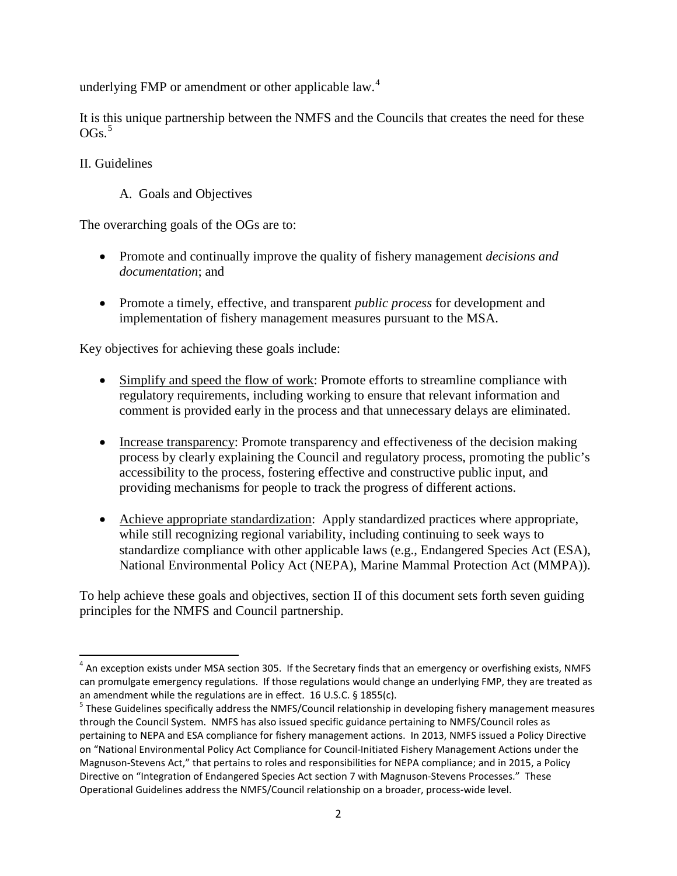underlying FMP or amendment or other applicable law.<sup>[4](#page-4-0)</sup>

It is this unique partnership between the NMFS and the Councils that creates the need for these OGs. [5](#page-4-1)

#### II. Guidelines

A. Goals and Objectives

The overarching goals of the OGs are to:

- Promote and continually improve the quality of fishery management *decisions and documentation*; and
- Promote a timely, effective, and transparent *public process* for development and implementation of fishery management measures pursuant to the MSA.

Key objectives for achieving these goals include:

- Simplify and speed the flow of work: Promote efforts to streamline compliance with regulatory requirements, including working to ensure that relevant information and comment is provided early in the process and that unnecessary delays are eliminated.
- Increase transparency: Promote transparency and effectiveness of the decision making process by clearly explaining the Council and regulatory process, promoting the public's accessibility to the process, fostering effective and constructive public input, and providing mechanisms for people to track the progress of different actions.
- Achieve appropriate standardization: Apply standardized practices where appropriate, while still recognizing regional variability, including continuing to seek ways to standardize compliance with other applicable laws (e.g., Endangered Species Act (ESA), National Environmental Policy Act (NEPA), Marine Mammal Protection Act (MMPA)).

To help achieve these goals and objectives, section II of this document sets forth seven guiding principles for the NMFS and Council partnership.

<span id="page-4-0"></span> $4$  An exception exists under MSA section 305. If the Secretary finds that an emergency or overfishing exists, NMFS can promulgate emergency regulations. If those regulations would change an underlying FMP, they are treated as an amendment while the regulations are in effect. 16 U.S.C. § 1855(c).<br><sup>5</sup> These Guidelines specifically address the NMFS/Council relationship in developing fishery management measures

<span id="page-4-1"></span>through the Council System. NMFS has also issued specific guidance pertaining to NMFS/Council roles as pertaining to NEPA and ESA compliance for fishery management actions. In 2013, NMFS issued a Policy Directive on "National Environmental Policy Act Compliance for Council-Initiated Fishery Management Actions under the Magnuson-Stevens Act," that pertains to roles and responsibilities for NEPA compliance; and in 2015, a Policy Directive on "Integration of Endangered Species Act section 7 with Magnuson-Stevens Processes." These Operational Guidelines address the NMFS/Council relationship on a broader, process-wide level.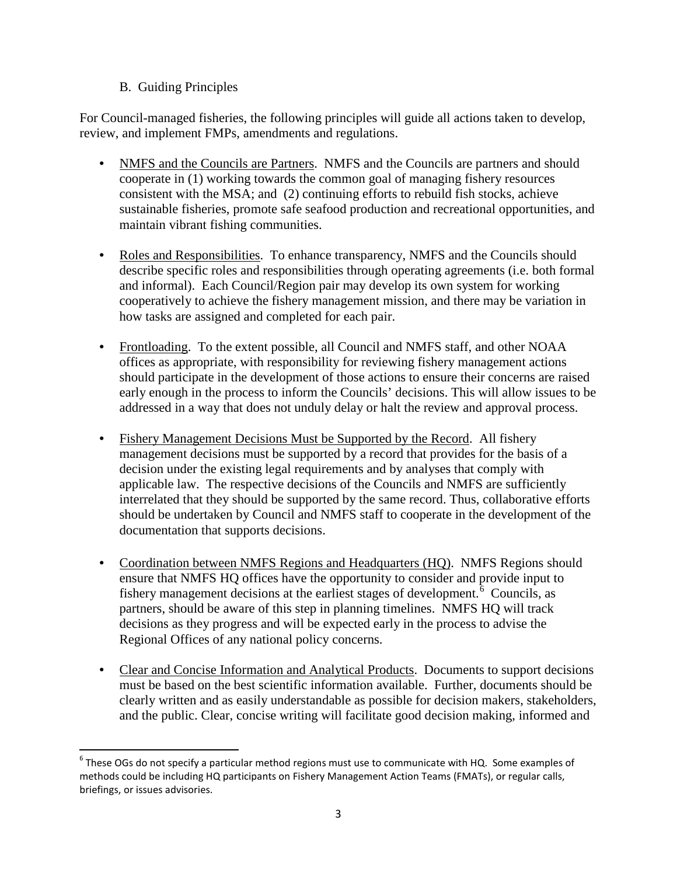#### B. Guiding Principles

For Council-managed fisheries, the following principles will guide all actions taken to develop, review, and implement FMPs, amendments and regulations.

- NMFS and the Councils are Partners. NMFS and the Councils are partners and should cooperate in (1) working towards the common goal of managing fishery resources consistent with the MSA; and (2) continuing efforts to rebuild fish stocks, achieve sustainable fisheries, promote safe seafood production and recreational opportunities, and maintain vibrant fishing communities.
- Roles and Responsibilities. To enhance transparency, NMFS and the Councils should describe specific roles and responsibilities through operating agreements (i.e. both formal and informal). Each Council/Region pair may develop its own system for working cooperatively to achieve the fishery management mission, and there may be variation in how tasks are assigned and completed for each pair.
- Frontloading. To the extent possible, all Council and NMFS staff, and other NOAA offices as appropriate, with responsibility for reviewing fishery management actions should participate in the development of those actions to ensure their concerns are raised early enough in the process to inform the Councils' decisions. This will allow issues to be addressed in a way that does not unduly delay or halt the review and approval process.
- Fishery Management Decisions Must be Supported by the Record. All fishery management decisions must be supported by a record that provides for the basis of a decision under the existing legal requirements and by analyses that comply with applicable law. The respective decisions of the Councils and NMFS are sufficiently interrelated that they should be supported by the same record. Thus, collaborative efforts should be undertaken by Council and NMFS staff to cooperate in the development of the documentation that supports decisions.
- Coordination between NMFS Regions and Headquarters (HQ). NMFS Regions should ensure that NMFS HQ offices have the opportunity to consider and provide input to fishery management decisions at the earliest stages of development.<sup> $6$ </sup> Councils, as partners, should be aware of this step in planning timelines. NMFS HQ will track decisions as they progress and will be expected early in the process to advise the Regional Offices of any national policy concerns.
- Clear and Concise Information and Analytical Products. Documents to support decisions must be based on the best scientific information available. Further, documents should be clearly written and as easily understandable as possible for decision makers, stakeholders, and the public. Clear, concise writing will facilitate good decision making, informed and

<span id="page-5-0"></span> $6$  These OGs do not specify a particular method regions must use to communicate with HQ. Some examples of methods could be including HQ participants on Fishery Management Action Teams (FMATs), or regular calls, briefings, or issues advisories.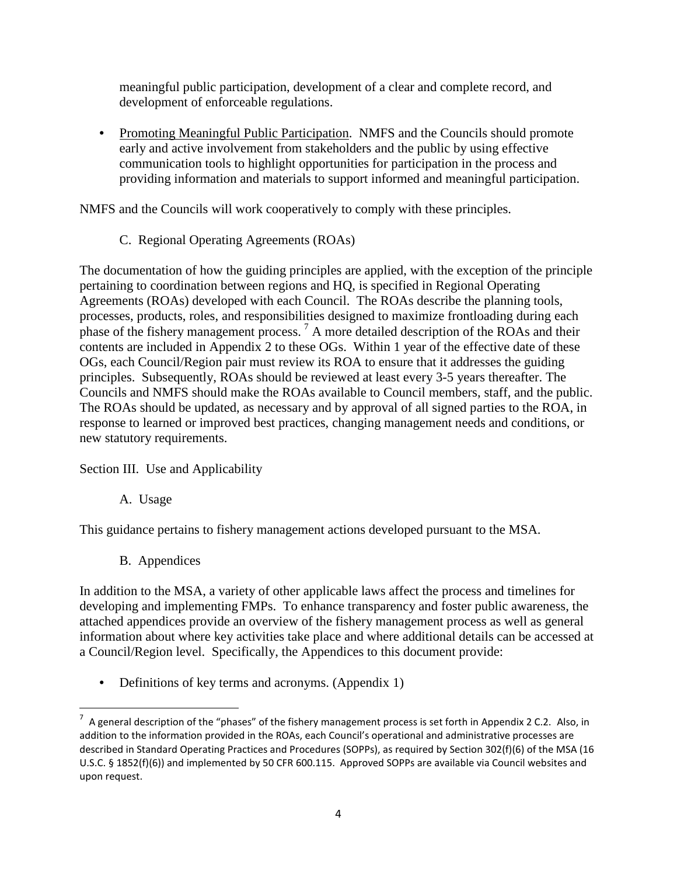meaningful public participation, development of a clear and complete record, and development of enforceable regulations.

• Promoting Meaningful Public Participation. NMFS and the Councils should promote early and active involvement from stakeholders and the public by using effective communication tools to highlight opportunities for participation in the process and providing information and materials to support informed and meaningful participation.

NMFS and the Councils will work cooperatively to comply with these principles.

C. Regional Operating Agreements (ROAs)

The documentation of how the guiding principles are applied, with the exception of the principle pertaining to coordination between regions and HQ, is specified in Regional Operating Agreements (ROAs) developed with each Council. The ROAs describe the planning tools, processes, products, roles, and responsibilities designed to maximize frontloading during each phase of the fishery management process. [7](#page-6-0) A more detailed description of the ROAs and their contents are included in Appendix 2 to these OGs. Within 1 year of the effective date of these OGs, each Council/Region pair must review its ROA to ensure that it addresses the guiding principles. Subsequently, ROAs should be reviewed at least every 3-5 years thereafter. The Councils and NMFS should make the ROAs available to Council members, staff, and the public. The ROAs should be updated, as necessary and by approval of all signed parties to the ROA, in response to learned or improved best practices, changing management needs and conditions, or new statutory requirements.

Section III. Use and Applicability

A. Usage

This guidance pertains to fishery management actions developed pursuant to the MSA.

B. Appendices

In addition to the MSA, a variety of other applicable laws affect the process and timelines for developing and implementing FMPs. To enhance transparency and foster public awareness, the attached appendices provide an overview of the fishery management process as well as general information about where key activities take place and where additional details can be accessed at a Council/Region level. Specifically, the Appendices to this document provide:

• Definitions of key terms and acronyms. (Appendix 1)

<span id="page-6-0"></span><sup>-&</sup>lt;br>7  $^7$  A general description of the "phases" of the fishery management process is set forth in Appendix 2 C.2. Also, in addition to the information provided in the ROAs, each Council's operational and administrative processes are described in Standard Operating Practices and Procedures (SOPPs), as required by Section 302(f)(6) of the MSA (16 U.S.C. § 1852(f)(6)) and implemented by 50 CFR 600.115. Approved SOPPs are available via Council websites and upon request.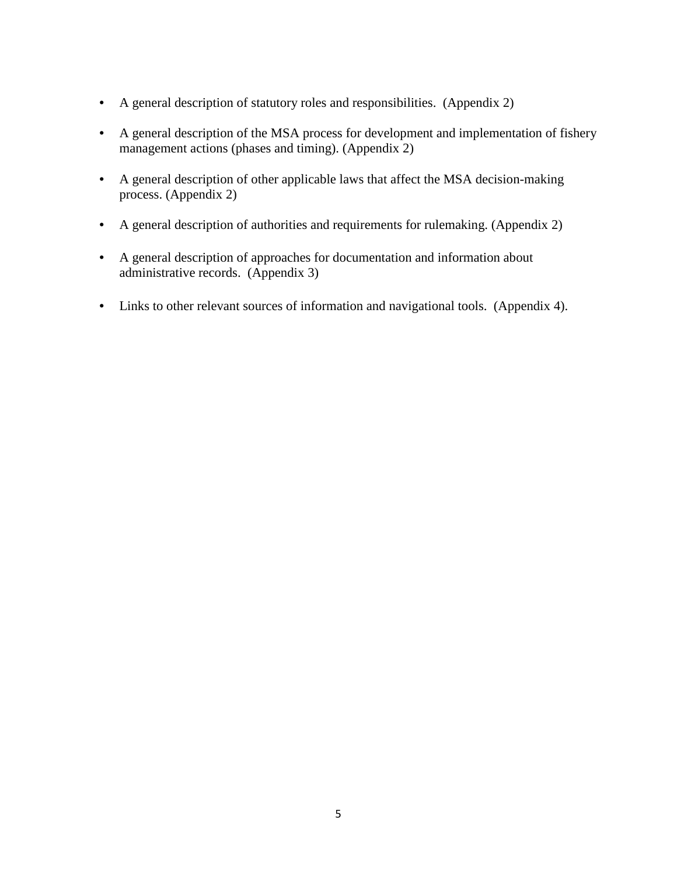- A general description of statutory roles and responsibilities. (Appendix 2)
- A general description of the MSA process for development and implementation of fishery management actions (phases and timing). (Appendix 2)
- A general description of other applicable laws that affect the MSA decision-making process. (Appendix 2)
- A general description of authorities and requirements for rulemaking. (Appendix 2)
- A general description of approaches for documentation and information about administrative records. (Appendix 3)
- Links to other relevant sources of information and navigational tools. (Appendix 4).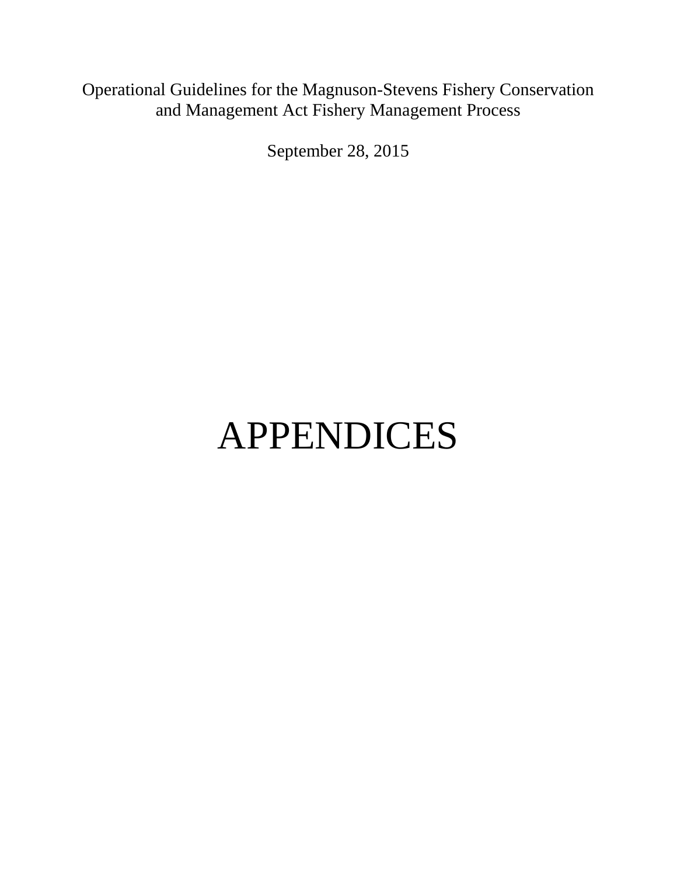# Operational Guidelines for the Magnuson-Stevens Fishery Conservation and Management Act Fishery Management Process

September 28, 2015

# APPENDICES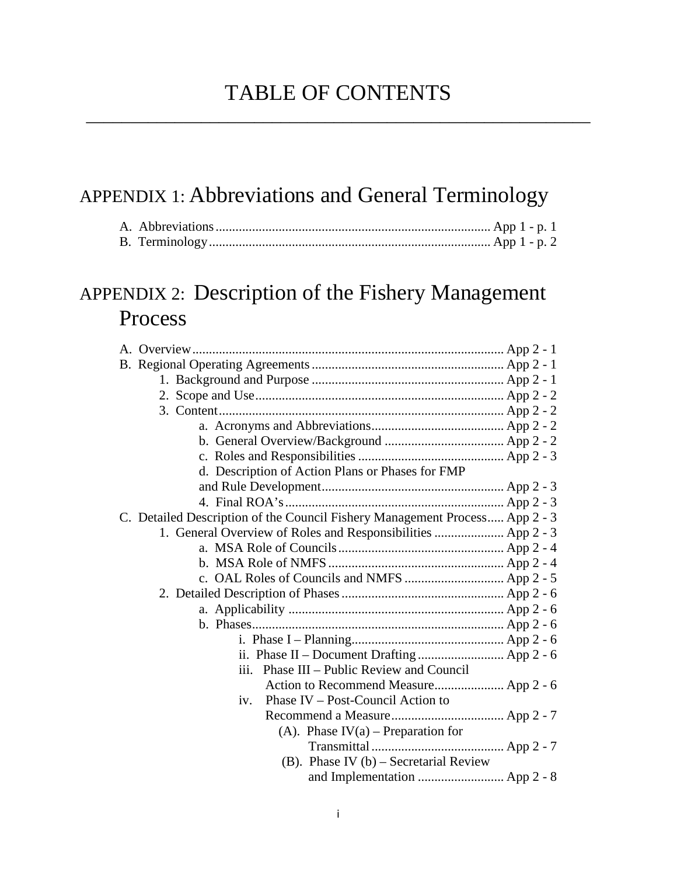\_\_\_\_\_\_\_\_\_\_\_\_\_\_\_\_\_\_\_\_\_\_\_\_\_\_\_\_\_\_\_\_\_\_\_\_\_\_\_\_\_\_\_\_\_\_\_\_\_\_\_\_\_\_\_\_\_

# APPENDIX 1: Abbreviations and General Terminology

# APPENDIX 2: Description of the Fishery Management Process

| d. Description of Action Plans or Phases for FMP                            |  |
|-----------------------------------------------------------------------------|--|
|                                                                             |  |
|                                                                             |  |
| C. Detailed Description of the Council Fishery Management Process App 2 - 3 |  |
| 1. General Overview of Roles and Responsibilities  App 2 - 3                |  |
|                                                                             |  |
|                                                                             |  |
|                                                                             |  |
|                                                                             |  |
|                                                                             |  |
|                                                                             |  |
|                                                                             |  |
|                                                                             |  |
| Phase III – Public Review and Council<br>$\overline{111}$ .                 |  |
| Action to Recommend Measure App 2 - 6                                       |  |
| Phase IV – Post-Council Action to<br>iv.                                    |  |
|                                                                             |  |
| (A). Phase $IV(a)$ – Preparation for                                        |  |
|                                                                             |  |
| (B). Phase IV $(b)$ – Secretarial Review                                    |  |
|                                                                             |  |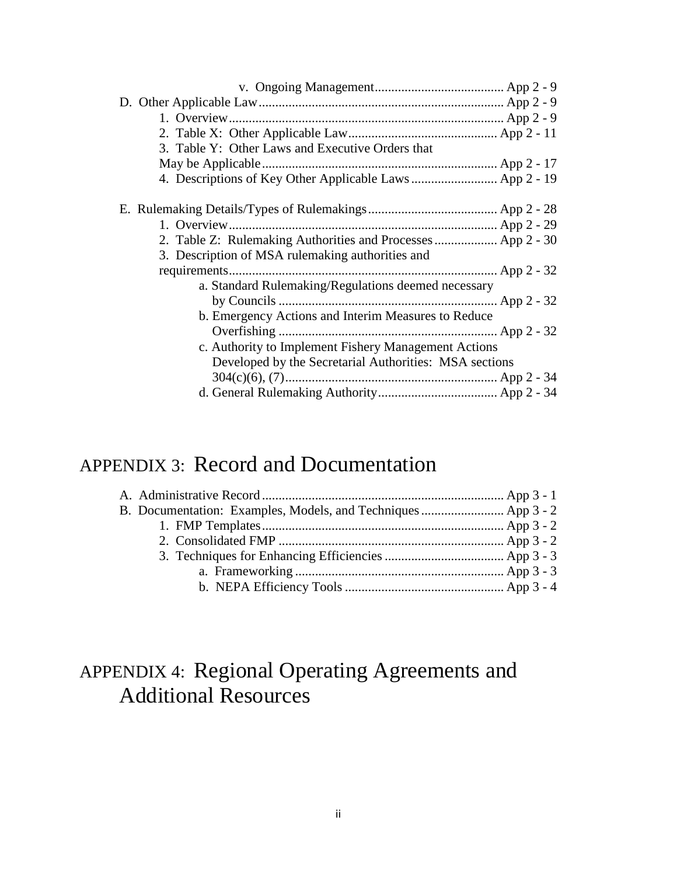| 3. Table Y: Other Laws and Executive Orders that            |  |
|-------------------------------------------------------------|--|
|                                                             |  |
|                                                             |  |
|                                                             |  |
|                                                             |  |
| 2. Table Z: Rulemaking Authorities and Processes App 2 - 30 |  |
| 3. Description of MSA rulemaking authorities and            |  |
|                                                             |  |
| a. Standard Rulemaking/Regulations deemed necessary         |  |
|                                                             |  |
| b. Emergency Actions and Interim Measures to Reduce         |  |
|                                                             |  |
| c. Authority to Implement Fishery Management Actions        |  |
| Developed by the Secretarial Authorities: MSA sections      |  |
|                                                             |  |
|                                                             |  |

# APPENDIX 3: Record and Documentation

| B. Documentation: Examples, Models, and Techniques  App 3 - 2 |  |
|---------------------------------------------------------------|--|
|                                                               |  |
|                                                               |  |
|                                                               |  |
|                                                               |  |
|                                                               |  |

# APPENDIX 4: Regional Operating Agreements and Additional Resources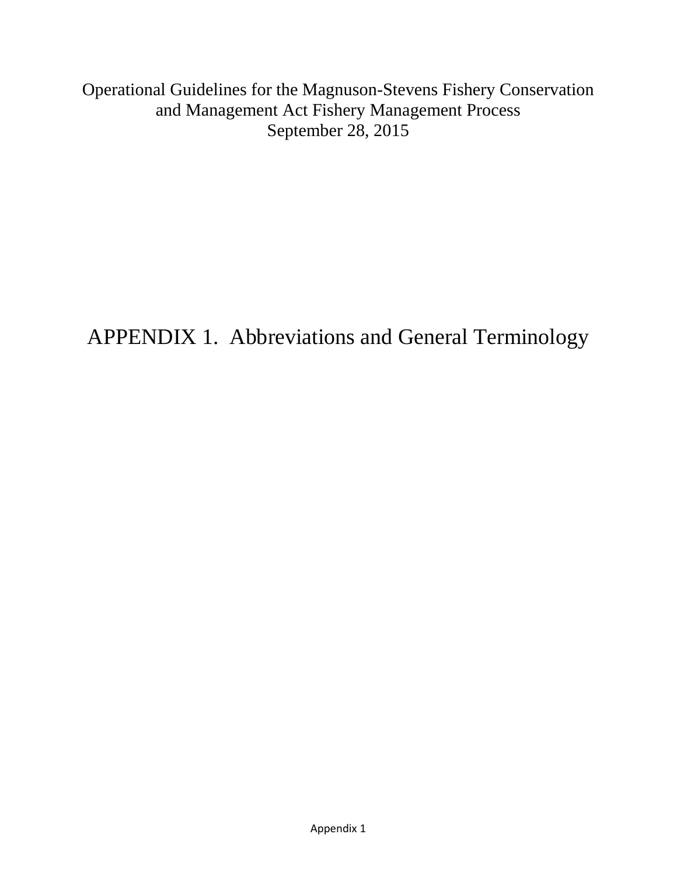Operational Guidelines for the Magnuson-Stevens Fishery Conservation and Management Act Fishery Management Process September 28, 2015

APPENDIX 1. Abbreviations and General Terminology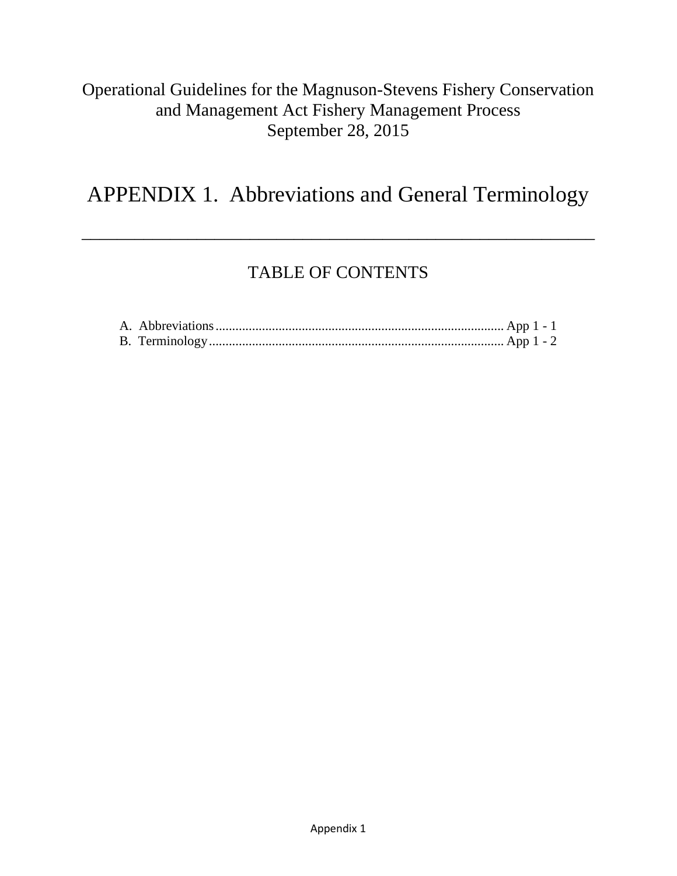### Operational Guidelines for the Magnuson-Stevens Fishery Conservation and Management Act Fishery Management Process September 28, 2015

# APPENDIX 1. Abbreviations and General Terminology

\_\_\_\_\_\_\_\_\_\_\_\_\_\_\_\_\_\_\_\_\_\_\_\_\_\_\_\_\_\_\_\_\_\_\_\_\_\_\_\_\_\_\_\_\_\_\_\_\_\_\_\_\_\_\_\_\_\_

# TABLE OF CONTENTS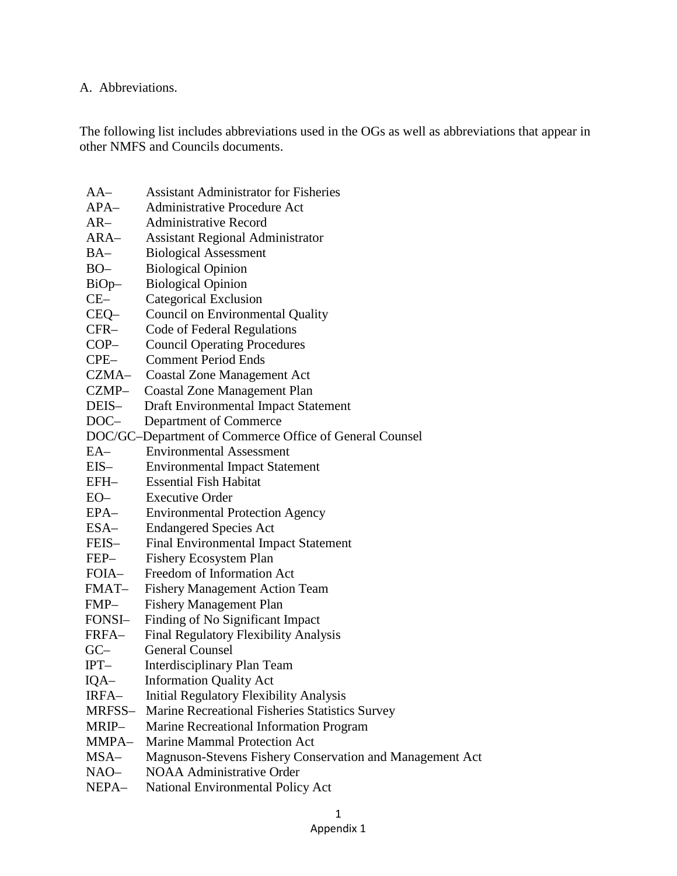#### A. Abbreviations.

The following list includes abbreviations used in the OGs as well as abbreviations that appear in other NMFS and Councils documents.

| $AA-$         | <b>Assistant Administrator for Fisheries</b>             |
|---------------|----------------------------------------------------------|
| $APA-$        | <b>Administrative Procedure Act</b>                      |
| $AR-$         | <b>Administrative Record</b>                             |
| $ARA-$        | Assistant Regional Administrator                         |
| $BA-$         | <b>Biological Assessment</b>                             |
| $BO-$         | <b>Biological Opinion</b>                                |
| BiOp-         | <b>Biological Opinion</b>                                |
| $CE-$         | <b>Categorical Exclusion</b>                             |
| CEQ-          | Council on Environmental Quality                         |
| $CFR-$        | Code of Federal Regulations                              |
| $COP-$        | <b>Council Operating Procedures</b>                      |
| $CPE-$        | <b>Comment Period Ends</b>                               |
| CZMA-         | <b>Coastal Zone Management Act</b>                       |
| CZMP-         | <b>Coastal Zone Management Plan</b>                      |
| DEIS-         | <b>Draft Environmental Impact Statement</b>              |
| $DOC-$        | Department of Commerce                                   |
|               | DOC/GC-Department of Commerce Office of General Counsel  |
| $EA-$         | <b>Environmental Assessment</b>                          |
| $EIS-$        | <b>Environmental Impact Statement</b>                    |
| EFH-          | <b>Essential Fish Habitat</b>                            |
| $EO-$         | <b>Executive Order</b>                                   |
| EPA-          | <b>Environmental Protection Agency</b>                   |
| ESA-          | <b>Endangered Species Act</b>                            |
| FEIS-         | Final Environmental Impact Statement                     |
| FEP-          | <b>Fishery Ecosystem Plan</b>                            |
| FOIA-         | Freedom of Information Act                               |
| FMAT–         | <b>Fishery Management Action Team</b>                    |
| FMP-          | <b>Fishery Management Plan</b>                           |
| FONSI–        | Finding of No Significant Impact                         |
| FRFA–         | Final Regulatory Flexibility Analysis                    |
| $GC-$         | <b>General Counsel</b>                                   |
| $IPT-$        | Interdisciplinary Plan Team                              |
| IQA-          | <b>Information Quality Act</b>                           |
| IRFA-         | <b>Initial Regulatory Flexibility Analysis</b>           |
| MRFSS-        | Marine Recreational Fisheries Statistics Survey          |
| MRIP-         | Marine Recreational Information Program                  |
| MMPA-         | Marine Mammal Protection Act                             |
| MSA–          | Magnuson-Stevens Fishery Conservation and Management Act |
| $NAO-$        | <b>NOAA Administrative Order</b>                         |
| <b>NIED A</b> | Motional Environmental Doliary Act                       |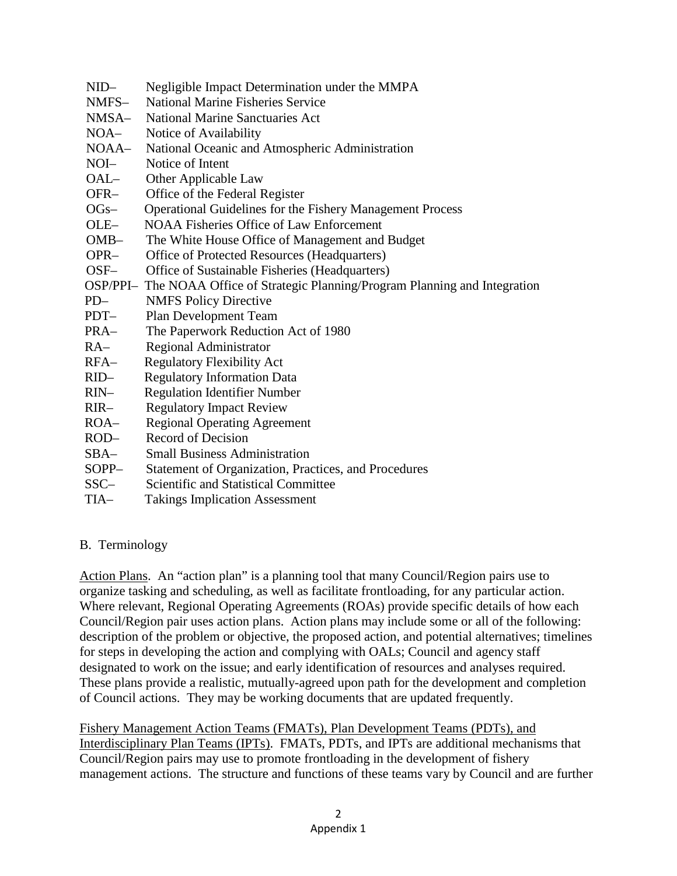- NID– Negligible Impact Determination under the MMPA
- NMFS– National Marine Fisheries Service
- NMSA– National Marine Sanctuaries Act
- NOA– Notice of Availability
- NOAA– National Oceanic and Atmospheric Administration
- NOI– Notice of Intent
- OAL– Other Applicable Law
- OFR– Office of the Federal Register
- OGs– Operational Guidelines for the Fishery Management Process
- OLE– NOAA Fisheries Office of Law Enforcement
- OMB– The White House Office of Management and Budget
- OPR– Office of Protected Resources (Headquarters)
- OSF– Office of Sustainable Fisheries (Headquarters)
- OSP/PPI– The NOAA Office of Strategic Planning/Program Planning and Integration
- PD– NMFS Policy Directive
- PDT– Plan Development Team
- PRA– The Paperwork Reduction Act of 1980
- RA– Regional Administrator
- RFA– Regulatory Flexibility Act
- RID– Regulatory Information Data
- RIN– Regulation Identifier Number
- RIR– Regulatory Impact Review
- ROA– Regional Operating Agreement
- ROD– Record of Decision
- SBA– Small Business Administration
- SOPP– Statement of Organization, Practices, and Procedures
- SSC– Scientific and Statistical Committee
- TIA– Takings Implication Assessment

#### B. Terminology

Action Plans. An "action plan" is a planning tool that many Council/Region pairs use to organize tasking and scheduling, as well as facilitate frontloading, for any particular action. Where relevant, Regional Operating Agreements (ROAs) provide specific details of how each Council/Region pair uses action plans. Action plans may include some or all of the following: description of the problem or objective, the proposed action, and potential alternatives; timelines for steps in developing the action and complying with OALs; Council and agency staff designated to work on the issue; and early identification of resources and analyses required. These plans provide a realistic, mutually-agreed upon path for the development and completion of Council actions. They may be working documents that are updated frequently.

Fishery Management Action Teams (FMATs), Plan Development Teams (PDTs), and Interdisciplinary Plan Teams (IPTs). FMATs, PDTs, and IPTs are additional mechanisms that Council/Region pairs may use to promote frontloading in the development of fishery management actions. The structure and functions of these teams vary by Council and are further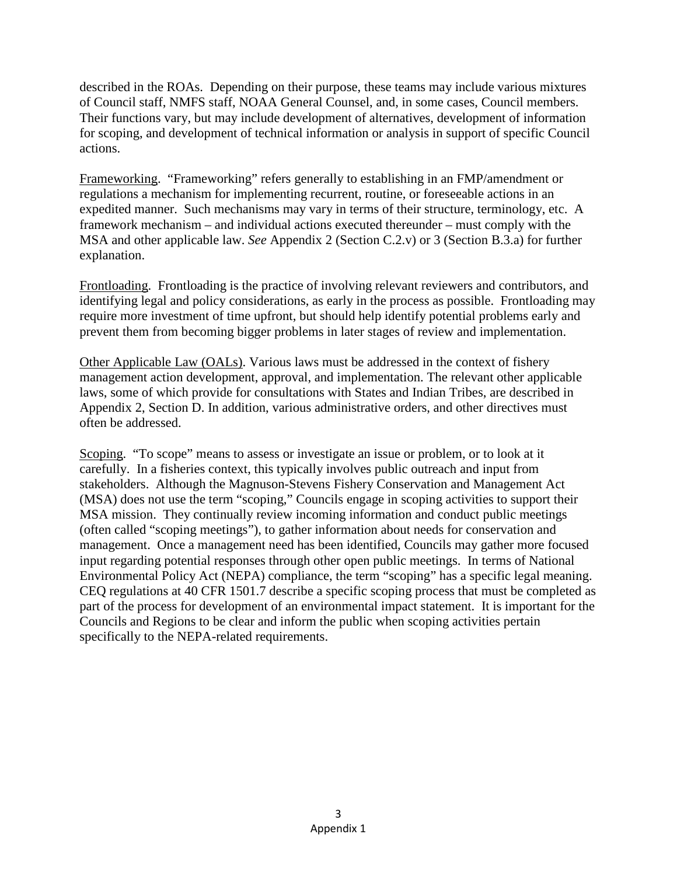described in the ROAs. Depending on their purpose, these teams may include various mixtures of Council staff, NMFS staff, NOAA General Counsel, and, in some cases, Council members. Their functions vary, but may include development of alternatives, development of information for scoping, and development of technical information or analysis in support of specific Council actions.

Frameworking. "Frameworking" refers generally to establishing in an FMP/amendment or regulations a mechanism for implementing recurrent, routine, or foreseeable actions in an expedited manner. Such mechanisms may vary in terms of their structure, terminology, etc. A framework mechanism – and individual actions executed thereunder – must comply with the MSA and other applicable law. *See* Appendix 2 (Section C.2.v) or 3 (Section B.3.a) for further explanation.

Frontloading. Frontloading is the practice of involving relevant reviewers and contributors, and identifying legal and policy considerations, as early in the process as possible. Frontloading may require more investment of time upfront, but should help identify potential problems early and prevent them from becoming bigger problems in later stages of review and implementation.

Other Applicable Law (OALs). Various laws must be addressed in the context of fishery management action development, approval, and implementation. The relevant other applicable laws, some of which provide for consultations with States and Indian Tribes, are described in Appendix 2, Section D. In addition, various administrative orders, and other directives must often be addressed.

Scoping. "To scope" means to assess or investigate an issue or problem, or to look at it carefully. In a fisheries context, this typically involves public outreach and input from stakeholders. Although the Magnuson-Stevens Fishery Conservation and Management Act (MSA) does not use the term "scoping," Councils engage in scoping activities to support their MSA mission. They continually review incoming information and conduct public meetings (often called "scoping meetings"), to gather information about needs for conservation and management. Once a management need has been identified, Councils may gather more focused input regarding potential responses through other open public meetings. In terms of National Environmental Policy Act (NEPA) compliance, the term "scoping" has a specific legal meaning. CEQ regulations at 40 CFR 1501.7 describe a specific scoping process that must be completed as part of the process for development of an environmental impact statement. It is important for the Councils and Regions to be clear and inform the public when scoping activities pertain specifically to the NEPA-related requirements.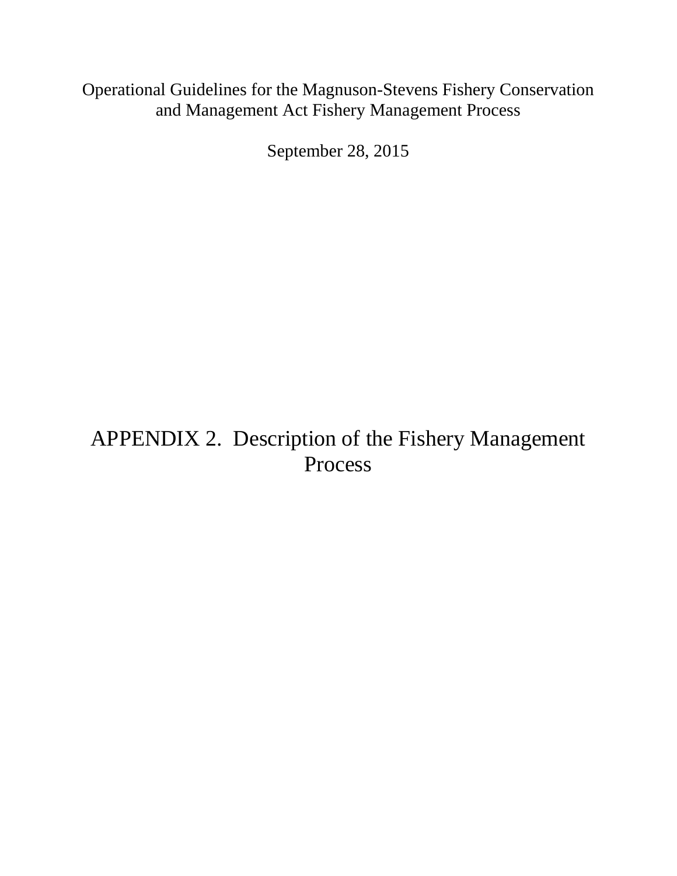### Operational Guidelines for the Magnuson-Stevens Fishery Conservation and Management Act Fishery Management Process

September 28, 2015

# APPENDIX 2. Description of the Fishery Management Process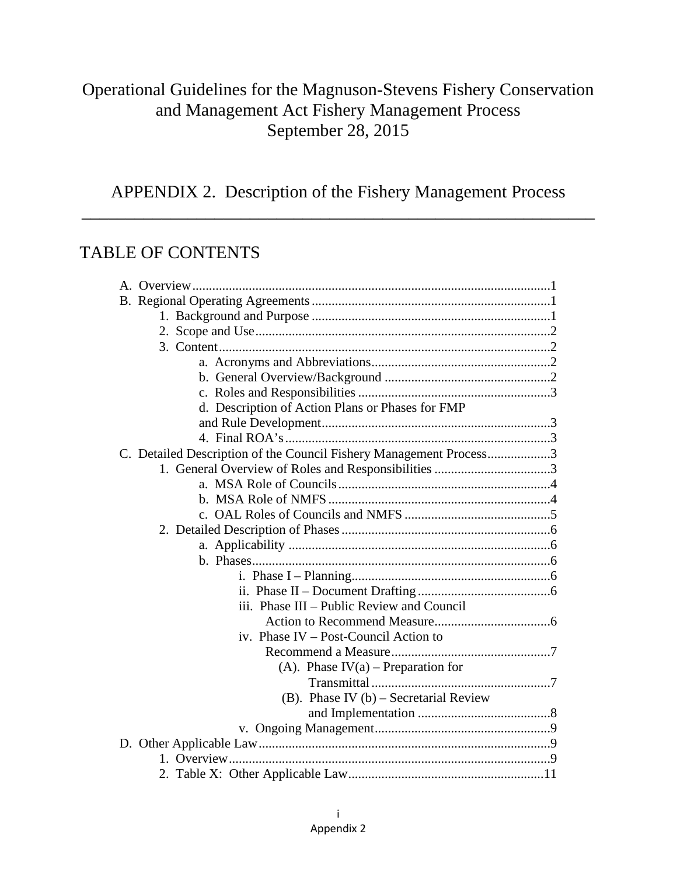### Operational Guidelines for the Magnuson-Stevens Fishery Conservation and Management Act Fishery Management Process September 28, 2015

APPENDIX 2. Description of the Fishery Management Process \_\_\_\_\_\_\_\_\_\_\_\_\_\_\_\_\_\_\_\_\_\_\_\_\_\_\_\_\_\_\_\_\_\_\_\_\_\_\_\_\_\_\_\_\_\_\_\_\_\_\_\_\_\_\_\_\_\_

### TABLE OF CONTENTS

| d. Description of Action Plans or Phases for FMP                   |  |
|--------------------------------------------------------------------|--|
|                                                                    |  |
|                                                                    |  |
| C. Detailed Description of the Council Fishery Management Process3 |  |
|                                                                    |  |
|                                                                    |  |
|                                                                    |  |
|                                                                    |  |
|                                                                    |  |
|                                                                    |  |
|                                                                    |  |
|                                                                    |  |
|                                                                    |  |
| iii. Phase III – Public Review and Council                         |  |
|                                                                    |  |
| iv. Phase IV – Post-Council Action to                              |  |
|                                                                    |  |
| (A). Phase $IV(a)$ – Preparation for                               |  |
|                                                                    |  |
| (B). Phase IV $(b)$ – Secretarial Review                           |  |
|                                                                    |  |
|                                                                    |  |
|                                                                    |  |
|                                                                    |  |
|                                                                    |  |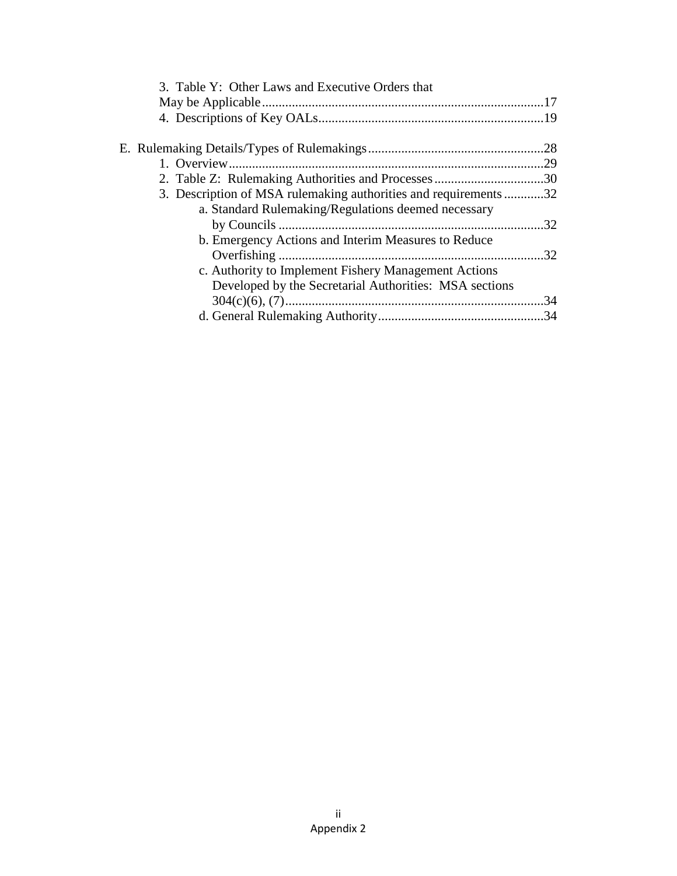| 3. Table Y: Other Laws and Executive Orders that                |     |
|-----------------------------------------------------------------|-----|
|                                                                 |     |
|                                                                 |     |
|                                                                 |     |
|                                                                 |     |
|                                                                 |     |
| 3. Description of MSA rulemaking authorities and requirements32 |     |
| a. Standard Rulemaking/Regulations deemed necessary             |     |
|                                                                 | .32 |
| b. Emergency Actions and Interim Measures to Reduce             |     |
|                                                                 | .32 |
| c. Authority to Implement Fishery Management Actions            |     |
| Developed by the Secretarial Authorities: MSA sections          |     |
|                                                                 | 34  |
|                                                                 |     |
|                                                                 |     |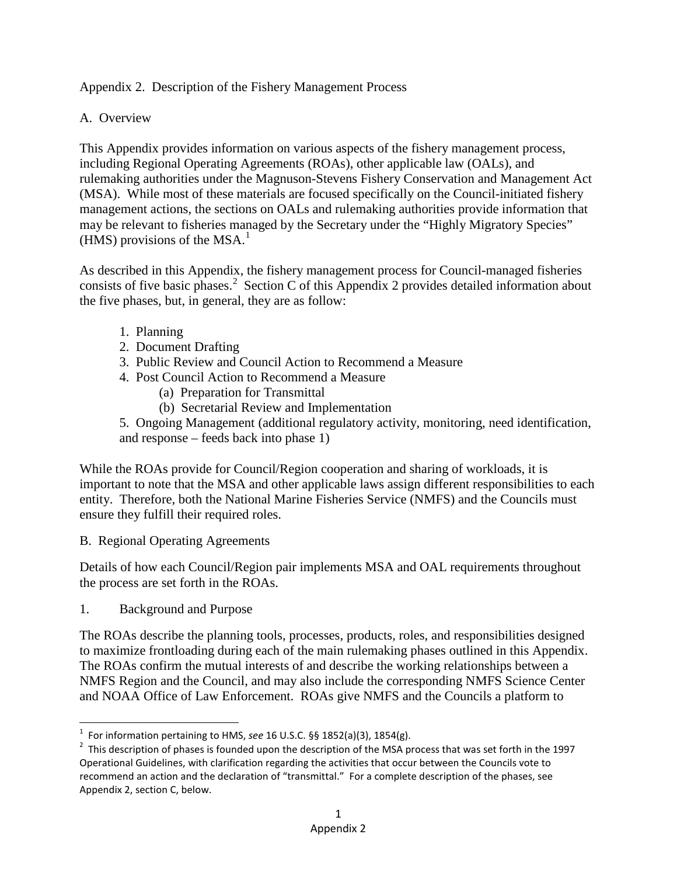#### Appendix 2. Description of the Fishery Management Process

#### A. Overview

This Appendix provides information on various aspects of the fishery management process, including Regional Operating Agreements (ROAs), other applicable law (OALs), and rulemaking authorities under the Magnuson-Stevens Fishery Conservation and Management Act (MSA). While most of these materials are focused specifically on the Council-initiated fishery management actions, the sections on OALs and rulemaking authorities provide information that may be relevant to fisheries managed by the Secretary under the "Highly Migratory Species" (HMS) provisions of the MSA.<sup>[1](#page-19-0)</sup>

As described in this Appendix, the fishery management process for Council-managed fisheries consists of five basic phases.<sup>[2](#page-19-1)</sup> Section C of this Appendix 2 provides detailed information about the five phases, but, in general, they are as follow:

- 1. Planning
- 2. Document Drafting
- 3. Public Review and Council Action to Recommend a Measure
- 4. Post Council Action to Recommend a Measure
	- (a) Preparation for Transmittal
	- (b) Secretarial Review and Implementation

5. Ongoing Management (additional regulatory activity, monitoring, need identification, and response – feeds back into phase 1)

While the ROAs provide for Council/Region cooperation and sharing of workloads, it is important to note that the MSA and other applicable laws assign different responsibilities to each entity. Therefore, both the National Marine Fisheries Service (NMFS) and the Councils must ensure they fulfill their required roles.

B. Regional Operating Agreements

Details of how each Council/Region pair implements MSA and OAL requirements throughout the process are set forth in the ROAs.

1. Background and Purpose

The ROAs describe the planning tools, processes, products, roles, and responsibilities designed to maximize frontloading during each of the main rulemaking phases outlined in this Appendix. The ROAs confirm the mutual interests of and describe the working relationships between a NMFS Region and the Council, and may also include the corresponding NMFS Science Center and NOAA Office of Law Enforcement. ROAs give NMFS and the Councils a platform to

 $\frac{1}{1}$ <sup>1</sup> For information pertaining to HMS, see 16 U.S.C. §§ 1852(a)(3), 1854(g).

<span id="page-19-1"></span><span id="page-19-0"></span> $2$  This description of phases is founded upon the description of the MSA process that was set forth in the 1997 Operational Guidelines, with clarification regarding the activities that occur between the Councils vote to recommend an action and the declaration of "transmittal." For a complete description of the phases, see Appendix 2, section C, below.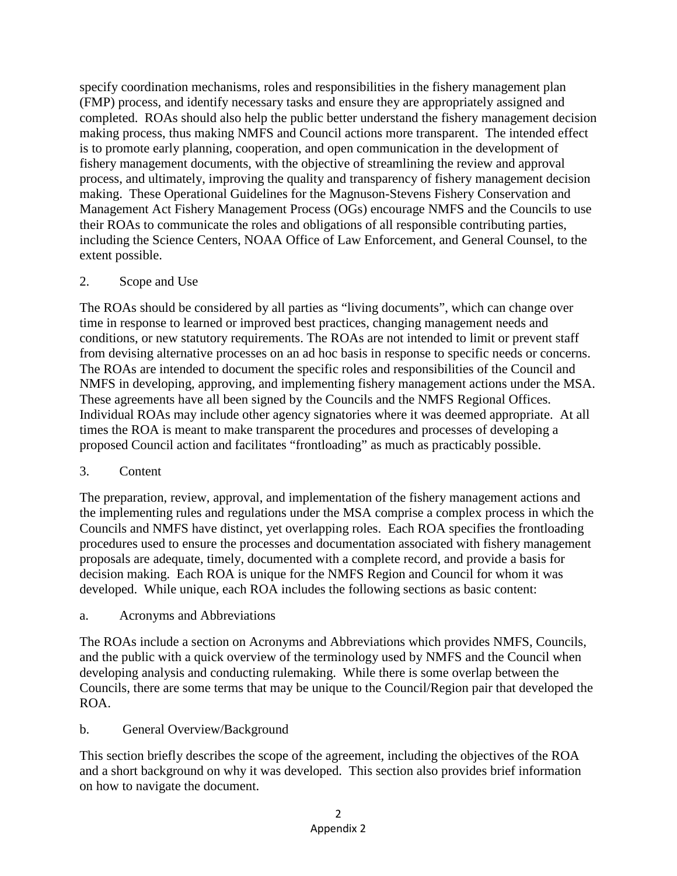specify coordination mechanisms, roles and responsibilities in the fishery management plan (FMP) process, and identify necessary tasks and ensure they are appropriately assigned and completed. ROAs should also help the public better understand the fishery management decision making process, thus making NMFS and Council actions more transparent. The intended effect is to promote early planning, cooperation, and open communication in the development of fishery management documents, with the objective of streamlining the review and approval process, and ultimately, improving the quality and transparency of fishery management decision making. These Operational Guidelines for the Magnuson-Stevens Fishery Conservation and Management Act Fishery Management Process (OGs) encourage NMFS and the Councils to use their ROAs to communicate the roles and obligations of all responsible contributing parties, including the Science Centers, NOAA Office of Law Enforcement, and General Counsel, to the extent possible.

#### 2. Scope and Use

The ROAs should be considered by all parties as "living documents", which can change over time in response to learned or improved best practices, changing management needs and conditions, or new statutory requirements. The ROAs are not intended to limit or prevent staff from devising alternative processes on an ad hoc basis in response to specific needs or concerns. The ROAs are intended to document the specific roles and responsibilities of the Council and NMFS in developing, approving, and implementing fishery management actions under the MSA. These agreements have all been signed by the Councils and the NMFS Regional Offices. Individual ROAs may include other agency signatories where it was deemed appropriate. At all times the ROA is meant to make transparent the procedures and processes of developing a proposed Council action and facilitates "frontloading" as much as practicably possible.

#### 3. Content

The preparation, review, approval, and implementation of the fishery management actions and the implementing rules and regulations under the MSA comprise a complex process in which the Councils and NMFS have distinct, yet overlapping roles. Each ROA specifies the frontloading procedures used to ensure the processes and documentation associated with fishery management proposals are adequate, timely, documented with a complete record, and provide a basis for decision making. Each ROA is unique for the NMFS Region and Council for whom it was developed. While unique, each ROA includes the following sections as basic content:

#### a. Acronyms and Abbreviations

The ROAs include a section on Acronyms and Abbreviations which provides NMFS, Councils, and the public with a quick overview of the terminology used by NMFS and the Council when developing analysis and conducting rulemaking. While there is some overlap between the Councils, there are some terms that may be unique to the Council/Region pair that developed the ROA.

#### b. General Overview/Background

This section briefly describes the scope of the agreement, including the objectives of the ROA and a short background on why it was developed. This section also provides brief information on how to navigate the document.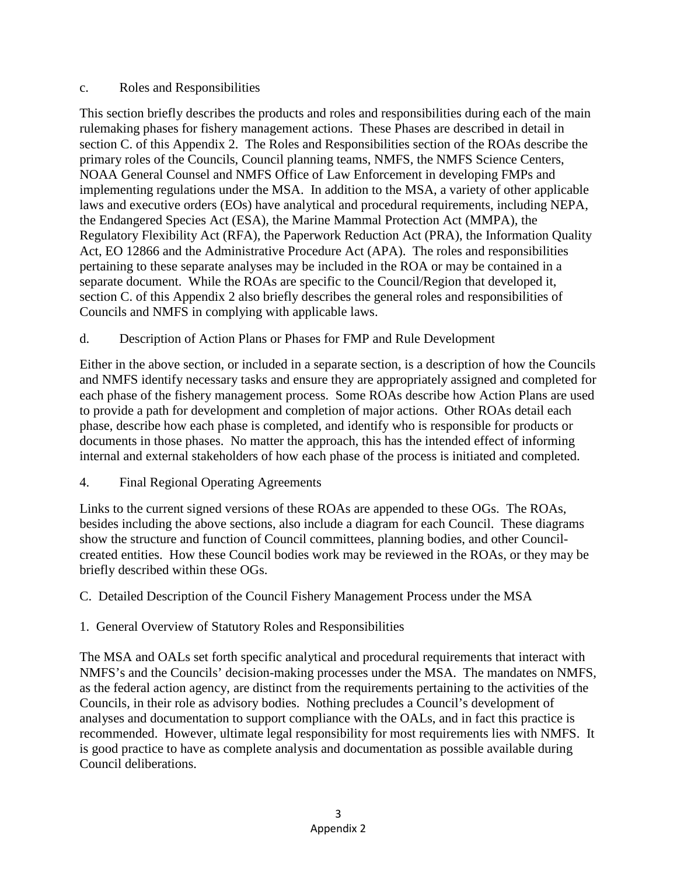#### c. Roles and Responsibilities

This section briefly describes the products and roles and responsibilities during each of the main rulemaking phases for fishery management actions. These Phases are described in detail in section C. of this Appendix 2. The Roles and Responsibilities section of the ROAs describe the primary roles of the Councils, Council planning teams, NMFS, the NMFS Science Centers, NOAA General Counsel and NMFS Office of Law Enforcement in developing FMPs and implementing regulations under the MSA. In addition to the MSA, a variety of other applicable laws and executive orders (EOs) have analytical and procedural requirements, including NEPA, the Endangered Species Act (ESA), the Marine Mammal Protection Act (MMPA), the Regulatory Flexibility Act (RFA), the Paperwork Reduction Act (PRA), the Information Quality Act, EO 12866 and the Administrative Procedure Act (APA). The roles and responsibilities pertaining to these separate analyses may be included in the ROA or may be contained in a separate document. While the ROAs are specific to the Council/Region that developed it, section C. of this Appendix 2 also briefly describes the general roles and responsibilities of Councils and NMFS in complying with applicable laws.

d. Description of Action Plans or Phases for FMP and Rule Development

Either in the above section, or included in a separate section, is a description of how the Councils and NMFS identify necessary tasks and ensure they are appropriately assigned and completed for each phase of the fishery management process. Some ROAs describe how Action Plans are used to provide a path for development and completion of major actions. Other ROAs detail each phase, describe how each phase is completed, and identify who is responsible for products or documents in those phases. No matter the approach, this has the intended effect of informing internal and external stakeholders of how each phase of the process is initiated and completed.

4. Final Regional Operating Agreements

Links to the current signed versions of these ROAs are appended to these OGs. The ROAs, besides including the above sections, also include a diagram for each Council. These diagrams show the structure and function of Council committees, planning bodies, and other Councilcreated entities. How these Council bodies work may be reviewed in the ROAs, or they may be briefly described within these OGs.

- C. Detailed Description of the Council Fishery Management Process under the MSA
- 1. General Overview of Statutory Roles and Responsibilities

The MSA and OALs set forth specific analytical and procedural requirements that interact with NMFS's and the Councils' decision-making processes under the MSA. The mandates on NMFS, as the federal action agency, are distinct from the requirements pertaining to the activities of the Councils, in their role as advisory bodies. Nothing precludes a Council's development of analyses and documentation to support compliance with the OALs, and in fact this practice is recommended. However, ultimate legal responsibility for most requirements lies with NMFS. It is good practice to have as complete analysis and documentation as possible available during Council deliberations.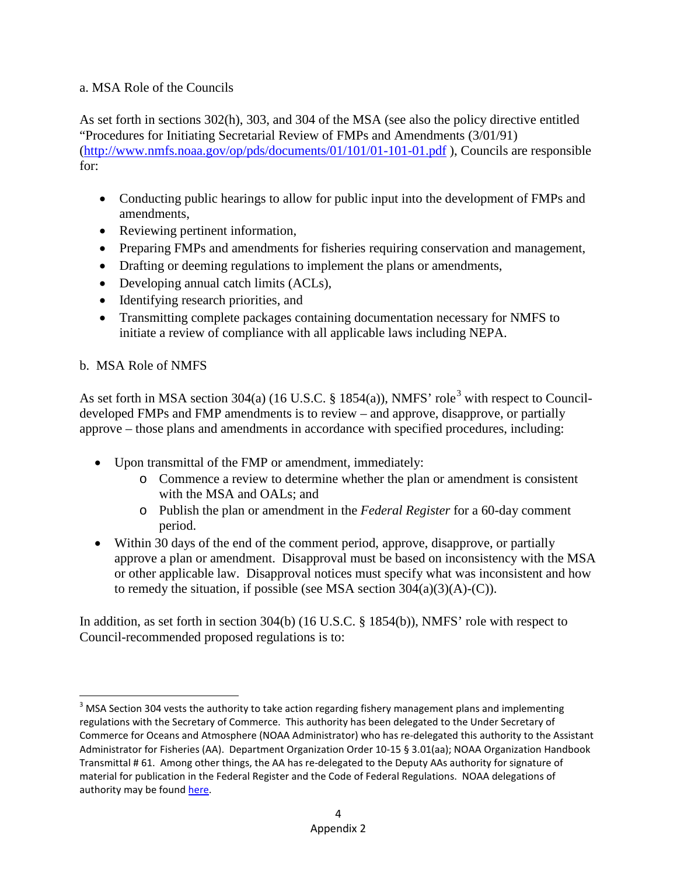#### a. MSA Role of the Councils

As set forth in sections 302(h), 303, and 304 of the MSA (see also the policy directive entitled "Procedures for Initiating Secretarial Review of FMPs and Amendments (3/01/91) [\(http://www.nmfs.noaa.gov/op/pds/documents/01/101/01-101-01.pdf](http://www.nmfs.noaa.gov/op/pds/documents/01/101/01-101-01.pdf) ), Councils are responsible for:

- Conducting public hearings to allow for public input into the development of FMPs and amendments,
- Reviewing pertinent information,
- Preparing FMPs and amendments for fisheries requiring conservation and management,
- Drafting or deeming regulations to implement the plans or amendments,
- Developing annual catch limits (ACLs),
- Identifying research priorities, and
- Transmitting complete packages containing documentation necessary for NMFS to initiate a review of compliance with all applicable laws including NEPA.

#### b. MSA Role of NMFS

As set forth in MSA section [3](#page-22-0)04(a) (16 U.S.C. § 1854(a)), NMFS' role<sup>3</sup> with respect to Councildeveloped FMPs and FMP amendments is to review – and approve, disapprove, or partially approve – those plans and amendments in accordance with specified procedures, including:

- Upon transmittal of the FMP or amendment, immediately:
	- o Commence a review to determine whether the plan or amendment is consistent with the MSA and OALs; and
	- o Publish the plan or amendment in the *Federal Register* for a 60-day comment period.
- Within 30 days of the end of the comment period, approve, disapprove, or partially approve a plan or amendment. Disapproval must be based on inconsistency with the MSA or other applicable law. Disapproval notices must specify what was inconsistent and how to remedy the situation, if possible (see MSA section  $304(a)(3)(A)-(C)$ ).

In addition, as set forth in section 304(b) (16 U.S.C. § 1854(b)), NMFS' role with respect to Council-recommended proposed regulations is to:

<span id="page-22-0"></span><sup>&</sup>lt;sup>3</sup> MSA Section 304 vests the authority to take action regarding fishery management plans and implementing regulations with the Secretary of Commerce. This authority has been delegated to the Under Secretary of Commerce for Oceans and Atmosphere (NOAA Administrator) who has re-delegated this authority to the Assistant Administrator for Fisheries (AA). Department Organization Order 10-15 § 3.01(aa); NOAA Organization Handbook Transmittal # 61. Among other things, the AA has re-delegated to the Deputy AAs authority for signature of material for publication in the Federal Register and the Code of Federal Regulations. NOAA delegations of authority may be foun[d here.](http://www.corporateservices.noaa.gov/ames/delegations_of_authority/)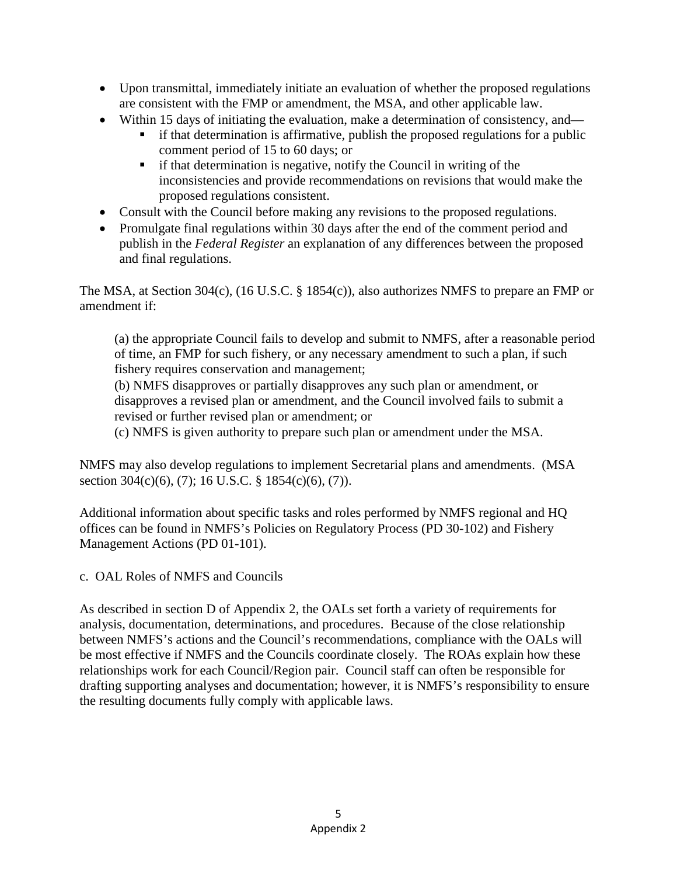- Upon transmittal, immediately initiate an evaluation of whether the proposed regulations are consistent with the FMP or amendment, the MSA, and other applicable law.
- Within 15 days of initiating the evaluation, make a determination of consistency, and
	- if that determination is affirmative, publish the proposed regulations for a public comment period of 15 to 60 days; or
	- $\blacksquare$  if that determination is negative, notify the Council in writing of the inconsistencies and provide recommendations on revisions that would make the proposed regulations consistent.
- Consult with the Council before making any revisions to the proposed regulations.
- Promulgate final regulations within 30 days after the end of the comment period and publish in the *Federal Register* an explanation of any differences between the proposed and final regulations.

The MSA, at Section 304(c), (16 U.S.C. § 1854(c)), also authorizes NMFS to prepare an FMP or amendment if:

(a) the appropriate Council fails to develop and submit to NMFS, after a reasonable period of time, an FMP for such fishery, or any necessary amendment to such a plan, if such fishery requires conservation and management;

(b) NMFS disapproves or partially disapproves any such plan or amendment, or disapproves a revised plan or amendment, and the Council involved fails to submit a revised or further revised plan or amendment; or

(c) NMFS is given authority to prepare such plan or amendment under the MSA.

NMFS may also develop regulations to implement Secretarial plans and amendments. (MSA section 304(c)(6), (7); 16 U.S.C. § 1854(c)(6), (7)).

Additional information about specific tasks and roles performed by NMFS regional and HQ offices can be found in NMFS's Policies on Regulatory Process (PD 30-102) and Fishery Management Actions (PD 01-101).

c. OAL Roles of NMFS and Councils

As described in section D of Appendix 2, the OALs set forth a variety of requirements for analysis, documentation, determinations, and procedures. Because of the close relationship between NMFS's actions and the Council's recommendations, compliance with the OALs will be most effective if NMFS and the Councils coordinate closely. The ROAs explain how these relationships work for each Council/Region pair. Council staff can often be responsible for drafting supporting analyses and documentation; however, it is NMFS's responsibility to ensure the resulting documents fully comply with applicable laws.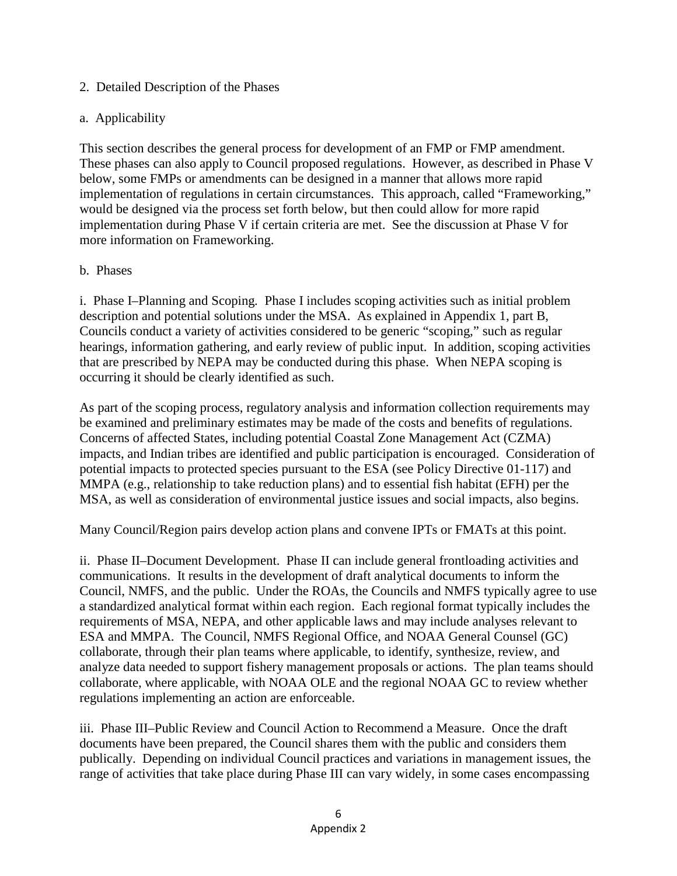#### 2. Detailed Description of the Phases

#### a. Applicability

This section describes the general process for development of an FMP or FMP amendment. These phases can also apply to Council proposed regulations. However, as described in Phase V below, some FMPs or amendments can be designed in a manner that allows more rapid implementation of regulations in certain circumstances. This approach, called "Frameworking," would be designed via the process set forth below, but then could allow for more rapid implementation during Phase V if certain criteria are met. See the discussion at Phase V for more information on Frameworking.

#### b. Phases

i. Phase I–Planning and Scoping*.* Phase I includes scoping activities such as initial problem description and potential solutions under the MSA. As explained in Appendix 1, part B, Councils conduct a variety of activities considered to be generic "scoping," such as regular hearings, information gathering, and early review of public input. In addition, scoping activities that are prescribed by NEPA may be conducted during this phase. When NEPA scoping is occurring it should be clearly identified as such.

As part of the scoping process, regulatory analysis and information collection requirements may be examined and preliminary estimates may be made of the costs and benefits of regulations. Concerns of affected States, including potential Coastal Zone Management Act (CZMA) impacts, and Indian tribes are identified and public participation is encouraged. Consideration of potential impacts to protected species pursuant to the ESA (see Policy Directive 01-117) and MMPA (e.g., relationship to take reduction plans) and to essential fish habitat (EFH) per the MSA, as well as consideration of environmental justice issues and social impacts, also begins.

Many Council/Region pairs develop action plans and convene IPTs or FMATs at this point.

ii. Phase II–Document Development. Phase II can include general frontloading activities and communications. It results in the development of draft analytical documents to inform the Council, NMFS, and the public. Under the ROAs, the Councils and NMFS typically agree to use a standardized analytical format within each region. Each regional format typically includes the requirements of MSA, NEPA, and other applicable laws and may include analyses relevant to ESA and MMPA. The Council, NMFS Regional Office, and NOAA General Counsel (GC) collaborate, through their plan teams where applicable, to identify, synthesize, review, and analyze data needed to support fishery management proposals or actions. The plan teams should collaborate, where applicable, with NOAA OLE and the regional NOAA GC to review whether regulations implementing an action are enforceable.

iii. Phase III–Public Review and Council Action to Recommend a Measure. Once the draft documents have been prepared, the Council shares them with the public and considers them publically. Depending on individual Council practices and variations in management issues, the range of activities that take place during Phase III can vary widely, in some cases encompassing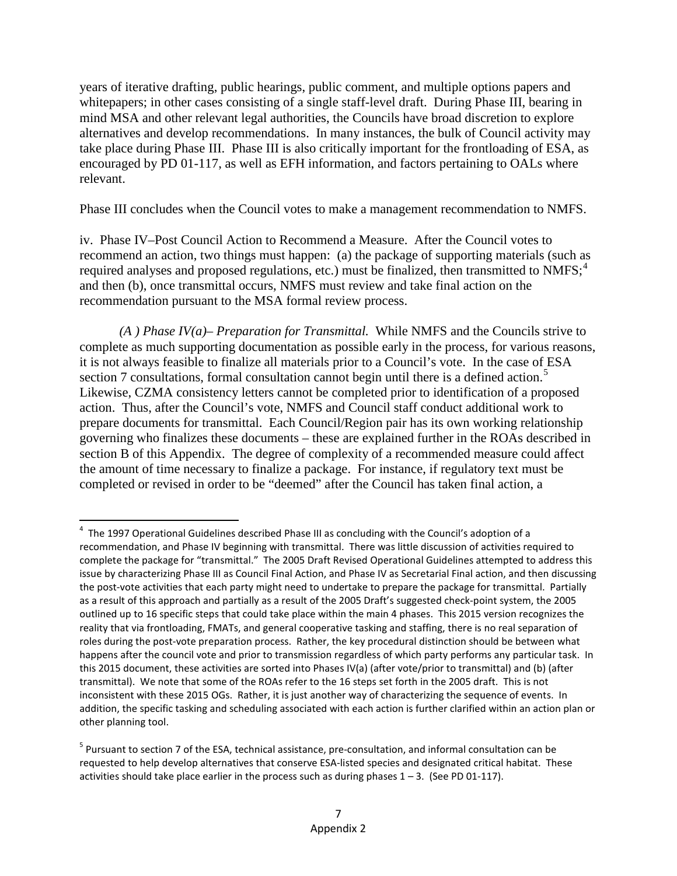years of iterative drafting, public hearings, public comment, and multiple options papers and whitepapers; in other cases consisting of a single staff-level draft. During Phase III, bearing in mind MSA and other relevant legal authorities, the Councils have broad discretion to explore alternatives and develop recommendations. In many instances, the bulk of Council activity may take place during Phase III. Phase III is also critically important for the frontloading of ESA, as encouraged by PD 01-117, as well as EFH information, and factors pertaining to OALs where relevant.

Phase III concludes when the Council votes to make a management recommendation to NMFS.

iv. Phase IV–Post Council Action to Recommend a Measure. After the Council votes to recommend an action, two things must happen: (a) the package of supporting materials (such as required analyses and proposed regulations, etc.) must be finalized, then transmitted to NMFS;<sup>[4](#page-25-0)</sup> and then (b), once transmittal occurs, NMFS must review and take final action on the recommendation pursuant to the MSA formal review process.

*(A ) Phase IV(a)*– *Preparation for Transmittal.* While NMFS and the Councils strive to complete as much supporting documentation as possible early in the process, for various reasons, it is not always feasible to finalize all materials prior to a Council's vote. In the case of ESA section 7 consultations, formal consultation cannot begin until there is a defined action.<sup>[5](#page-25-1)</sup> Likewise, CZMA consistency letters cannot be completed prior to identification of a proposed action. Thus, after the Council's vote, NMFS and Council staff conduct additional work to prepare documents for transmittal. Each Council/Region pair has its own working relationship governing who finalizes these documents – these are explained further in the ROAs described in section B of this Appendix. The degree of complexity of a recommended measure could affect the amount of time necessary to finalize a package. For instance, if regulatory text must be completed or revised in order to be "deemed" after the Council has taken final action, a

<span id="page-25-0"></span> $\frac{1}{4}$  The 1997 Operational Guidelines described Phase III as concluding with the Council's adoption of a recommendation, and Phase IV beginning with transmittal. There was little discussion of activities required to complete the package for "transmittal." The 2005 Draft Revised Operational Guidelines attempted to address this issue by characterizing Phase III as Council Final Action, and Phase IV as Secretarial Final action, and then discussing the post-vote activities that each party might need to undertake to prepare the package for transmittal. Partially as a result of this approach and partially as a result of the 2005 Draft's suggested check-point system, the 2005 outlined up to 16 specific steps that could take place within the main 4 phases. This 2015 version recognizes the reality that via frontloading, FMATs, and general cooperative tasking and staffing, there is no real separation of roles during the post-vote preparation process. Rather, the key procedural distinction should be between what happens after the council vote and prior to transmission regardless of which party performs any particular task. In this 2015 document, these activities are sorted into Phases IV(a) (after vote/prior to transmittal) and (b) (after transmittal). We note that some of the ROAs refer to the 16 steps set forth in the 2005 draft. This is not inconsistent with these 2015 OGs. Rather, it is just another way of characterizing the sequence of events. In addition, the specific tasking and scheduling associated with each action is further clarified within an action plan or other planning tool.

<span id="page-25-1"></span><sup>&</sup>lt;sup>5</sup> Pursuant to section 7 of the ESA, technical assistance, pre-consultation, and informal consultation can be requested to help develop alternatives that conserve ESA-listed species and designated critical habitat. These activities should take place earlier in the process such as during phases  $1 - 3$ . (See PD 01-117).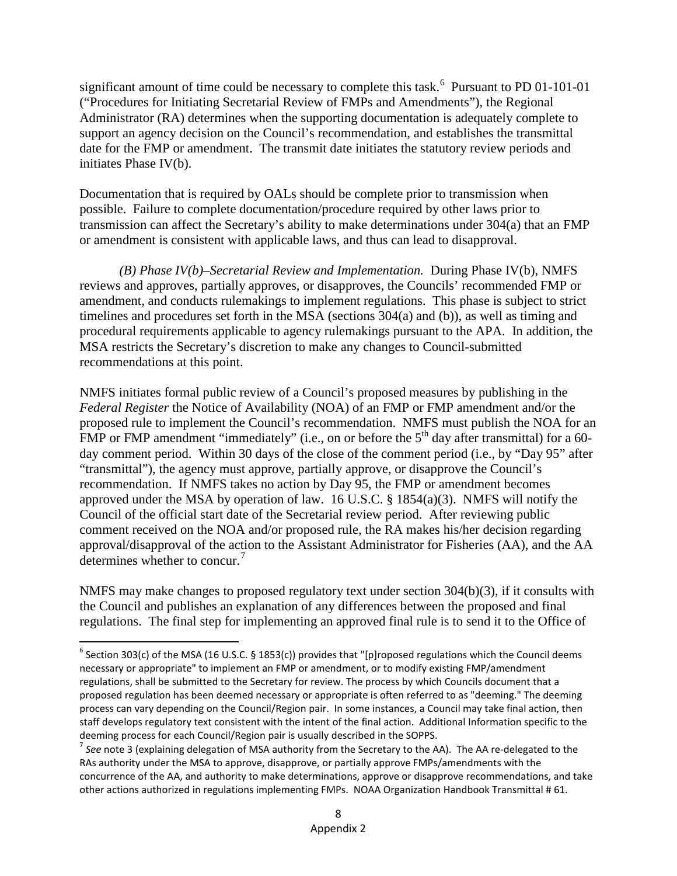significant amount of time could be necessary to complete this task.<sup>[6](#page-26-0)</sup> Pursuant to PD 01-101-01 ("Procedures for Initiating Secretarial Review of FMPs and Amendments"), the Regional Administrator (RA) determines when the supporting documentation is adequately complete to support an agency decision on the Council's recommendation, and establishes the transmittal date for the FMP or amendment. The transmit date initiates the statutory review periods and initiates Phase IV(b).

Documentation that is required by OALs should be complete prior to transmission when possible. Failure to complete documentation/procedure required by other laws prior to transmission can affect the Secretary's ability to make determinations under 304(a) that an FMP or amendment is consistent with applicable laws, and thus can lead to disapproval.

*(B) Phase IV(b)–Secretarial Review and Implementation.* During Phase IV(b), NMFS reviews and approves, partially approves, or disapproves, the Councils' recommended FMP or amendment, and conducts rulemakings to implement regulations. This phase is subject to strict timelines and procedures set forth in the MSA (sections 304(a) and (b)), as well as timing and procedural requirements applicable to agency rulemakings pursuant to the APA. In addition, the MSA restricts the Secretary's discretion to make any changes to Council-submitted recommendations at this point.

NMFS initiates formal public review of a Council's proposed measures by publishing in the *Federal Register* the Notice of Availability (NOA) of an FMP or FMP amendment and/or the proposed rule to implement the Council's recommendation. NMFS must publish the NOA for an FMP or FMP amendment "immediately" (i.e., on or before the 5<sup>th</sup> day after transmittal) for a 60day comment period. Within 30 days of the close of the comment period (i.e., by "Day 95" after "transmittal"), the agency must approve, partially approve, or disapprove the Council's recommendation. If NMFS takes no action by Day 95, the FMP or amendment becomes approved under the MSA by operation of law. 16 U.S.C. § 1854(a)(3). NMFS will notify the Council of the official start date of the Secretarial review period. After reviewing public comment received on the NOA and/or proposed rule, the RA makes his/her decision regarding approval/disapproval of the action to the Assistant Administrator for Fisheries (AA), and the AA determines whether to concur.<sup>[7](#page-26-1)</sup>

NMFS may make changes to proposed regulatory text under section 304(b)(3), if it consults with the Council and publishes an explanation of any differences between the proposed and final regulations. The final step for implementing an approved final rule is to send it to the Office of

<span id="page-26-0"></span> $6$  Section 303(c) of the MSA (16 U.S.C. § 1853(c)) provides that "[p]roposed regulations which the Council deems necessary or appropriate" to implement an FMP or amendment, or to modify existing FMP/amendment regulations, shall be submitted to the Secretary for review. The process by which Councils document that a proposed regulation has been deemed necessary or appropriate is often referred to as "deeming." The deeming process can vary depending on the Council/Region pair. In some instances, a Council may take final action, then staff develops regulatory text consistent with the intent of the final action. Additional Information specific to the deeming process for each Council/Region pair is usually described in the SOPPS.

<span id="page-26-1"></span><sup>7</sup> *See* note 3 (explaining delegation of MSA authority from the Secretary to the AA). The AA re-delegated to the RAs authority under the MSA to approve, disapprove, or partially approve FMPs/amendments with the concurrence of the AA, and authority to make determinations, approve or disapprove recommendations, and take other actions authorized in regulations implementing FMPs. NOAA Organization Handbook Transmittal # 61.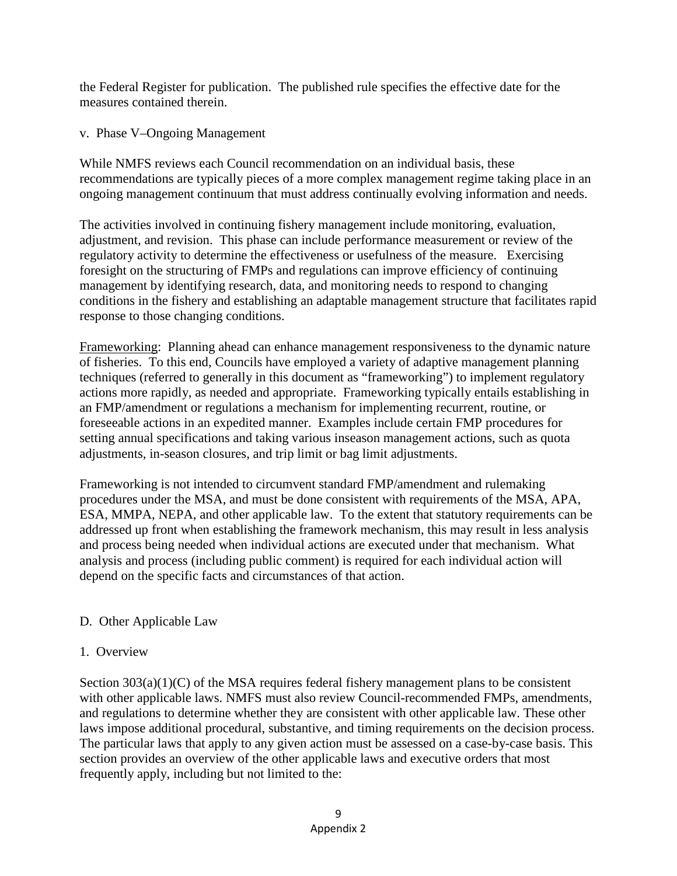the Federal Register for publication. The published rule specifies the effective date for the measures contained therein.

v. Phase V–Ongoing Management

While NMFS reviews each Council recommendation on an individual basis, these recommendations are typically pieces of a more complex management regime taking place in an ongoing management continuum that must address continually evolving information and needs.

The activities involved in continuing fishery management include monitoring, evaluation, adjustment, and revision. This phase can include performance measurement or review of the regulatory activity to determine the effectiveness or usefulness of the measure. Exercising foresight on the structuring of FMPs and regulations can improve efficiency of continuing management by identifying research, data, and monitoring needs to respond to changing conditions in the fishery and establishing an adaptable management structure that facilitates rapid response to those changing conditions.

Frameworking: Planning ahead can enhance management responsiveness to the dynamic nature of fisheries. To this end, Councils have employed a variety of adaptive management planning techniques (referred to generally in this document as "frameworking") to implement regulatory actions more rapidly, as needed and appropriate. Frameworking typically entails establishing in an FMP/amendment or regulations a mechanism for implementing recurrent, routine, or foreseeable actions in an expedited manner. Examples include certain FMP procedures for setting annual specifications and taking various inseason management actions, such as quota adjustments, in-season closures, and trip limit or bag limit adjustments.

Frameworking is not intended to circumvent standard FMP/amendment and rulemaking procedures under the MSA, and must be done consistent with requirements of the MSA, APA, ESA, MMPA, NEPA, and other applicable law. To the extent that statutory requirements can be addressed up front when establishing the framework mechanism, this may result in less analysis and process being needed when individual actions are executed under that mechanism. What analysis and process (including public comment) is required for each individual action will depend on the specific facts and circumstances of that action.

#### D. Other Applicable Law

#### 1. Overview

Section 303(a)(1)(C) of the MSA requires federal fishery management plans to be consistent with other applicable laws. NMFS must also review Council-recommended FMPs, amendments, and regulations to determine whether they are consistent with other applicable law. These other laws impose additional procedural, substantive, and timing requirements on the decision process. The particular laws that apply to any given action must be assessed on a case-by-case basis. This section provides an overview of the other applicable laws and executive orders that most frequently apply, including but not limited to the: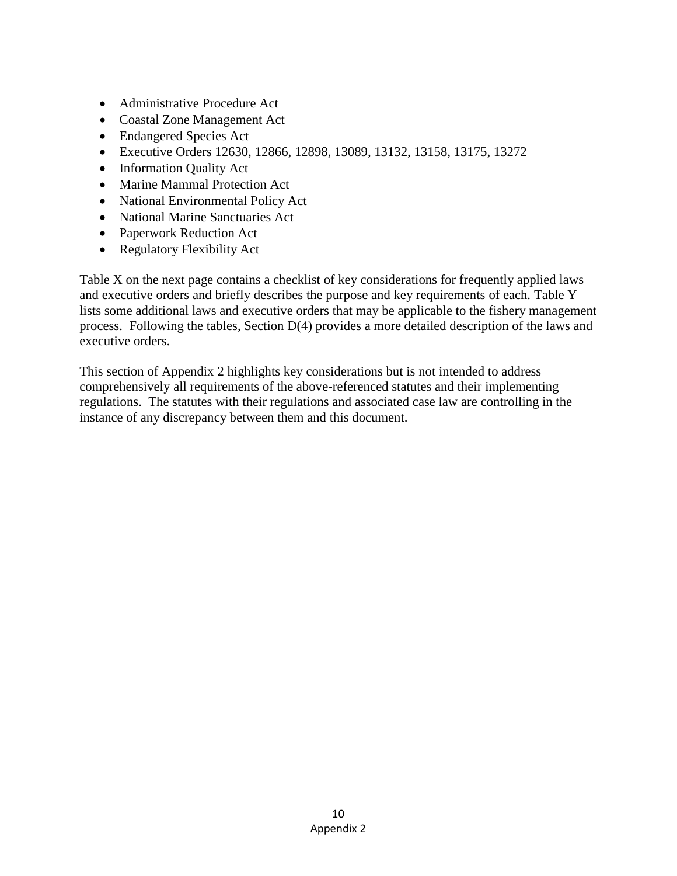- Administrative Procedure Act
- Coastal Zone Management Act
- Endangered Species Act
- Executive Orders 12630, 12866, 12898, 13089, 13132, 13158, 13175, 13272
- Information Quality Act
- Marine Mammal Protection Act
- National Environmental Policy Act
- National Marine Sanctuaries Act
- Paperwork Reduction Act
- Regulatory Flexibility Act

Table X on the next page contains a checklist of key considerations for frequently applied laws and executive orders and briefly describes the purpose and key requirements of each. Table Y lists some additional laws and executive orders that may be applicable to the fishery management process. Following the tables, Section D(4) provides a more detailed description of the laws and executive orders.

This section of Appendix 2 highlights key considerations but is not intended to address comprehensively all requirements of the above-referenced statutes and their implementing regulations. The statutes with their regulations and associated case law are controlling in the instance of any discrepancy between them and this document.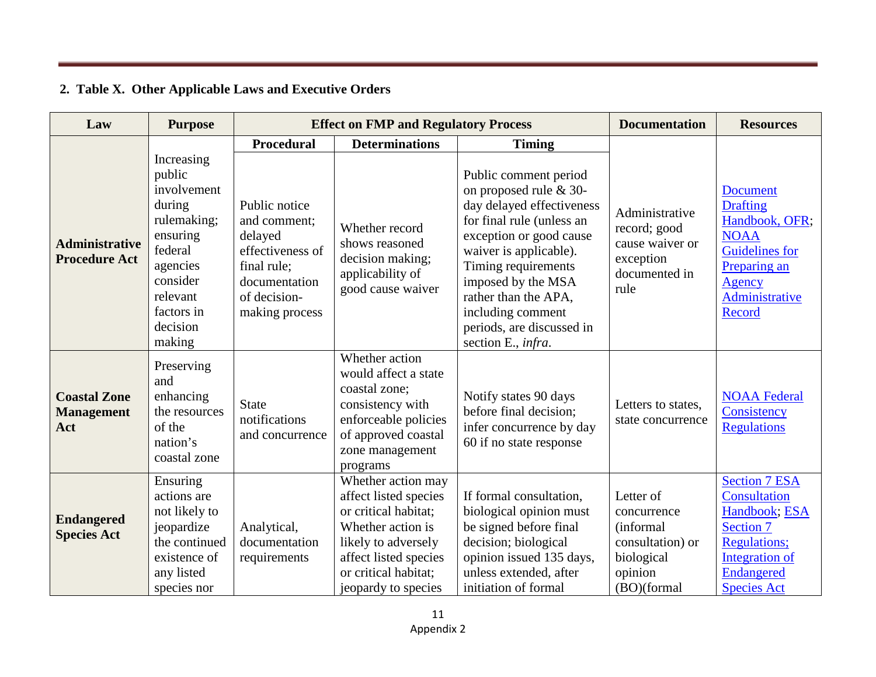### **2. Table X. Other Applicable Laws and Executive Orders**

| Law                                             | <b>Purpose</b>                                                                                                                                              | <b>Effect on FMP and Regulatory Process</b>                                                                                    |                                                                                                                                                                                         | <b>Documentation</b>                                                                                                                                                                                                                                                                                        | <b>Resources</b>                                                                                  |                                                                                                                                                           |
|-------------------------------------------------|-------------------------------------------------------------------------------------------------------------------------------------------------------------|--------------------------------------------------------------------------------------------------------------------------------|-----------------------------------------------------------------------------------------------------------------------------------------------------------------------------------------|-------------------------------------------------------------------------------------------------------------------------------------------------------------------------------------------------------------------------------------------------------------------------------------------------------------|---------------------------------------------------------------------------------------------------|-----------------------------------------------------------------------------------------------------------------------------------------------------------|
|                                                 |                                                                                                                                                             | <b>Procedural</b>                                                                                                              | <b>Determinations</b>                                                                                                                                                                   | <b>Timing</b>                                                                                                                                                                                                                                                                                               |                                                                                                   |                                                                                                                                                           |
| <b>Administrative</b><br><b>Procedure Act</b>   | Increasing<br>public<br>involvement<br>during<br>rulemaking;<br>ensuring<br>federal<br>agencies<br>consider<br>relevant<br>factors in<br>decision<br>making | Public notice<br>and comment;<br>delayed<br>effectiveness of<br>final rule;<br>documentation<br>of decision-<br>making process | Whether record<br>shows reasoned<br>decision making;<br>applicability of<br>good cause waiver                                                                                           | Public comment period<br>on proposed rule & 30-<br>day delayed effectiveness<br>for final rule (unless an<br>exception or good cause<br>waiver is applicable).<br>Timing requirements<br>imposed by the MSA<br>rather than the APA,<br>including comment<br>periods, are discussed in<br>section E., infra. | Administrative<br>record; good<br>cause waiver or<br>exception<br>documented in<br>rule           | <b>Document</b><br><b>Drafting</b><br>Handbook, OFR;<br><b>NOAA</b><br><b>Guidelines</b> for<br>Preparing an<br>Agency<br><b>Administrative</b><br>Record |
| <b>Coastal Zone</b><br><b>Management</b><br>Act | Preserving<br>and<br>enhancing<br>the resources<br>of the<br>nation's<br>coastal zone                                                                       | <b>State</b><br>notifications<br>and concurrence                                                                               | Whether action<br>would affect a state<br>coastal zone;<br>consistency with<br>enforceable policies<br>of approved coastal<br>zone management<br>programs                               | Notify states 90 days<br>before final decision;<br>infer concurrence by day<br>60 if no state response                                                                                                                                                                                                      | Letters to states,<br>state concurrence                                                           | <b>NOAA Federal</b><br>Consistency<br><b>Regulations</b>                                                                                                  |
| <b>Endangered</b><br><b>Species Act</b>         | Ensuring<br>actions are<br>not likely to<br>jeopardize<br>the continued<br>existence of<br>any listed<br>species nor                                        | Analytical,<br>documentation<br>requirements                                                                                   | Whether action may<br>affect listed species<br>or critical habitat;<br>Whether action is<br>likely to adversely<br>affect listed species<br>or critical habitat;<br>jeopardy to species | If formal consultation,<br>biological opinion must<br>be signed before final<br>decision; biological<br>opinion issued 135 days,<br>unless extended, after<br>initiation of formal                                                                                                                          | Letter of<br>concurrence<br>(informal<br>consultation) or<br>biological<br>opinion<br>(BO)(formal | <b>Section 7 ESA</b><br>Consultation<br>Handbook; ESA<br><b>Section 7</b><br><b>Regulations;</b><br>Integration of<br>Endangered<br><b>Species Act</b>    |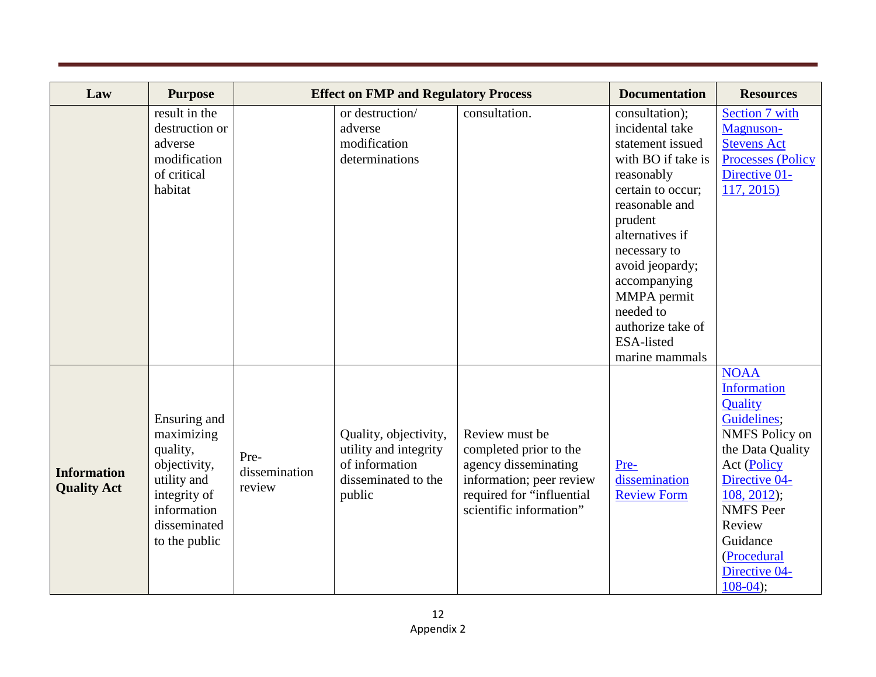| Law                                      | <b>Purpose</b>                                                                                                                        |                                 | <b>Effect on FMP and Regulatory Process</b>                                                       |                                                                                                                                                      | <b>Documentation</b>                                                                                                                                                                                                                                                                                      | <b>Resources</b>                                                                                                                                                                                                                                         |
|------------------------------------------|---------------------------------------------------------------------------------------------------------------------------------------|---------------------------------|---------------------------------------------------------------------------------------------------|------------------------------------------------------------------------------------------------------------------------------------------------------|-----------------------------------------------------------------------------------------------------------------------------------------------------------------------------------------------------------------------------------------------------------------------------------------------------------|----------------------------------------------------------------------------------------------------------------------------------------------------------------------------------------------------------------------------------------------------------|
|                                          | result in the<br>destruction or<br>adverse<br>modification<br>of critical<br>habitat                                                  |                                 | or destruction/<br>adverse<br>modification<br>determinations                                      | consultation.                                                                                                                                        | consultation);<br>incidental take<br>statement issued<br>with BO if take is<br>reasonably<br>certain to occur;<br>reasonable and<br>prudent<br>alternatives if<br>necessary to<br>avoid jeopardy;<br>accompanying<br>MMPA permit<br>needed to<br>authorize take of<br><b>ESA-listed</b><br>marine mammals | <b>Section 7 with</b><br>Magnuson-<br><b>Stevens Act</b><br><b>Processes (Policy</b><br>Directive 01-<br>117, 2015                                                                                                                                       |
| <b>Information</b><br><b>Quality Act</b> | Ensuring and<br>maximizing<br>quality,<br>objectivity,<br>utility and<br>integrity of<br>information<br>disseminated<br>to the public | Pre-<br>dissemination<br>review | Quality, objectivity,<br>utility and integrity<br>of information<br>disseminated to the<br>public | Review must be<br>completed prior to the<br>agency disseminating<br>information; peer review<br>required for "influential<br>scientific information" | Pre-<br>dissemination<br><b>Review Form</b>                                                                                                                                                                                                                                                               | <b>NOAA</b><br><b>Information</b><br>Quality<br>Guidelines;<br><b>NMFS</b> Policy on<br>the Data Quality<br><b>Act (Policy</b><br>Directive 04-<br>$108, 2012$ ;<br><b>NMFS</b> Peer<br>Review<br>Guidance<br>(Procedural<br>Directive 04-<br>$108-04$ ; |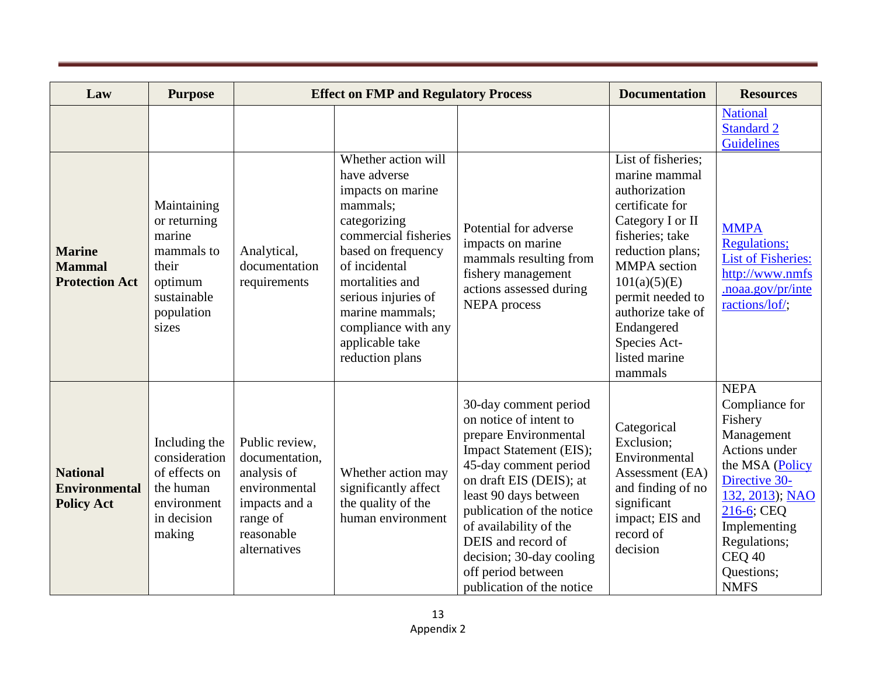| Law                                                          | <b>Purpose</b>                                                                                                |                                                                                                                             | <b>Effect on FMP and Regulatory Process</b>                                                                                                                                                                                                                                   |                                                                                                                                                                                                                                                                                                                                              | <b>Documentation</b>                                                                                                                                                                                                                                                         | <b>Resources</b>                                                                                                                                                                                                              |
|--------------------------------------------------------------|---------------------------------------------------------------------------------------------------------------|-----------------------------------------------------------------------------------------------------------------------------|-------------------------------------------------------------------------------------------------------------------------------------------------------------------------------------------------------------------------------------------------------------------------------|----------------------------------------------------------------------------------------------------------------------------------------------------------------------------------------------------------------------------------------------------------------------------------------------------------------------------------------------|------------------------------------------------------------------------------------------------------------------------------------------------------------------------------------------------------------------------------------------------------------------------------|-------------------------------------------------------------------------------------------------------------------------------------------------------------------------------------------------------------------------------|
|                                                              |                                                                                                               |                                                                                                                             |                                                                                                                                                                                                                                                                               |                                                                                                                                                                                                                                                                                                                                              |                                                                                                                                                                                                                                                                              | <b>National</b><br><b>Standard 2</b><br><b>Guidelines</b>                                                                                                                                                                     |
| <b>Marine</b><br><b>Mammal</b><br><b>Protection Act</b>      | Maintaining<br>or returning<br>marine<br>mammals to<br>their<br>optimum<br>sustainable<br>population<br>sizes | Analytical,<br>documentation<br>requirements                                                                                | Whether action will<br>have adverse<br>impacts on marine<br>mammals;<br>categorizing<br>commercial fisheries<br>based on frequency<br>of incidental<br>mortalities and<br>serious injuries of<br>marine mammals;<br>compliance with any<br>applicable take<br>reduction plans | Potential for adverse<br>impacts on marine<br>mammals resulting from<br>fishery management<br>actions assessed during<br><b>NEPA</b> process                                                                                                                                                                                                 | List of fisheries;<br>marine mammal<br>authorization<br>certificate for<br>Category I or II<br>fisheries; take<br>reduction plans;<br><b>MMPA</b> section<br>101(a)(5)(E)<br>permit needed to<br>authorize take of<br>Endangered<br>Species Act-<br>listed marine<br>mammals | <b>MMPA</b><br><b>Regulations;</b><br><b>List of Fisheries:</b><br>http://www.nmfs<br>.noaa.gov/pr/inte<br>ractions/lof/;                                                                                                     |
| <b>National</b><br><b>Environmental</b><br><b>Policy Act</b> | Including the<br>consideration<br>of effects on<br>the human<br>environment<br>in decision<br>making          | Public review,<br>documentation.<br>analysis of<br>environmental<br>impacts and a<br>range of<br>reasonable<br>alternatives | Whether action may<br>significantly affect<br>the quality of the<br>human environment                                                                                                                                                                                         | 30-day comment period<br>on notice of intent to<br>prepare Environmental<br>Impact Statement (EIS);<br>45-day comment period<br>on draft EIS (DEIS); at<br>least 90 days between<br>publication of the notice<br>of availability of the<br>DEIS and record of<br>decision; 30-day cooling<br>off period between<br>publication of the notice | Categorical<br>Exclusion;<br>Environmental<br>Assessment (EA)<br>and finding of no<br>significant<br>impact; EIS and<br>record of<br>decision                                                                                                                                | <b>NEPA</b><br>Compliance for<br>Fishery<br>Management<br>Actions under<br>the MSA (Policy<br>Directive 30-<br>132, 2013); NAO<br>$216-6$ ; CEQ<br>Implementing<br>Regulations;<br><b>CEQ 40</b><br>Questions;<br><b>NMFS</b> |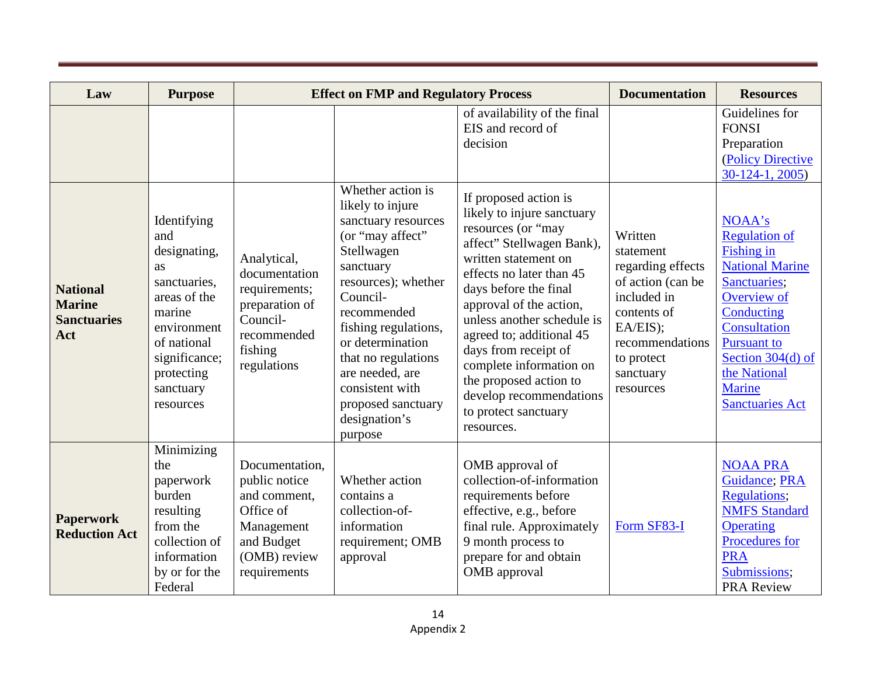| Law                                                           | <b>Purpose</b>                                                                                                                                                                   |                                                                                                                          | <b>Effect on FMP and Regulatory Process</b>                                                                                                                                                                                                                                     |                                                                                                                                                                                                                                                                                                                                                                                               | <b>Documentation</b>                                                                                                                                                | <b>Resources</b>                                                                                                                                                                                                                                 |
|---------------------------------------------------------------|----------------------------------------------------------------------------------------------------------------------------------------------------------------------------------|--------------------------------------------------------------------------------------------------------------------------|---------------------------------------------------------------------------------------------------------------------------------------------------------------------------------------------------------------------------------------------------------------------------------|-----------------------------------------------------------------------------------------------------------------------------------------------------------------------------------------------------------------------------------------------------------------------------------------------------------------------------------------------------------------------------------------------|---------------------------------------------------------------------------------------------------------------------------------------------------------------------|--------------------------------------------------------------------------------------------------------------------------------------------------------------------------------------------------------------------------------------------------|
|                                                               |                                                                                                                                                                                  |                                                                                                                          | Whether action is<br>likely to injure                                                                                                                                                                                                                                           | of availability of the final<br>EIS and record of<br>decision<br>If proposed action is                                                                                                                                                                                                                                                                                                        |                                                                                                                                                                     | Guidelines for<br><b>FONSI</b><br>Preparation<br>(Policy Directive<br>$30-124-1, 2005$                                                                                                                                                           |
| <b>National</b><br><b>Marine</b><br><b>Sanctuaries</b><br>Act | Identifying<br>and<br>designating,<br><b>as</b><br>sanctuaries,<br>areas of the<br>marine<br>environment<br>of national<br>significance;<br>protecting<br>sanctuary<br>resources | Analytical,<br>documentation<br>requirements;<br>preparation of<br>Council-<br>recommended<br>fishing<br>regulations     | sanctuary resources<br>(or "may affect"<br>Stellwagen<br>sanctuary<br>resources); whether<br>Council-<br>recommended<br>fishing regulations,<br>or determination<br>that no regulations<br>are needed, are<br>consistent with<br>proposed sanctuary<br>designation's<br>purpose | likely to injure sanctuary<br>resources (or "may<br>affect" Stellwagen Bank),<br>written statement on<br>effects no later than 45<br>days before the final<br>approval of the action,<br>unless another schedule is<br>agreed to; additional 45<br>days from receipt of<br>complete information on<br>the proposed action to<br>develop recommendations<br>to protect sanctuary<br>resources. | Written<br>statement<br>regarding effects<br>of action (can be<br>included in<br>contents of<br>EA/EIS);<br>recommendations<br>to protect<br>sanctuary<br>resources | NOAA's<br><b>Regulation of</b><br><b>Fishing in</b><br><b>National Marine</b><br>Sanctuaries;<br>Overview of<br>Conducting<br>Consultation<br><b>Pursuant to</b><br>Section 304(d) of<br>the National<br><b>Marine</b><br><b>Sanctuaries Act</b> |
| <b>Paperwork</b><br><b>Reduction Act</b>                      | Minimizing<br>the<br>paperwork<br>burden<br>resulting<br>from the<br>collection of<br>information<br>by or for the<br>Federal                                                    | Documentation,<br>public notice<br>and comment,<br>Office of<br>Management<br>and Budget<br>(OMB) review<br>requirements | Whether action<br>contains a<br>collection-of-<br>information<br>requirement; OMB<br>approval                                                                                                                                                                                   | OMB approval of<br>collection-of-information<br>requirements before<br>effective, e.g., before<br>final rule. Approximately<br>9 month process to<br>prepare for and obtain<br>OMB approval                                                                                                                                                                                                   | Form SF83-I                                                                                                                                                         | <b>NOAA PRA</b><br>Guidance; PRA<br><b>Regulations;</b><br><b>NMFS Standard</b><br><b>Operating</b><br>Procedures for<br><b>PRA</b><br>Submissions;<br><b>PRA Review</b>                                                                         |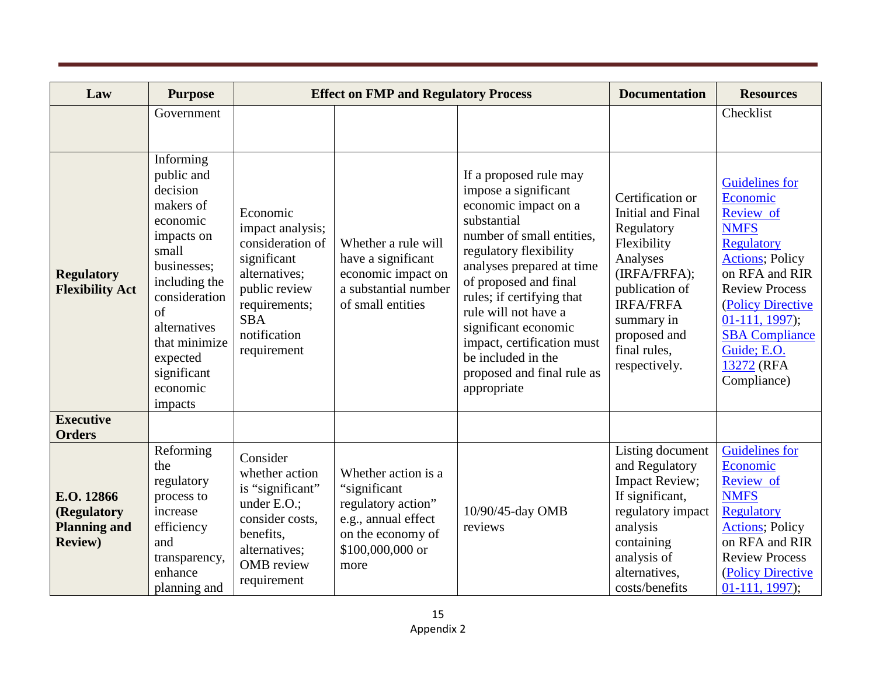| Law                                                                 | <b>Purpose</b>                                                                                                                                                                                                                |                                                                                                                                                                 | <b>Effect on FMP and Regulatory Process</b>                                                                                       |                                                                                                                                                                                                                                                                                                                                                                                  | <b>Documentation</b>                                                                                                                                                                                | <b>Resources</b>                                                                                                                                                                                                                                                       |
|---------------------------------------------------------------------|-------------------------------------------------------------------------------------------------------------------------------------------------------------------------------------------------------------------------------|-----------------------------------------------------------------------------------------------------------------------------------------------------------------|-----------------------------------------------------------------------------------------------------------------------------------|----------------------------------------------------------------------------------------------------------------------------------------------------------------------------------------------------------------------------------------------------------------------------------------------------------------------------------------------------------------------------------|-----------------------------------------------------------------------------------------------------------------------------------------------------------------------------------------------------|------------------------------------------------------------------------------------------------------------------------------------------------------------------------------------------------------------------------------------------------------------------------|
|                                                                     | Government                                                                                                                                                                                                                    |                                                                                                                                                                 |                                                                                                                                   |                                                                                                                                                                                                                                                                                                                                                                                  |                                                                                                                                                                                                     | Checklist                                                                                                                                                                                                                                                              |
| <b>Regulatory</b><br><b>Flexibility Act</b>                         | Informing<br>public and<br>decision<br>makers of<br>economic<br>impacts on<br>small<br>businesses;<br>including the<br>consideration<br>of<br>alternatives<br>that minimize<br>expected<br>significant<br>economic<br>impacts | Economic<br>impact analysis;<br>consideration of<br>significant<br>alternatives;<br>public review<br>requirements;<br><b>SBA</b><br>notification<br>requirement | Whether a rule will<br>have a significant<br>economic impact on<br>a substantial number<br>of small entities                      | If a proposed rule may<br>impose a significant<br>economic impact on a<br>substantial<br>number of small entities,<br>regulatory flexibility<br>analyses prepared at time<br>of proposed and final<br>rules; if certifying that<br>rule will not have a<br>significant economic<br>impact, certification must<br>be included in the<br>proposed and final rule as<br>appropriate | Certification or<br>Initial and Final<br>Regulatory<br>Flexibility<br>Analyses<br>(IRFA/FRFA);<br>publication of<br><b>IRFA/FRFA</b><br>summary in<br>proposed and<br>final rules,<br>respectively. | <b>Guidelines</b> for<br>Economic<br>Review of<br><b>NMFS</b><br><b>Regulatory</b><br><b>Actions</b> ; Policy<br>on RFA and RIR<br><b>Review Process</b><br>(Policy Directive<br>$01-111, 1997$ ;<br><b>SBA Compliance</b><br>Guide; E.O.<br>13272 (RFA<br>Compliance) |
| <b>Executive</b><br><b>Orders</b>                                   |                                                                                                                                                                                                                               |                                                                                                                                                                 |                                                                                                                                   |                                                                                                                                                                                                                                                                                                                                                                                  |                                                                                                                                                                                                     |                                                                                                                                                                                                                                                                        |
| E.O. 12866<br>(Regulatory<br><b>Planning and</b><br><b>Review</b> ) | Reforming<br>the<br>regulatory<br>process to<br>increase<br>efficiency<br>and<br>transparency,<br>enhance<br>planning and                                                                                                     | Consider<br>whether action<br>is "significant"<br>under E.O.:<br>consider costs,<br>benefits,<br>alternatives;<br><b>OMB</b> review<br>requirement              | Whether action is a<br>"significant<br>regulatory action"<br>e.g., annual effect<br>on the economy of<br>\$100,000,000 or<br>more | 10/90/45-day OMB<br>reviews                                                                                                                                                                                                                                                                                                                                                      | Listing document<br>and Regulatory<br>Impact Review;<br>If significant,<br>regulatory impact<br>analysis<br>containing<br>analysis of<br>alternatives,<br>costs/benefits                            | <b>Guidelines</b> for<br>Economic<br>Review of<br><b>NMFS</b><br><b>Regulatory</b><br><b>Actions</b> ; Policy<br>on RFA and RIR<br><b>Review Process</b><br>(Policy Directive<br>$01-111, 1997$ ;                                                                      |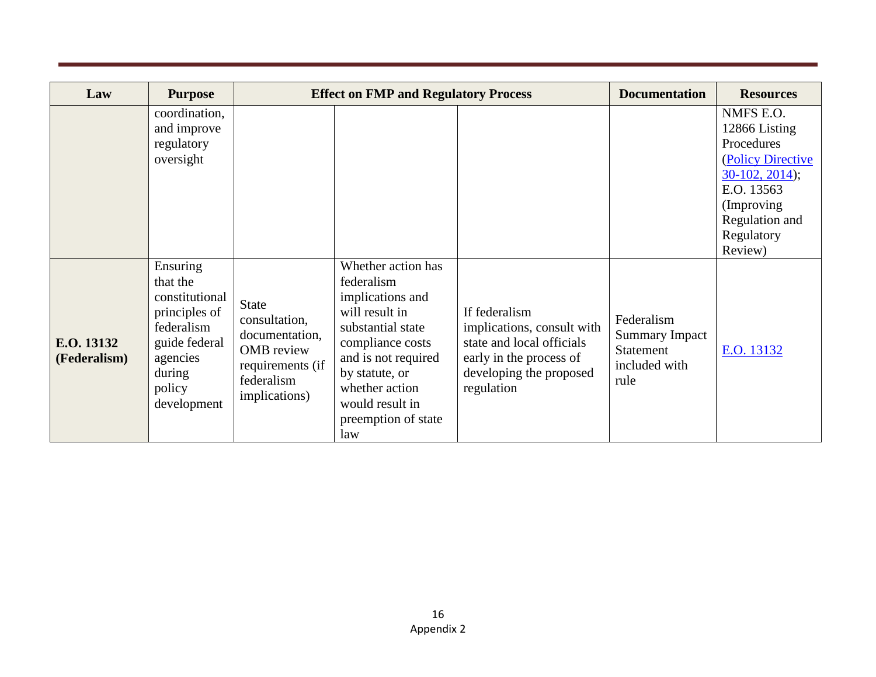| Law                        | <b>Purpose</b>                                                                                                                        |                                                                                                                  | <b>Effect on FMP and Regulatory Process</b>                                                                                                                                                                                 | <b>Documentation</b>                                                                                                                         | <b>Resources</b>                                                          |                                                                                                                                                          |
|----------------------------|---------------------------------------------------------------------------------------------------------------------------------------|------------------------------------------------------------------------------------------------------------------|-----------------------------------------------------------------------------------------------------------------------------------------------------------------------------------------------------------------------------|----------------------------------------------------------------------------------------------------------------------------------------------|---------------------------------------------------------------------------|----------------------------------------------------------------------------------------------------------------------------------------------------------|
|                            | coordination,<br>and improve<br>regulatory<br>oversight                                                                               |                                                                                                                  |                                                                                                                                                                                                                             |                                                                                                                                              |                                                                           | NMFS E.O.<br>12866 Listing<br>Procedures<br>(Policy Directive<br>$30-102, 2014$ ;<br>E.O. 13563<br>(Improving<br>Regulation and<br>Regulatory<br>Review) |
| E.O. 13132<br>(Federalism) | Ensuring<br>that the<br>constitutional<br>principles of<br>federalism<br>guide federal<br>agencies<br>during<br>policy<br>development | <b>State</b><br>consultation,<br>documentation,<br>OMB review<br>requirements (if<br>federalism<br>implications) | Whether action has<br>federalism<br>implications and<br>will result in<br>substantial state<br>compliance costs<br>and is not required<br>by statute, or<br>whether action<br>would result in<br>preemption of state<br>law | If federalism<br>implications, consult with<br>state and local officials<br>early in the process of<br>developing the proposed<br>regulation | Federalism<br><b>Summary Impact</b><br>Statement<br>included with<br>rule | E.O. 13132                                                                                                                                               |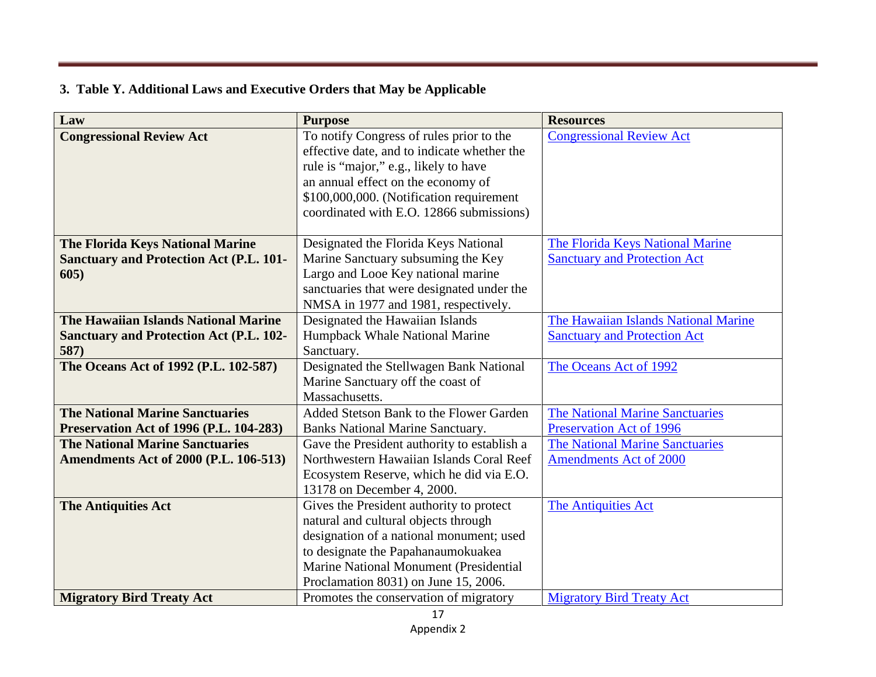### **3. Table Y. Additional Laws and Executive Orders that May be Applicable**

| Law                                            | <b>Purpose</b>                                                                          | <b>Resources</b>                       |
|------------------------------------------------|-----------------------------------------------------------------------------------------|----------------------------------------|
| <b>Congressional Review Act</b>                | To notify Congress of rules prior to the<br>effective date, and to indicate whether the | <b>Congressional Review Act</b>        |
|                                                | rule is "major," e.g., likely to have                                                   |                                        |
|                                                | an annual effect on the economy of                                                      |                                        |
|                                                | \$100,000,000. (Notification requirement                                                |                                        |
|                                                | coordinated with E.O. 12866 submissions)                                                |                                        |
|                                                |                                                                                         |                                        |
| <b>The Florida Keys National Marine</b>        | Designated the Florida Keys National                                                    | The Florida Keys National Marine       |
| <b>Sanctuary and Protection Act (P.L. 101-</b> | Marine Sanctuary subsuming the Key                                                      | <b>Sanctuary and Protection Act</b>    |
| 605)                                           | Largo and Looe Key national marine                                                      |                                        |
|                                                | sanctuaries that were designated under the                                              |                                        |
|                                                | NMSA in 1977 and 1981, respectively.                                                    |                                        |
| The Hawaiian Islands National Marine           | Designated the Hawaiian Islands                                                         | The Hawaiian Islands National Marine   |
| <b>Sanctuary and Protection Act (P.L. 102-</b> | Humpback Whale National Marine                                                          | <b>Sanctuary and Protection Act</b>    |
| 587)                                           | Sanctuary.                                                                              |                                        |
| The Oceans Act of 1992 (P.L. 102-587)          | Designated the Stellwagen Bank National                                                 | The Oceans Act of 1992                 |
|                                                | Marine Sanctuary off the coast of                                                       |                                        |
|                                                | Massachusetts.                                                                          |                                        |
| <b>The National Marine Sanctuaries</b>         | Added Stetson Bank to the Flower Garden                                                 | <b>The National Marine Sanctuaries</b> |
| <b>Preservation Act of 1996 (P.L. 104-283)</b> | <b>Banks National Marine Sanctuary.</b>                                                 | Preservation Act of 1996               |
| <b>The National Marine Sanctuaries</b>         | Gave the President authority to establish a                                             | The National Marine Sanctuaries        |
| <b>Amendments Act of 2000 (P.L. 106-513)</b>   | Northwestern Hawaiian Islands Coral Reef                                                | <b>Amendments Act of 2000</b>          |
|                                                | Ecosystem Reserve, which he did via E.O.                                                |                                        |
|                                                | 13178 on December 4, 2000.                                                              |                                        |
| <b>The Antiquities Act</b>                     | Gives the President authority to protect                                                | <b>The Antiquities Act</b>             |
|                                                | natural and cultural objects through                                                    |                                        |
|                                                | designation of a national monument; used                                                |                                        |
|                                                | to designate the Papahanaumokuakea                                                      |                                        |
|                                                | <b>Marine National Monument (Presidential</b>                                           |                                        |
|                                                | Proclamation 8031) on June 15, 2006.                                                    |                                        |
| <b>Migratory Bird Treaty Act</b>               | Promotes the conservation of migratory                                                  | <b>Migratory Bird Treaty Act</b>       |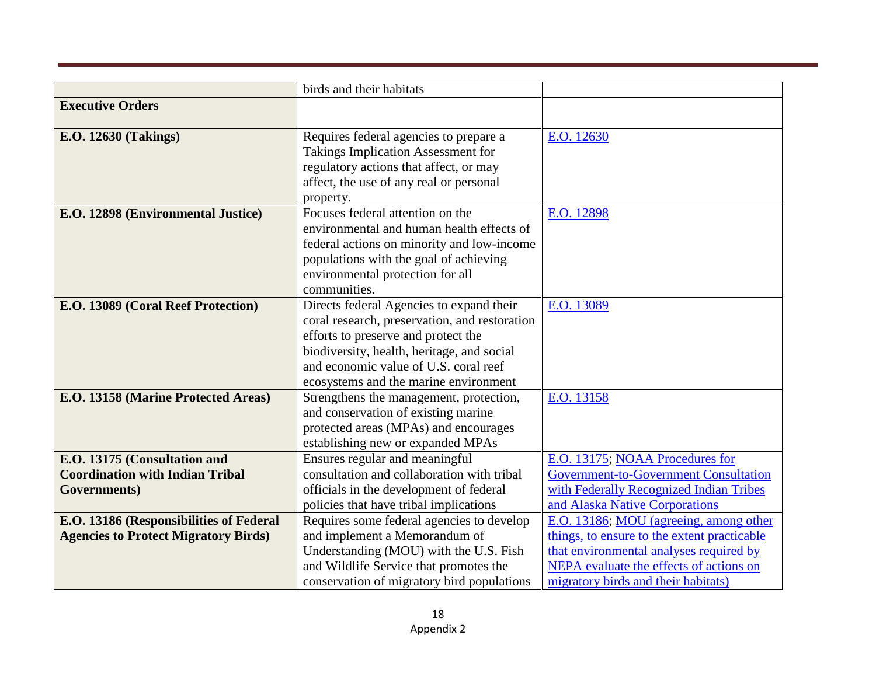|                                             | birds and their habitats                         |                                              |
|---------------------------------------------|--------------------------------------------------|----------------------------------------------|
| <b>Executive Orders</b>                     |                                                  |                                              |
|                                             |                                                  |                                              |
| <b>E.O. 12630 (Takings)</b>                 | Requires federal agencies to prepare a           | E.O. 12630                                   |
|                                             | <b>Takings Implication Assessment for</b>        |                                              |
|                                             | regulatory actions that affect, or may           |                                              |
|                                             | affect, the use of any real or personal          |                                              |
|                                             | property.                                        |                                              |
| E.O. 12898 (Environmental Justice)          | Focuses federal attention on the                 | E.O. 12898                                   |
|                                             | environmental and human health effects of        |                                              |
|                                             | federal actions on minority and low-income       |                                              |
|                                             | populations with the goal of achieving           |                                              |
|                                             | environmental protection for all<br>communities. |                                              |
| E.O. 13089 (Coral Reef Protection)          | Directs federal Agencies to expand their         | E.O. 13089                                   |
|                                             | coral research, preservation, and restoration    |                                              |
|                                             | efforts to preserve and protect the              |                                              |
|                                             | biodiversity, health, heritage, and social       |                                              |
|                                             | and economic value of U.S. coral reef            |                                              |
|                                             | ecosystems and the marine environment            |                                              |
| E.O. 13158 (Marine Protected Areas)         | Strengthens the management, protection,          | E.O. 13158                                   |
|                                             | and conservation of existing marine              |                                              |
|                                             | protected areas (MPAs) and encourages            |                                              |
|                                             | establishing new or expanded MPAs                |                                              |
| E.O. 13175 (Consultation and                | Ensures regular and meaningful                   | E.O. 13175; NOAA Procedures for              |
| <b>Coordination with Indian Tribal</b>      | consultation and collaboration with tribal       | <b>Government-to-Government Consultation</b> |
| Governments)                                | officials in the development of federal          | with Federally Recognized Indian Tribes      |
|                                             | policies that have tribal implications           | and Alaska Native Corporations               |
| E.O. 13186 (Responsibilities of Federal     | Requires some federal agencies to develop        | E.O. 13186; MOU (agreeing, among other       |
| <b>Agencies to Protect Migratory Birds)</b> | and implement a Memorandum of                    | things, to ensure to the extent practicable  |
|                                             | Understanding (MOU) with the U.S. Fish           | that environmental analyses required by      |
|                                             | and Wildlife Service that promotes the           | NEPA evaluate the effects of actions on      |
|                                             | conservation of migratory bird populations       | migratory birds and their habitats)          |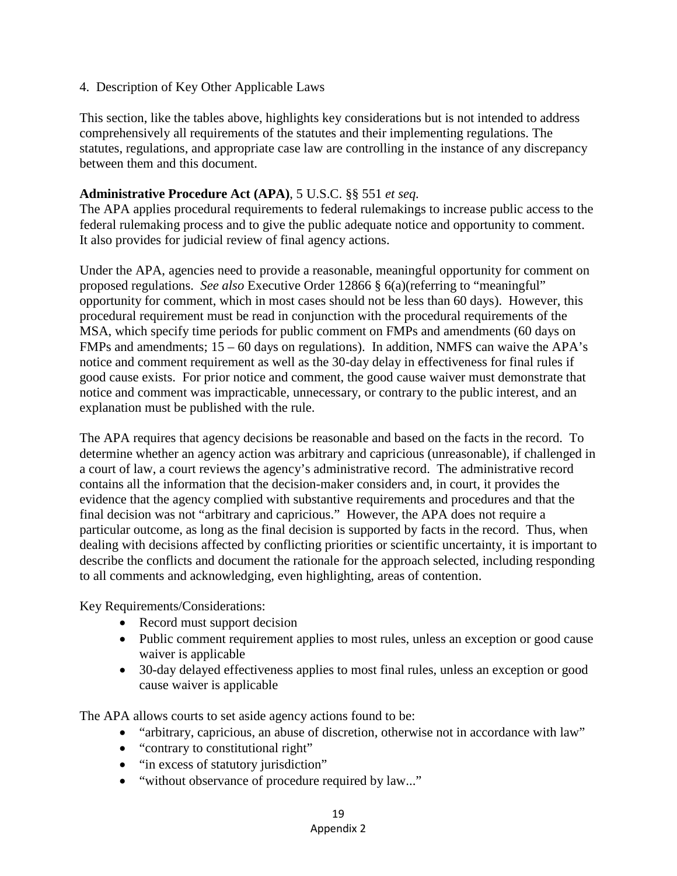#### 4. Description of Key Other Applicable Laws

This section, like the tables above, highlights key considerations but is not intended to address comprehensively all requirements of the statutes and their implementing regulations. The statutes, regulations, and appropriate case law are controlling in the instance of any discrepancy between them and this document.

#### **Administrative Procedure Act (APA)**, 5 U.S.C. §§ 551 *et seq.*

The APA applies procedural requirements to federal rulemakings to increase public access to the federal rulemaking process and to give the public adequate notice and opportunity to comment. It also provides for judicial review of final agency actions.

Under the APA, agencies need to provide a reasonable, meaningful opportunity for comment on proposed regulations. *See also* Executive Order 12866 § 6(a)(referring to "meaningful" opportunity for comment, which in most cases should not be less than 60 days). However, this procedural requirement must be read in conjunction with the procedural requirements of the MSA, which specify time periods for public comment on FMPs and amendments (60 days on FMPs and amendments;  $15 - 60$  days on regulations). In addition, NMFS can waive the APA's notice and comment requirement as well as the 30-day delay in effectiveness for final rules if good cause exists. For prior notice and comment, the good cause waiver must demonstrate that notice and comment was impracticable, unnecessary, or contrary to the public interest, and an explanation must be published with the rule.

The APA requires that agency decisions be reasonable and based on the facts in the record. To determine whether an agency action was arbitrary and capricious (unreasonable), if challenged in a court of law, a court reviews the agency's administrative record. The administrative record contains all the information that the decision-maker considers and, in court, it provides the evidence that the agency complied with substantive requirements and procedures and that the final decision was not "arbitrary and capricious." However, the APA does not require a particular outcome, as long as the final decision is supported by facts in the record. Thus, when dealing with decisions affected by conflicting priorities or scientific uncertainty, it is important to describe the conflicts and document the rationale for the approach selected, including responding to all comments and acknowledging, even highlighting, areas of contention.

Key Requirements/Considerations:

- Record must support decision
- Public comment requirement applies to most rules, unless an exception or good cause waiver is applicable
- 30-day delayed effectiveness applies to most final rules, unless an exception or good cause waiver is applicable

The APA allows courts to set aside agency actions found to be:

- "arbitrary, capricious, an abuse of discretion, otherwise not in accordance with law"
- "contrary to constitutional right"
- "in excess of statutory jurisdiction"
- "without observance of procedure required by law..."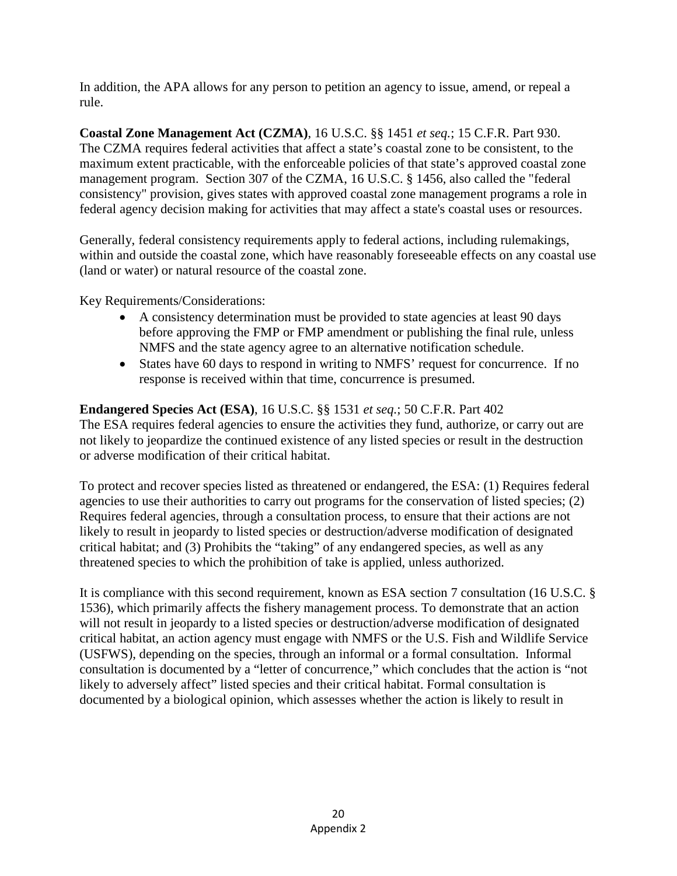In addition, the APA allows for any person to petition an agency to issue, amend, or repeal a rule.

**Coastal Zone Management Act (CZMA)**, 16 U.S.C. §§ 1451 *et seq.*; 15 C.F.R. Part 930. The CZMA requires federal activities that affect a state's coastal zone to be consistent, to the maximum extent practicable, with the enforceable policies of that state's approved coastal zone management program. Section 307 of the CZMA, 16 U.S.C. § 1456, also called the "federal consistency" provision, gives states with approved coastal zone management programs a role in federal agency decision making for activities that may affect a state's coastal uses or resources.

Generally, federal consistency requirements apply to federal actions, including rulemakings, within and outside the coastal zone, which have reasonably foreseeable effects on any coastal use (land or water) or natural resource of the coastal zone.

Key Requirements/Considerations:

- A consistency determination must be provided to state agencies at least 90 days before approving the FMP or FMP amendment or publishing the final rule, unless NMFS and the state agency agree to an alternative notification schedule.
- States have 60 days to respond in writing to NMFS' request for concurrence. If no response is received within that time, concurrence is presumed.

**Endangered Species Act (ESA)**, 16 U.S.C. §§ 1531 *et seq.*; 50 C.F.R. Part 402 The ESA requires federal agencies to ensure the activities they fund, authorize, or carry out are not likely to jeopardize the continued existence of any listed species or result in the destruction or adverse modification of their critical habitat.

To protect and recover species listed as threatened or endangered, the ESA: (1) Requires federal agencies to use their authorities to carry out programs for the conservation of listed species; (2) Requires federal agencies, through a consultation process, to ensure that their actions are not likely to result in jeopardy to listed species or destruction/adverse modification of designated critical habitat; and (3) Prohibits the "taking" of any endangered species, as well as any threatened species to which the prohibition of take is applied, unless authorized.

It is compliance with this second requirement, known as ESA section 7 consultation (16 U.S.C. § 1536), which primarily affects the fishery management process. To demonstrate that an action will not result in jeopardy to a listed species or destruction/adverse modification of designated critical habitat, an action agency must engage with NMFS or the U.S. Fish and Wildlife Service (USFWS), depending on the species, through an informal or a formal consultation. Informal consultation is documented by a "letter of concurrence," which concludes that the action is "not likely to adversely affect" listed species and their critical habitat. Formal consultation is documented by a biological opinion, which assesses whether the action is likely to result in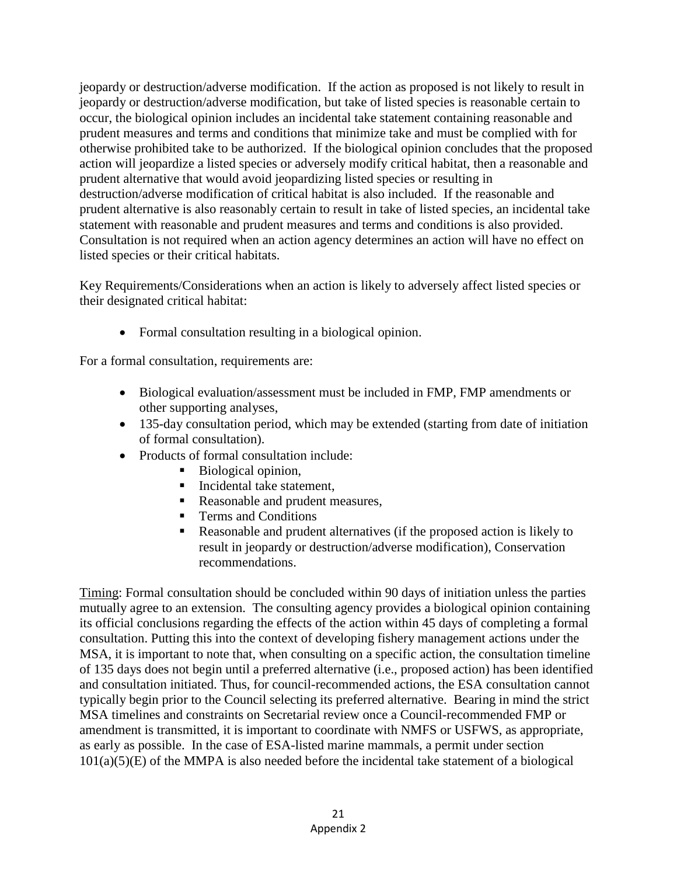jeopardy or destruction/adverse modification. If the action as proposed is not likely to result in jeopardy or destruction/adverse modification, but take of listed species is reasonable certain to occur, the biological opinion includes an incidental take statement containing reasonable and prudent measures and terms and conditions that minimize take and must be complied with for otherwise prohibited take to be authorized. If the biological opinion concludes that the proposed action will jeopardize a listed species or adversely modify critical habitat, then a reasonable and prudent alternative that would avoid jeopardizing listed species or resulting in destruction/adverse modification of critical habitat is also included. If the reasonable and prudent alternative is also reasonably certain to result in take of listed species, an incidental take statement with reasonable and prudent measures and terms and conditions is also provided. Consultation is not required when an action agency determines an action will have no effect on listed species or their critical habitats.

Key Requirements/Considerations when an action is likely to adversely affect listed species or their designated critical habitat:

• Formal consultation resulting in a biological opinion.

For a formal consultation, requirements are:

- Biological evaluation/assessment must be included in FMP, FMP amendments or other supporting analyses,
- 135-day consultation period, which may be extended (starting from date of initiation of formal consultation).
- Products of formal consultation include:
	- Biological opinion,
	- Incidental take statement,
	- Reasonable and prudent measures,
	- **Terms and Conditions**
	- Reasonable and prudent alternatives (if the proposed action is likely to result in jeopardy or destruction/adverse modification), Conservation recommendations.

Timing: Formal consultation should be concluded within 90 days of initiation unless the parties mutually agree to an extension. The consulting agency provides a biological opinion containing its official conclusions regarding the effects of the action within 45 days of completing a formal consultation. Putting this into the context of developing fishery management actions under the MSA, it is important to note that, when consulting on a specific action, the consultation timeline of 135 days does not begin until a preferred alternative (i.e., proposed action) has been identified and consultation initiated. Thus, for council-recommended actions, the ESA consultation cannot typically begin prior to the Council selecting its preferred alternative. Bearing in mind the strict MSA timelines and constraints on Secretarial review once a Council-recommended FMP or amendment is transmitted, it is important to coordinate with NMFS or USFWS, as appropriate, as early as possible. In the case of ESA-listed marine mammals, a permit under section  $101(a)(5)(E)$  of the MMPA is also needed before the incidental take statement of a biological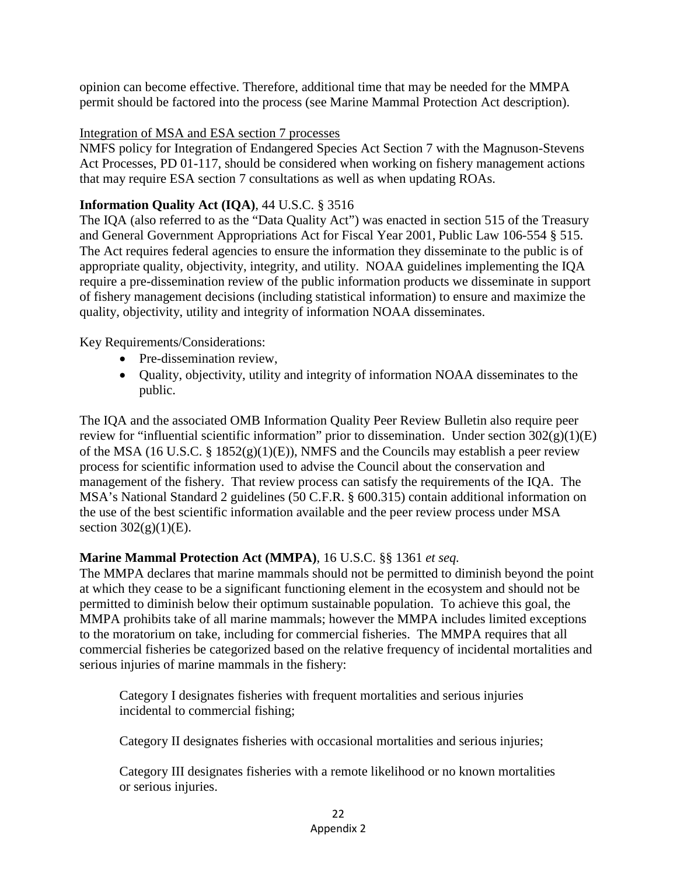opinion can become effective. Therefore, additional time that may be needed for the MMPA permit should be factored into the process (see Marine Mammal Protection Act description).

#### Integration of MSA and ESA section 7 processes

NMFS policy for Integration of Endangered Species Act Section 7 with the Magnuson-Stevens Act Processes, PD 01-117, should be considered when working on fishery management actions that may require ESA section 7 consultations as well as when updating ROAs.

#### **Information Quality Act (IQA)**, 44 U.S.C. § 3516

The IQA (also referred to as the "Data Quality Act") was enacted in section 515 of the Treasury and General Government Appropriations Act for Fiscal Year 2001, Public Law 106-554 § 515. The Act requires federal agencies to ensure the information they disseminate to the public is of appropriate quality, objectivity, integrity, and utility. NOAA guidelines implementing the IQA require a pre-dissemination review of the public information products we disseminate in support of fishery management decisions (including statistical information) to ensure and maximize the quality, objectivity, utility and integrity of information NOAA disseminates.

Key Requirements/Considerations:

- Pre-dissemination review,
- Quality, objectivity, utility and integrity of information NOAA disseminates to the public.

The IQA and the associated OMB Information Quality Peer Review Bulletin also require peer review for "influential scientific information" prior to dissemination. Under section  $302(g)(1)(E)$ of the MSA (16 U.S.C. § 1852(g)(1)(E)), NMFS and the Councils may establish a peer review process for scientific information used to advise the Council about the conservation and management of the fishery. That review process can satisfy the requirements of the IQA. The MSA's National Standard 2 guidelines (50 C.F.R. § 600.315) contain additional information on the use of the best scientific information available and the peer review process under MSA section  $302(g)(1)(E)$ .

#### **Marine Mammal Protection Act (MMPA)**, 16 U.S.C. §§ 1361 *et seq.*

The MMPA declares that marine mammals should not be permitted to diminish beyond the point at which they cease to be a significant functioning element in the ecosystem and should not be permitted to diminish below their optimum sustainable population. To achieve this goal, the MMPA prohibits take of all marine mammals; however the MMPA includes limited exceptions to the moratorium on take, including for commercial fisheries. The MMPA requires that all commercial fisheries be categorized based on the relative frequency of incidental mortalities and serious injuries of marine mammals in the fishery:

Category I designates fisheries with frequent mortalities and serious injuries incidental to commercial fishing;

Category II designates fisheries with occasional mortalities and serious injuries;

Category III designates fisheries with a remote likelihood or no known mortalities or serious injuries.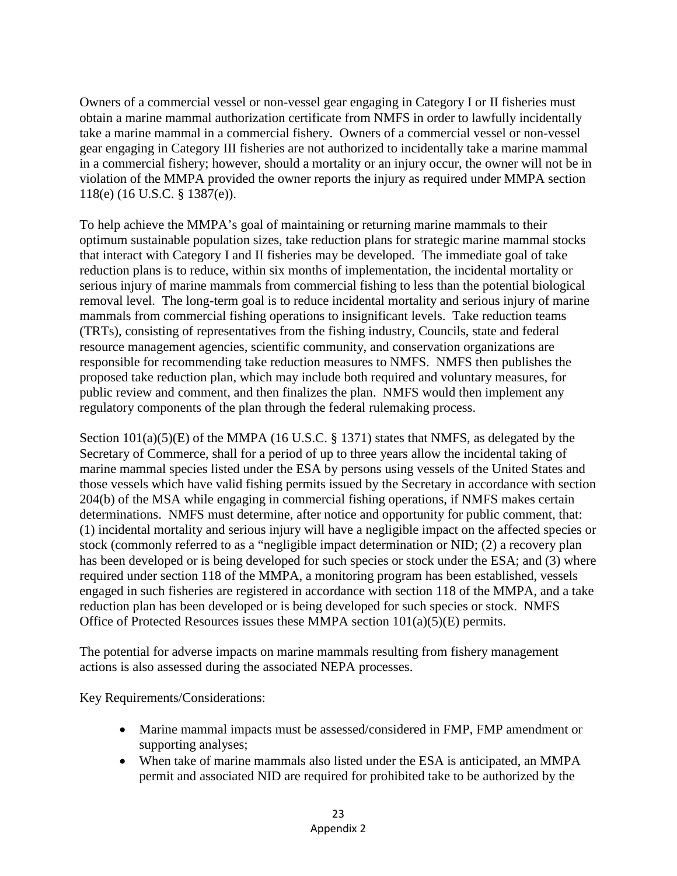Owners of a commercial vessel or non-vessel gear engaging in Category I or II fisheries must obtain a marine mammal authorization certificate from NMFS in order to lawfully incidentally take a marine mammal in a commercial fishery. Owners of a commercial vessel or non-vessel gear engaging in Category III fisheries are not authorized to incidentally take a marine mammal in a commercial fishery; however, should a mortality or an injury occur, the owner will not be in violation of the MMPA provided the owner reports the injury as required under MMPA section 118(e) (16 U.S.C. § 1387(e)).

To help achieve the MMPA's goal of maintaining or returning marine mammals to their optimum sustainable population sizes, take reduction plans for strategic marine mammal stocks that interact with Category I and II fisheries may be developed. The immediate goal of take reduction plans is to reduce, within six months of implementation, the incidental mortality or serious injury of marine mammals from commercial fishing to less than the potential biological removal level. The long-term goal is to reduce incidental mortality and serious injury of marine mammals from commercial fishing operations to insignificant levels. Take reduction teams (TRTs), consisting of representatives from the fishing industry, Councils, state and federal resource management agencies, scientific community, and conservation organizations are responsible for recommending take reduction measures to NMFS. NMFS then publishes the proposed take reduction plan, which may include both required and voluntary measures, for public review and comment, and then finalizes the plan. NMFS would then implement any regulatory components of the plan through the federal rulemaking process.

Section 101(a)(5)(E) of the MMPA (16 U.S.C. § 1371) states that NMFS, as delegated by the Secretary of Commerce, shall for a period of up to three years allow the incidental taking of marine mammal species listed under the ESA by persons using vessels of the United States and those vessels which have valid fishing permits issued by the Secretary in accordance with section 204(b) of the MSA while engaging in commercial fishing operations, if NMFS makes certain determinations. NMFS must determine, after notice and opportunity for public comment, that: (1) incidental mortality and serious injury will have a negligible impact on the affected species or stock (commonly referred to as a "negligible impact determination or NID; (2) a recovery plan has been developed or is being developed for such species or stock under the ESA; and (3) where required under section 118 of the MMPA, a monitoring program has been established, vessels engaged in such fisheries are registered in accordance with section 118 of the MMPA, and a take reduction plan has been developed or is being developed for such species or stock. NMFS Office of Protected Resources issues these MMPA section  $101(a)(5)(E)$  permits.

The potential for adverse impacts on marine mammals resulting from fishery management actions is also assessed during the associated NEPA processes.

Key Requirements/Considerations:

- Marine mammal impacts must be assessed/considered in FMP, FMP amendment or supporting analyses;
- When take of marine mammals also listed under the ESA is anticipated, an MMPA permit and associated NID are required for prohibited take to be authorized by the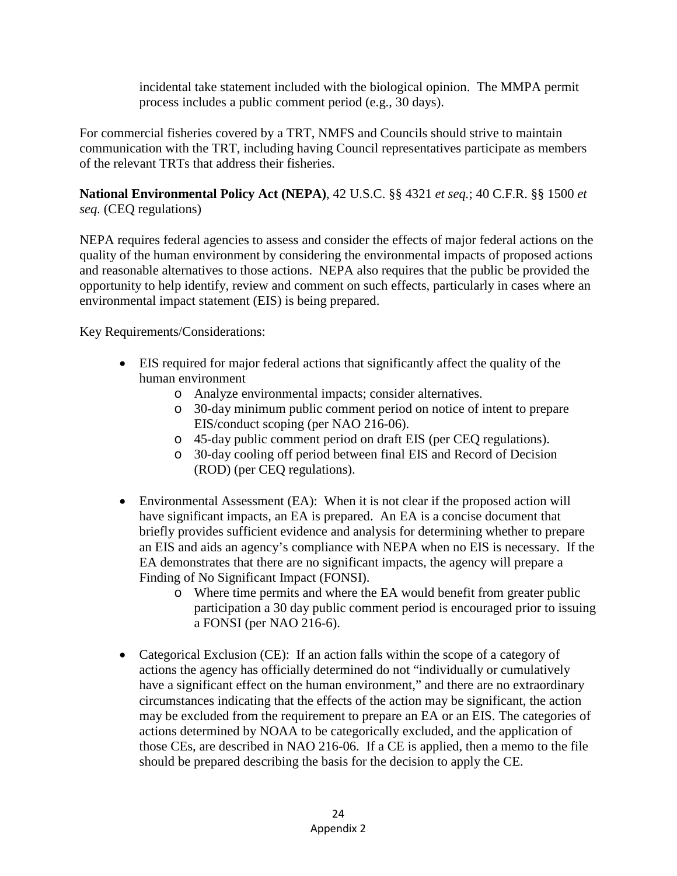incidental take statement included with the biological opinion. The MMPA permit process includes a public comment period (e.g., 30 days).

For commercial fisheries covered by a TRT, NMFS and Councils should strive to maintain communication with the TRT, including having Council representatives participate as members of the relevant TRTs that address their fisheries.

**National Environmental Policy Act (NEPA)**, 42 U.S.C. §§ 4321 *et seq.*; 40 C.F.R. §§ 1500 *et seq.* (CEQ regulations)

NEPA requires federal agencies to assess and consider the effects of major federal actions on the quality of the human environment by considering the environmental impacts of proposed actions and reasonable alternatives to those actions. NEPA also requires that the public be provided the opportunity to help identify, review and comment on such effects, particularly in cases where an environmental impact statement (EIS) is being prepared.

Key Requirements/Considerations:

- EIS required for major federal actions that significantly affect the quality of the human environment
	- o Analyze environmental impacts; consider alternatives.
	- o 30-day minimum public comment period on notice of intent to prepare EIS/conduct scoping (per NAO 216-06).
	- o 45-day public comment period on draft EIS (per CEQ regulations).
	- o 30-day cooling off period between final EIS and Record of Decision (ROD) (per CEQ regulations).
- Environmental Assessment (EA): When it is not clear if the proposed action will have significant impacts, an EA is prepared. An EA is a concise document that briefly provides sufficient evidence and analysis for determining whether to prepare an EIS and aids an agency's compliance with NEPA when no EIS is necessary. If the EA demonstrates that there are no significant impacts, the agency will prepare a Finding of No Significant Impact (FONSI).
	- o Where time permits and where the EA would benefit from greater public participation a 30 day public comment period is encouraged prior to issuing a FONSI (per NAO 216-6).
- Categorical Exclusion (CE): If an action falls within the scope of a category of actions the agency has officially determined do not "individually or cumulatively have a significant effect on the human environment," and there are no extraordinary circumstances indicating that the effects of the action may be significant, the action may be excluded from the requirement to prepare an EA or an EIS. The categories of actions determined by NOAA to be categorically excluded, and the application of those CEs, are described in NAO 216-06. If a CE is applied, then a memo to the file should be prepared describing the basis for the decision to apply the CE.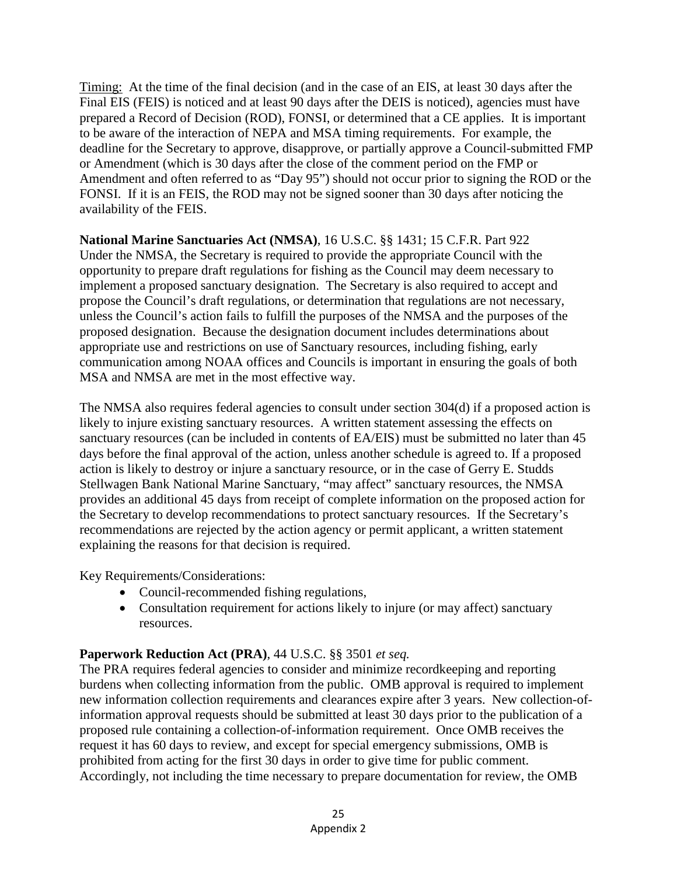Timing: At the time of the final decision (and in the case of an EIS, at least 30 days after the Final EIS (FEIS) is noticed and at least 90 days after the DEIS is noticed), agencies must have prepared a Record of Decision (ROD), FONSI, or determined that a CE applies. It is important to be aware of the interaction of NEPA and MSA timing requirements. For example, the deadline for the Secretary to approve, disapprove, or partially approve a Council-submitted FMP or Amendment (which is 30 days after the close of the comment period on the FMP or Amendment and often referred to as "Day 95") should not occur prior to signing the ROD or the FONSI. If it is an FEIS, the ROD may not be signed sooner than 30 days after noticing the availability of the FEIS.

**National Marine Sanctuaries Act (NMSA)**, 16 U.S.C. §§ 1431; 15 C.F.R. Part 922 Under the NMSA, the Secretary is required to provide the appropriate Council with the opportunity to prepare draft regulations for fishing as the Council may deem necessary to implement a proposed sanctuary designation. The Secretary is also required to accept and propose the Council's draft regulations, or determination that regulations are not necessary, unless the Council's action fails to fulfill the purposes of the NMSA and the purposes of the proposed designation. Because the designation document includes determinations about appropriate use and restrictions on use of Sanctuary resources, including fishing, early communication among NOAA offices and Councils is important in ensuring the goals of both MSA and NMSA are met in the most effective way.

The NMSA also requires federal agencies to consult under section 304(d) if a proposed action is likely to injure existing sanctuary resources. A written statement assessing the effects on sanctuary resources (can be included in contents of EA/EIS) must be submitted no later than 45 days before the final approval of the action, unless another schedule is agreed to. If a proposed action is likely to destroy or injure a sanctuary resource, or in the case of Gerry E. Studds Stellwagen Bank National Marine Sanctuary, "may affect" sanctuary resources, the NMSA provides an additional 45 days from receipt of complete information on the proposed action for the Secretary to develop recommendations to protect sanctuary resources. If the Secretary's recommendations are rejected by the action agency or permit applicant, a written statement explaining the reasons for that decision is required.

Key Requirements/Considerations:

- Council-recommended fishing regulations,
- Consultation requirement for actions likely to injure (or may affect) sanctuary resources.

#### **Paperwork Reduction Act (PRA)**, 44 U.S.C. §§ 3501 *et seq.*

The PRA requires federal agencies to consider and minimize recordkeeping and reporting burdens when collecting information from the public. OMB approval is required to implement new information collection requirements and clearances expire after 3 years. New collection-ofinformation approval requests should be submitted at least 30 days prior to the publication of a proposed rule containing a collection-of-information requirement. Once OMB receives the request it has 60 days to review, and except for special emergency submissions, OMB is prohibited from acting for the first 30 days in order to give time for public comment. Accordingly, not including the time necessary to prepare documentation for review, the OMB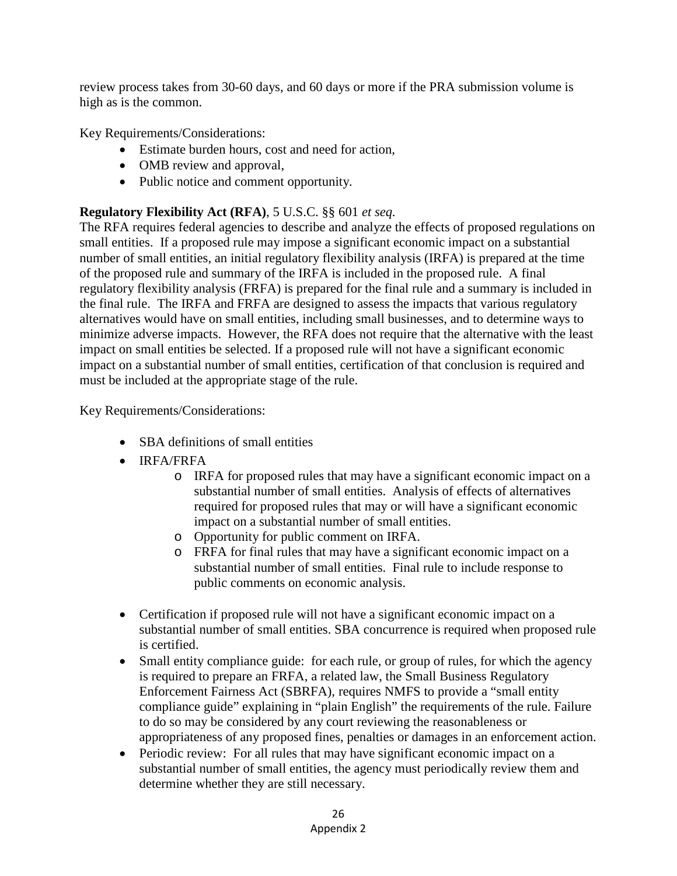review process takes from 30-60 days, and 60 days or more if the PRA submission volume is high as is the common.

Key Requirements/Considerations:

- Estimate burden hours, cost and need for action,
- OMB review and approval,
- Public notice and comment opportunity.

#### **Regulatory Flexibility Act (RFA)**, 5 U.S.C. §§ 601 *et seq.*

The RFA requires federal agencies to describe and analyze the effects of proposed regulations on small entities. If a proposed rule may impose a significant economic impact on a substantial number of small entities, an initial regulatory flexibility analysis (IRFA) is prepared at the time of the proposed rule and summary of the IRFA is included in the proposed rule. A final regulatory flexibility analysis (FRFA) is prepared for the final rule and a summary is included in the final rule. The IRFA and FRFA are designed to assess the impacts that various regulatory alternatives would have on small entities, including small businesses, and to determine ways to minimize adverse impacts. However, the RFA does not require that the alternative with the least impact on small entities be selected. If a proposed rule will not have a significant economic impact on a substantial number of small entities, certification of that conclusion is required and must be included at the appropriate stage of the rule.

Key Requirements/Considerations:

- SBA definitions of small entities
- IRFA/FRFA
	- o IRFA for proposed rules that may have a significant economic impact on a substantial number of small entities. Analysis of effects of alternatives required for proposed rules that may or will have a significant economic impact on a substantial number of small entities.
	- o Opportunity for public comment on IRFA.
	- o FRFA for final rules that may have a significant economic impact on a substantial number of small entities. Final rule to include response to public comments on economic analysis.
- Certification if proposed rule will not have a significant economic impact on a substantial number of small entities. SBA concurrence is required when proposed rule is certified.
- Small entity compliance guide: for each rule, or group of rules, for which the agency is required to prepare an FRFA, a related law, the Small Business Regulatory Enforcement Fairness Act (SBRFA), requires NMFS to provide a "small entity compliance guide" explaining in "plain English" the requirements of the rule. Failure to do so may be considered by any court reviewing the reasonableness or appropriateness of any proposed fines, penalties or damages in an enforcement action.
- Periodic review: For all rules that may have significant economic impact on a substantial number of small entities, the agency must periodically review them and determine whether they are still necessary.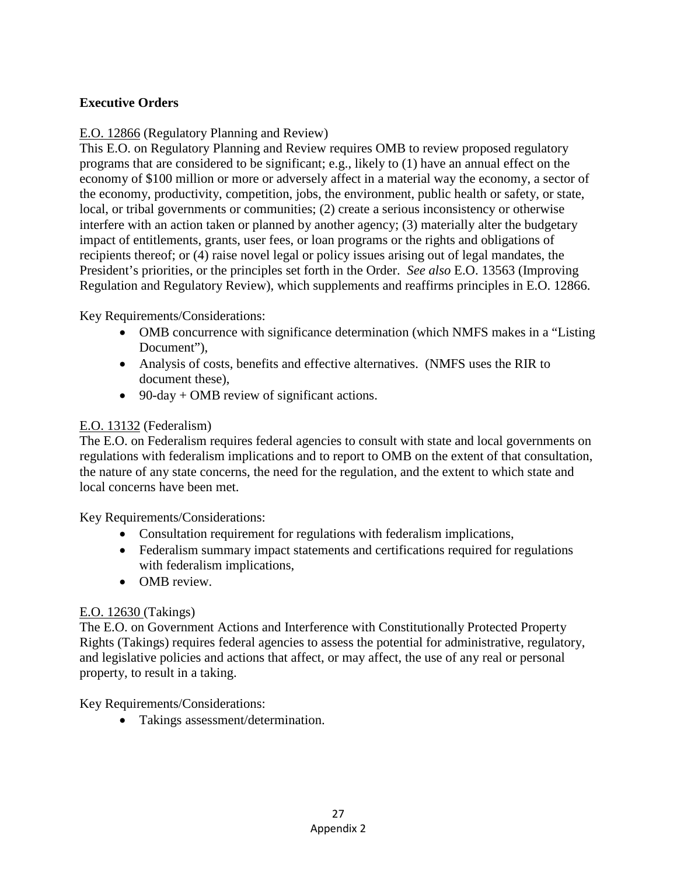#### **Executive Orders**

#### E.O. 12866 (Regulatory Planning and Review)

This E.O. on Regulatory Planning and Review requires OMB to review proposed regulatory programs that are considered to be significant; e.g., likely to (1) have an annual effect on the economy of \$100 million or more or adversely affect in a material way the economy, a sector of the economy, productivity, competition, jobs, the environment, public health or safety, or state, local, or tribal governments or communities; (2) create a serious inconsistency or otherwise interfere with an action taken or planned by another agency; (3) materially alter the budgetary impact of entitlements, grants, user fees, or loan programs or the rights and obligations of recipients thereof; or (4) raise novel legal or policy issues arising out of legal mandates, the President's priorities, or the principles set forth in the Order. *See also* E.O. 13563 (Improving Regulation and Regulatory Review), which supplements and reaffirms principles in E.O. 12866.

#### Key Requirements/Considerations:

- OMB concurrence with significance determination (which NMFS makes in a "Listing") Document"),
- Analysis of costs, benefits and effective alternatives. (NMFS uses the RIR to document these),
- 90-day + OMB review of significant actions.

#### E.O. 13132 (Federalism)

The E.O. on Federalism requires federal agencies to consult with state and local governments on regulations with federalism implications and to report to OMB on the extent of that consultation, the nature of any state concerns, the need for the regulation, and the extent to which state and local concerns have been met.

Key Requirements/Considerations:

- Consultation requirement for regulations with federalism implications,
- Federalism summary impact statements and certifications required for regulations with federalism implications,
- OMB review.

#### E.O. 12630 (Takings)

The E.O. on Government Actions and Interference with Constitutionally Protected Property Rights (Takings) requires federal agencies to assess the potential for administrative, regulatory, and legislative policies and actions that affect, or may affect, the use of any real or personal property, to result in a taking.

Key Requirements/Considerations:

• Takings assessment/determination.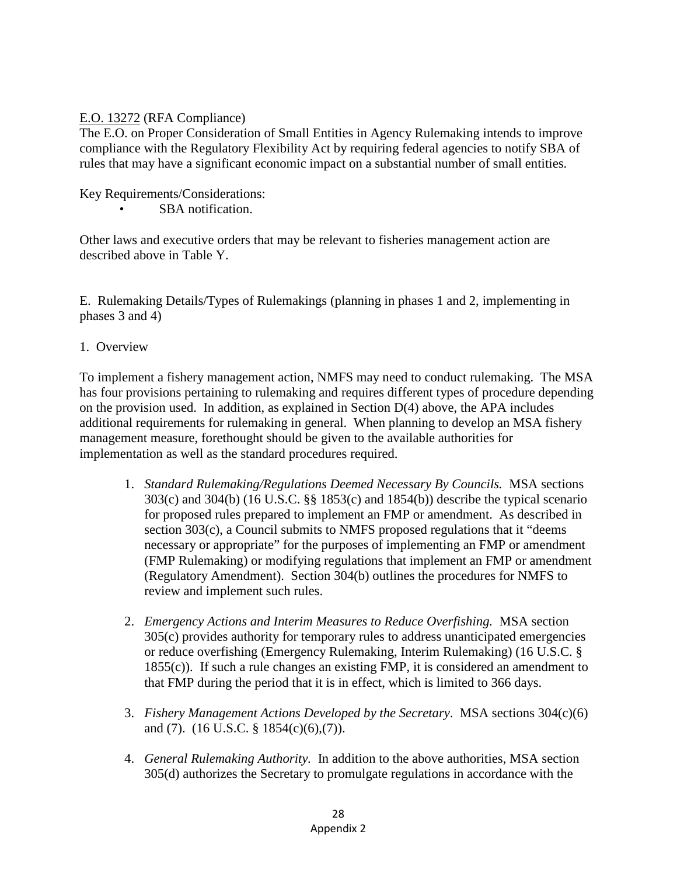#### E.O. 13272 (RFA Compliance)

The E.O. on Proper Consideration of Small Entities in Agency Rulemaking intends to improve compliance with the Regulatory Flexibility Act by requiring federal agencies to notify SBA of rules that may have a significant economic impact on a substantial number of small entities.

Key Requirements/Considerations:

SBA notification.

Other laws and executive orders that may be relevant to fisheries management action are described above in Table Y.

E. Rulemaking Details/Types of Rulemakings (planning in phases 1 and 2, implementing in phases 3 and 4)

1. Overview

To implement a fishery management action, NMFS may need to conduct rulemaking. The MSA has four provisions pertaining to rulemaking and requires different types of procedure depending on the provision used. In addition, as explained in Section D(4) above, the APA includes additional requirements for rulemaking in general. When planning to develop an MSA fishery management measure, forethought should be given to the available authorities for implementation as well as the standard procedures required.

- 1. *Standard Rulemaking/Regulations Deemed Necessary By Councils.* MSA sections 303(c) and 304(b) (16 U.S.C. §§ 1853(c) and 1854(b)) describe the typical scenario for proposed rules prepared to implement an FMP or amendment. As described in section 303(c), a Council submits to NMFS proposed regulations that it "deems necessary or appropriate" for the purposes of implementing an FMP or amendment (FMP Rulemaking) or modifying regulations that implement an FMP or amendment (Regulatory Amendment). Section 304(b) outlines the procedures for NMFS to review and implement such rules.
- 2. *Emergency Actions and Interim Measures to Reduce Overfishing.* MSA section 305(c) provides authority for temporary rules to address unanticipated emergencies or reduce overfishing (Emergency Rulemaking, Interim Rulemaking) (16 U.S.C. § 1855(c)). If such a rule changes an existing FMP, it is considered an amendment to that FMP during the period that it is in effect, which is limited to 366 days.
- 3. *Fishery Management Actions Developed by the Secretary*. MSA sections 304(c)(6) and (7). (16 U.S.C. § 1854(c)(6),(7)).
- 4. *General Rulemaking Authority.* In addition to the above authorities, MSA section 305(d) authorizes the Secretary to promulgate regulations in accordance with the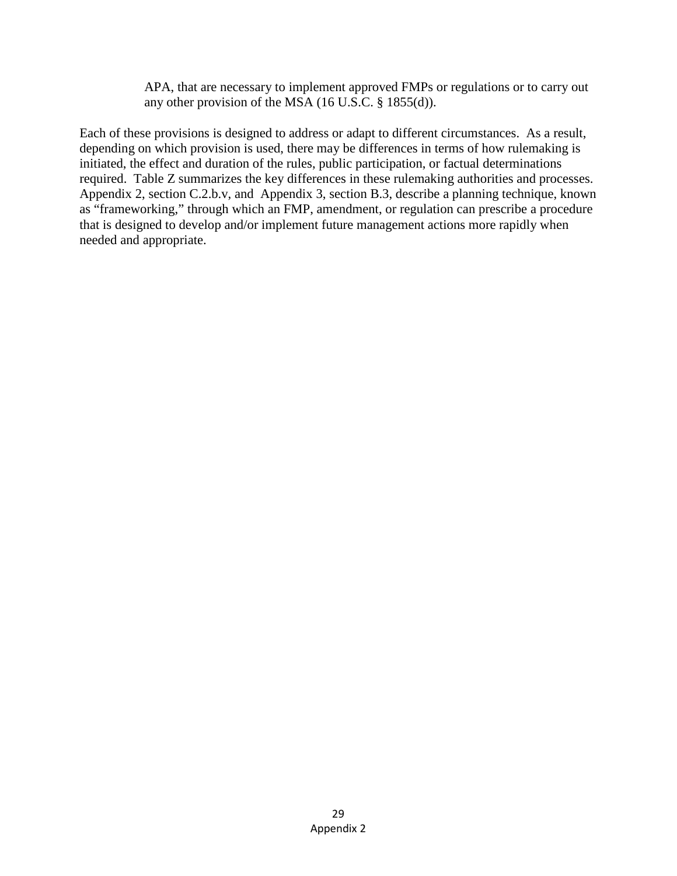APA, that are necessary to implement approved FMPs or regulations or to carry out any other provision of the MSA (16 U.S.C. § 1855(d)).

Each of these provisions is designed to address or adapt to different circumstances. As a result, depending on which provision is used, there may be differences in terms of how rulemaking is initiated, the effect and duration of the rules, public participation, or factual determinations required. Table Z summarizes the key differences in these rulemaking authorities and processes. Appendix 2, section C.2.b.v, and Appendix 3, section B.3, describe a planning technique, known as "frameworking," through which an FMP, amendment, or regulation can prescribe a procedure that is designed to develop and/or implement future management actions more rapidly when needed and appropriate.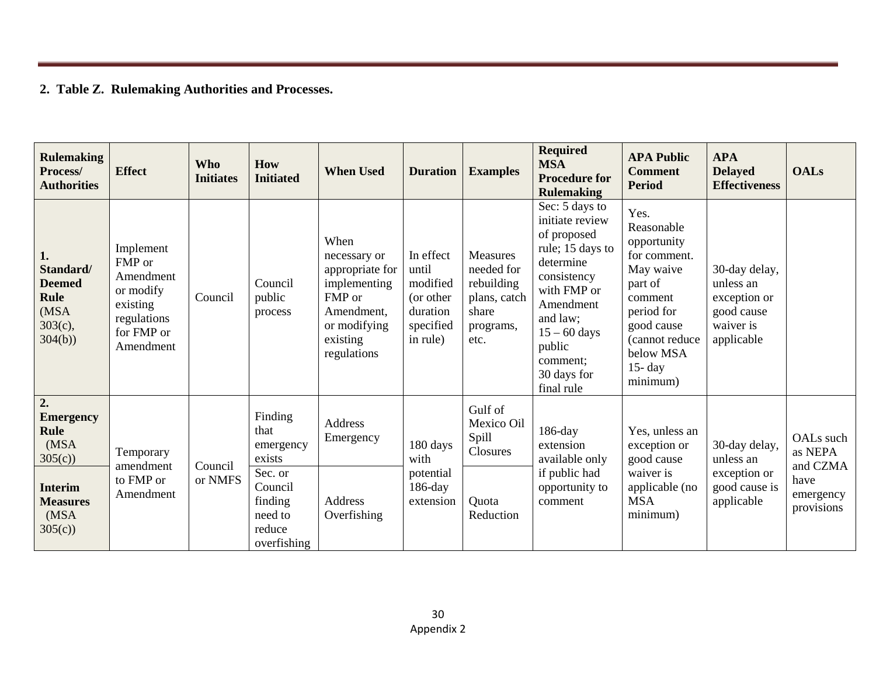### **2. Table Z. Rulemaking Authorities and Processes.**

| <b>Rulemaking</b><br>Process/<br><b>Authorities</b>                             | <b>Effect</b>                                                                                       | <b>Who</b><br><b>Initiates</b> | <b>How</b><br><b>Initiated</b>                                    | <b>When Used</b>                                                                                                           | <b>Duration</b>                                                                  | <b>Examples</b>                                                                    | <b>Required</b><br><b>MSA</b><br><b>Procedure for</b><br><b>Rulemaking</b>                                                                                                                                    | <b>APA Public</b><br><b>Comment</b><br><b>Period</b>                                                                                                                      | <b>APA</b><br><b>Delayed</b><br><b>Effectiveness</b>                                | <b>OALs</b>                      |
|---------------------------------------------------------------------------------|-----------------------------------------------------------------------------------------------------|--------------------------------|-------------------------------------------------------------------|----------------------------------------------------------------------------------------------------------------------------|----------------------------------------------------------------------------------|------------------------------------------------------------------------------------|---------------------------------------------------------------------------------------------------------------------------------------------------------------------------------------------------------------|---------------------------------------------------------------------------------------------------------------------------------------------------------------------------|-------------------------------------------------------------------------------------|----------------------------------|
| 1.<br>Standard/<br><b>Deemed</b><br><b>Rule</b><br>(MSA<br>$303(c)$ ,<br>304(b) | Implement<br>FMP or<br>Amendment<br>or modify<br>existing<br>regulations<br>for FMP or<br>Amendment | Council                        | Council<br>public<br>process                                      | When<br>necessary or<br>appropriate for<br>implementing<br>FMP or<br>Amendment,<br>or modifying<br>existing<br>regulations | In effect<br>until<br>modified<br>(or other<br>duration<br>specified<br>in rule) | Measures<br>needed for<br>rebuilding<br>plans, catch<br>share<br>programs,<br>etc. | Sec: 5 days to<br>initiate review<br>of proposed<br>rule; 15 days to<br>determine<br>consistency<br>with FMP or<br>Amendment<br>and law;<br>$15 - 60$ days<br>public<br>comment;<br>30 days for<br>final rule | Yes.<br>Reasonable<br>opportunity<br>for comment.<br>May waive<br>part of<br>comment<br>period for<br>good cause<br>(cannot reduce<br>below MSA<br>$15 - day$<br>minimum) | 30-day delay,<br>unless an<br>exception or<br>good cause<br>waiver is<br>applicable |                                  |
| 2.<br><b>Emergency</b><br><b>Rule</b><br>(MSA<br>305(c)                         | Temporary<br>amendment                                                                              |                                | Finding<br>that<br>emergency<br>exists                            | Address<br>Emergency                                                                                                       | 180 days<br>with                                                                 | Gulf of<br>Mexico Oil<br>Spill<br>Closures                                         | $186$ -day<br>extension<br>available only                                                                                                                                                                     | Yes, unless an<br>exception or<br>good cause                                                                                                                              | 30-day delay,<br>unless an                                                          | OALs such<br>as NEPA<br>and CZMA |
| <b>Interim</b><br><b>Measures</b><br>(MSA<br>305(c)                             | to FMP or<br>Amendment                                                                              | Council<br>or NMFS             | Sec. or<br>Council<br>finding<br>need to<br>reduce<br>overfishing | Address<br>Overfishing                                                                                                     | potential<br>$186$ -day<br>extension                                             | Quota<br>Reduction                                                                 | if public had<br>opportunity to<br>comment                                                                                                                                                                    | waiver is<br>applicable (no<br><b>MSA</b><br>minimum)                                                                                                                     | exception or<br>good cause is<br>applicable                                         | have<br>emergency<br>provisions  |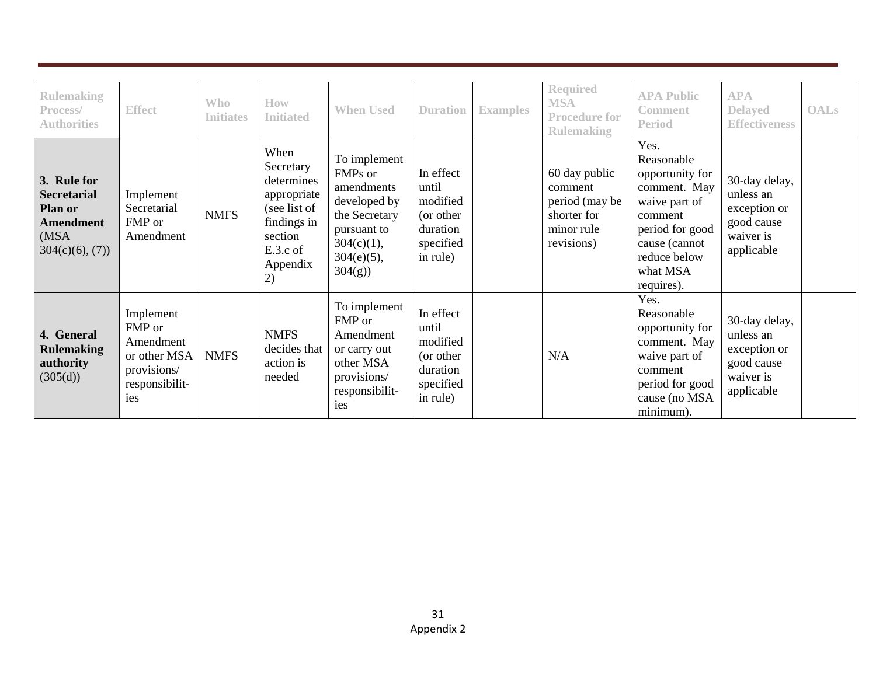| <b>Rulemaking</b><br>Process/<br><b>Authorities</b>                                         | <b>Effect</b>                                                                            | <b>Who</b><br><b>Initiates</b> | How<br><b>Initiated</b>                                                                                                | <b>When Used</b>                                                                                                                  | <b>Duration</b>                                                                  | <b>Examples</b> | <b>Required</b><br><b>MSA</b><br><b>Procedure for</b><br><b>Rulemaking</b>            | <b>APA Public</b><br><b>Comment</b><br><b>Period</b>                                                                                                            | <b>APA</b><br><b>Delayed</b><br><b>Effectiveness</b>                                | <b>OALs</b> |
|---------------------------------------------------------------------------------------------|------------------------------------------------------------------------------------------|--------------------------------|------------------------------------------------------------------------------------------------------------------------|-----------------------------------------------------------------------------------------------------------------------------------|----------------------------------------------------------------------------------|-----------------|---------------------------------------------------------------------------------------|-----------------------------------------------------------------------------------------------------------------------------------------------------------------|-------------------------------------------------------------------------------------|-------------|
| 3. Rule for<br><b>Secretarial</b><br>Plan or<br><b>Amendment</b><br>(MSA)<br>304(c)(6), (7) | Implement<br>Secretarial<br>FMP or<br>Amendment                                          | <b>NMFS</b>                    | When<br>Secretary<br>determines<br>appropriate<br>(see list of<br>findings in<br>section<br>E.3.c of<br>Appendix<br>2) | To implement<br>FMPs or<br>amendments<br>developed by<br>the Secretary<br>pursuant to<br>$304(c)(1)$ ,<br>$304(e)(5)$ ,<br>304(g) | In effect<br>until<br>modified<br>(or other<br>duration<br>specified<br>in rule) |                 | 60 day public<br>comment<br>period (may be<br>shorter for<br>minor rule<br>revisions) | Yes.<br>Reasonable<br>opportunity for<br>comment. May<br>waive part of<br>comment<br>period for good<br>cause (cannot<br>reduce below<br>what MSA<br>requires). | 30-day delay,<br>unless an<br>exception or<br>good cause<br>waiver is<br>applicable |             |
| 4. General<br><b>Rulemaking</b><br>authority<br>(305(d))                                    | Implement<br>FMP or<br>Amendment<br>or other MSA<br>provisions/<br>responsibilit-<br>ies | <b>NMFS</b>                    | <b>NMFS</b><br>decides that<br>action is<br>needed                                                                     | To implement<br>FMP or<br>Amendment<br>or carry out<br>other MSA<br>provisions/<br>responsibilit-<br>ies                          | In effect<br>until<br>modified<br>(or other<br>duration<br>specified<br>in rule) |                 | N/A                                                                                   | Yes.<br>Reasonable<br>opportunity for<br>comment. May<br>waive part of<br>comment<br>period for good<br>cause (no MSA<br>minimum).                              | 30-day delay,<br>unless an<br>exception or<br>good cause<br>waiver is<br>applicable |             |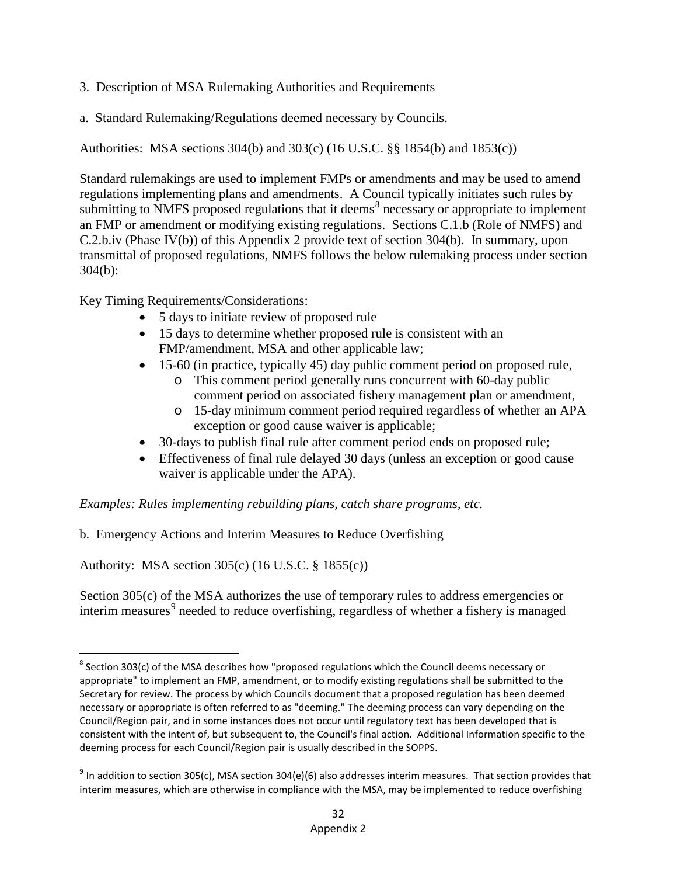- 3. Description of MSA Rulemaking Authorities and Requirements
- a. Standard Rulemaking/Regulations deemed necessary by Councils.

Authorities: MSA sections 304(b) and 303(c) (16 U.S.C. §§ 1854(b) and 1853(c))

Standard rulemakings are used to implement FMPs or amendments and may be used to amend regulations implementing plans and amendments. A Council typically initiates such rules by submitting to NMFS proposed regulations that it deems<sup>[8](#page-50-0)</sup> necessary or appropriate to implement an FMP or amendment or modifying existing regulations. Sections C.1.b (Role of NMFS) and C.2.b.iv (Phase IV(b)) of this Appendix 2 provide text of section 304(b). In summary, upon transmittal of proposed regulations, NMFS follows the below rulemaking process under section 304(b):

Key Timing Requirements/Considerations:

- 5 days to initiate review of proposed rule
- 15 days to determine whether proposed rule is consistent with an FMP/amendment, MSA and other applicable law;
- 15-60 (in practice, typically 45) day public comment period on proposed rule,
	- o This comment period generally runs concurrent with 60-day public comment period on associated fishery management plan or amendment,
	- o 15-day minimum comment period required regardless of whether an APA exception or good cause waiver is applicable;
- 30-days to publish final rule after comment period ends on proposed rule;
- Effectiveness of final rule delayed 30 days (unless an exception or good cause waiver is applicable under the APA).

*Examples: Rules implementing rebuilding plans, catch share programs, etc.*

b. Emergency Actions and Interim Measures to Reduce Overfishing

Authority: MSA section 305(c) (16 U.S.C. § 1855(c))

Section 305(c) of the MSA authorizes the use of temporary rules to address emergencies or interim measures<sup>[9](#page-50-1)</sup> needed to reduce overfishing, regardless of whether a fishery is managed

<span id="page-50-0"></span> $8$  Section 303(c) of the MSA describes how "proposed regulations which the Council deems necessary or appropriate" to implement an FMP, amendment, or to modify existing regulations shall be submitted to the Secretary for review. The process by which Councils document that a proposed regulation has been deemed necessary or appropriate is often referred to as "deeming." The deeming process can vary depending on the Council/Region pair, and in some instances does not occur until regulatory text has been developed that is consistent with the intent of, but subsequent to, the Council's final action. Additional Information specific to the deeming process for each Council/Region pair is usually described in the SOPPS.

<span id="page-50-1"></span> $9$  In addition to section 305(c), MSA section 304(e)(6) also addresses interim measures. That section provides that interim measures, which are otherwise in compliance with the MSA, may be implemented to reduce overfishing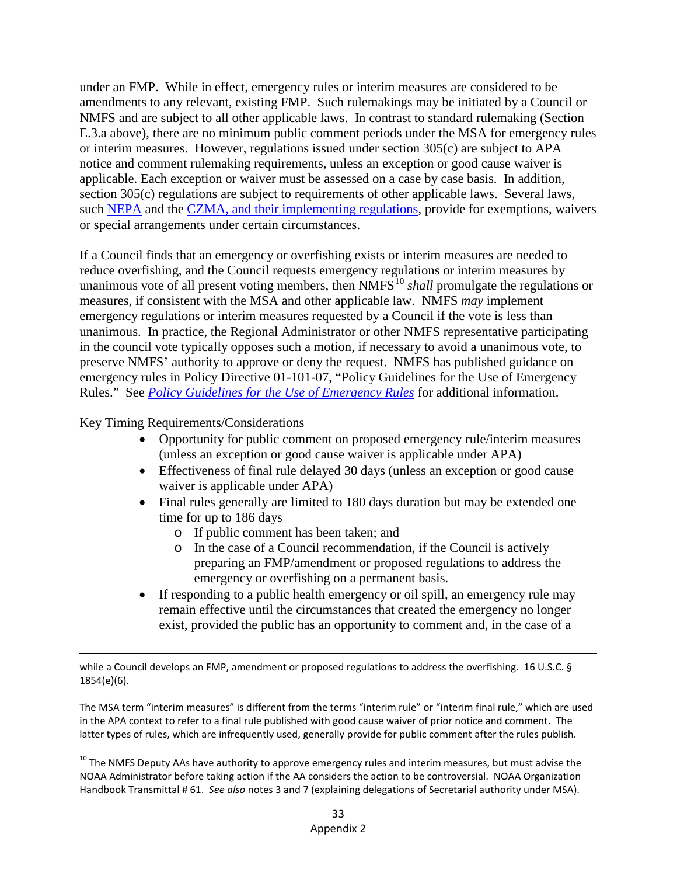under an FMP. While in effect, emergency rules or interim measures are considered to be amendments to any relevant, existing FMP. Such rulemakings may be initiated by a Council or NMFS and are subject to all other applicable laws. In contrast to standard rulemaking (Section E.3.a above), there are no minimum public comment periods under the MSA for emergency rules or interim measures. However, regulations issued under section 305(c) are subject to APA notice and comment rulemaking requirements, unless an exception or good cause waiver is applicable. Each exception or waiver must be assessed on a case by case basis. In addition, section 305(c) regulations are subject to requirements of other applicable laws. Several laws, such [NEPA](https://ceq.doe.gov/nepa_information/alternative_arrangements.html) and the [CZMA,](http://coast.noaa.gov/czm/consistency/media/15CFRPart930_2007.pdf) and their implementing regulations, provide for exemptions, waivers or special arrangements under certain circumstances.

If a Council finds that an emergency or overfishing exists or interim measures are needed to reduce overfishing, and the Council requests emergency regulations or interim measures by unanimous vote of all present voting members, then NMFS<sup>[10](#page-51-0)</sup> *shall* promulgate the regulations or measures, if consistent with the MSA and other applicable law. NMFS *may* implement emergency regulations or interim measures requested by a Council if the vote is less than unanimous. In practice, the Regional Administrator or other NMFS representative participating in the council vote typically opposes such a motion, if necessary to avoid a unanimous vote, to preserve NMFS' authority to approve or deny the request. NMFS has published guidance on emergency rules in Policy Directive 01-101-07, "Policy Guidelines for the Use of Emergency Rules." See *[Policy Guidelines for the Use of Emergency Rules](http://www.nmfs.noaa.gov/op/pds/documents/01/101/01-101-07.pdf)* for additional information.

Key Timing Requirements/Considerations

- Opportunity for public comment on proposed emergency rule/interim measures (unless an exception or good cause waiver is applicable under APA)
- Effectiveness of final rule delayed 30 days (unless an exception or good cause waiver is applicable under APA)
- Final rules generally are limited to 180 days duration but may be extended one time for up to 186 days
	- o If public comment has been taken; and
	- o In the case of a Council recommendation, if the Council is actively preparing an FMP/amendment or proposed regulations to address the emergency or overfishing on a permanent basis.
- If responding to a public health emergency or oil spill, an emergency rule may remain effective until the circumstances that created the emergency no longer exist, provided the public has an opportunity to comment and, in the case of a

l while a Council develops an FMP, amendment or proposed regulations to address the overfishing. 16 U.S.C. § 1854(e)(6).

The MSA term "interim measures" is different from the terms "interim rule" or "interim final rule," which are used in the APA context to refer to a final rule published with good cause waiver of prior notice and comment. The latter types of rules, which are infrequently used, generally provide for public comment after the rules publish.

<span id="page-51-0"></span><sup>10</sup> The NMFS Deputy AAs have authority to approve emergency rules and interim measures, but must advise the NOAA Administrator before taking action if the AA considers the action to be controversial. NOAA Organization Handbook Transmittal # 61. *See also* notes 3 and 7 (explaining delegations of Secretarial authority under MSA).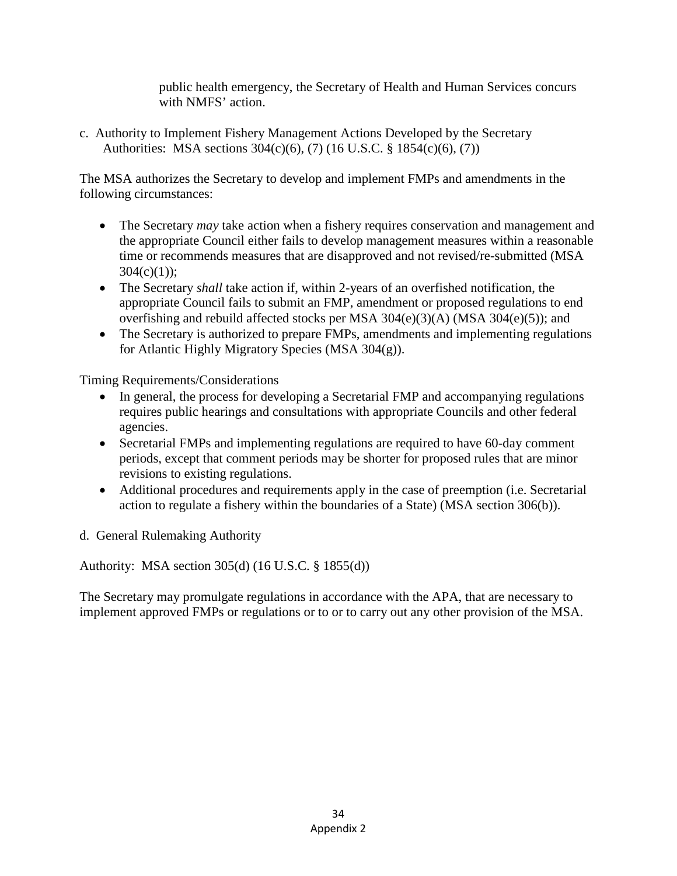public health emergency, the Secretary of Health and Human Services concurs with NMFS' action.

c. Authority to Implement Fishery Management Actions Developed by the Secretary Authorities: MSA sections 304(c)(6), (7) (16 U.S.C. § 1854(c)(6), (7))

The MSA authorizes the Secretary to develop and implement FMPs and amendments in the following circumstances:

- The Secretary *may* take action when a fishery requires conservation and management and the appropriate Council either fails to develop management measures within a reasonable time or recommends measures that are disapproved and not revised/re-submitted (MSA  $304(c)(1)$ ;
- The Secretary *shall* take action if, within 2-years of an overfished notification, the appropriate Council fails to submit an FMP, amendment or proposed regulations to end overfishing and rebuild affected stocks per MSA 304(e)(3)(A) (MSA 304(e)(5)); and
- The Secretary is authorized to prepare FMPs, amendments and implementing regulations for Atlantic Highly Migratory Species (MSA 304(g)).

Timing Requirements/Considerations

- In general, the process for developing a Secretarial FMP and accompanying regulations requires public hearings and consultations with appropriate Councils and other federal agencies.
- Secretarial FMPs and implementing regulations are required to have 60-day comment periods, except that comment periods may be shorter for proposed rules that are minor revisions to existing regulations.
- Additional procedures and requirements apply in the case of preemption (i.e. Secretarial action to regulate a fishery within the boundaries of a State) (MSA section 306(b)).
- d. General Rulemaking Authority

Authority: MSA section 305(d) (16 U.S.C. § 1855(d))

The Secretary may promulgate regulations in accordance with the APA, that are necessary to implement approved FMPs or regulations or to or to carry out any other provision of the MSA.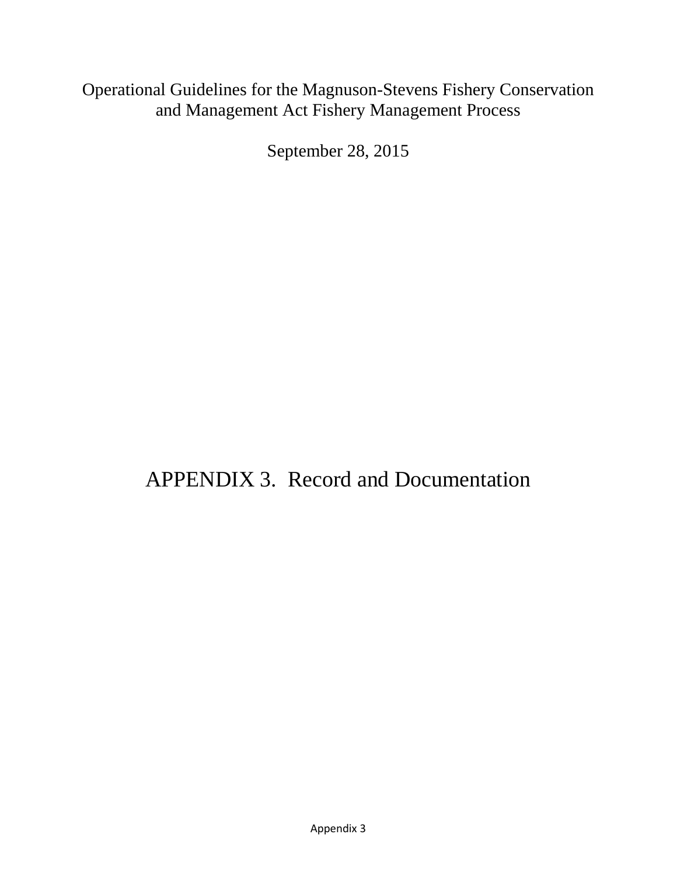### Operational Guidelines for the Magnuson-Stevens Fishery Conservation and Management Act Fishery Management Process

September 28, 2015

# APPENDIX 3. Record and Documentation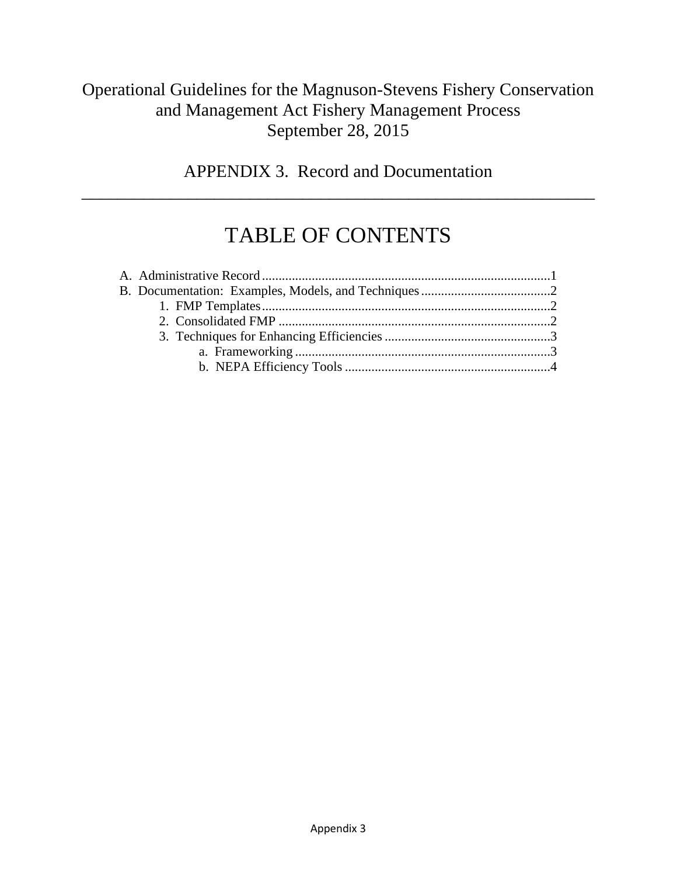### Operational Guidelines for the Magnuson-Stevens Fishery Conservation and Management Act Fishery Management Process September 28, 2015

APPENDIX 3. Record and Documentation

\_\_\_\_\_\_\_\_\_\_\_\_\_\_\_\_\_\_\_\_\_\_\_\_\_\_\_\_\_\_\_\_\_\_\_\_\_\_\_\_\_\_\_\_\_\_\_\_\_\_\_\_\_\_\_\_\_\_

# TABLE OF CONTENTS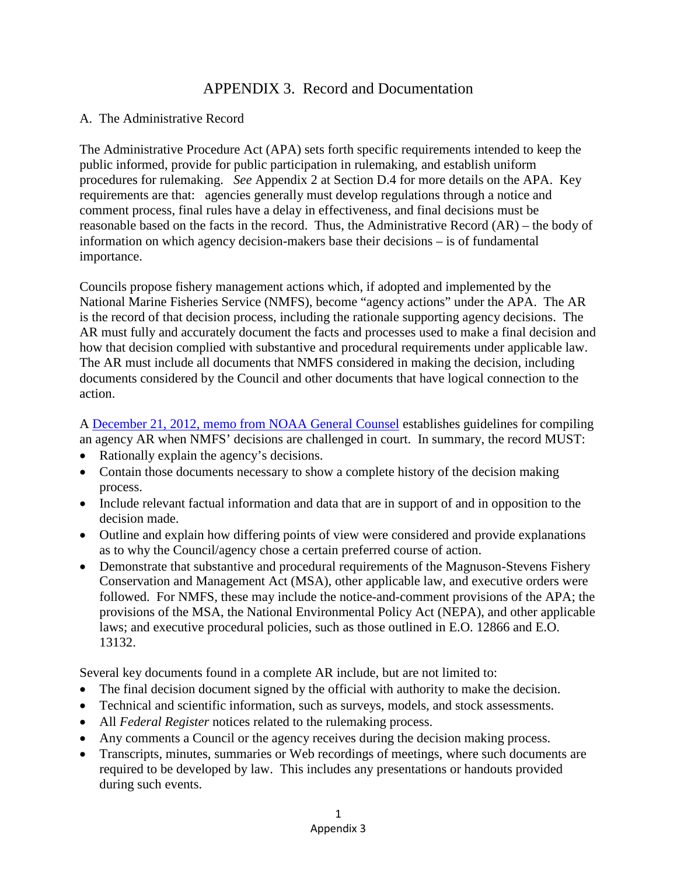#### APPENDIX 3. Record and Documentation

#### A. The Administrative Record

The Administrative Procedure Act (APA) sets forth specific requirements intended to keep the public informed, provide for public participation in rulemaking, and establish uniform procedures for rulemaking. *See* Appendix 2 at Section D.4 for more details on the APA. Key requirements are that: agencies generally must develop regulations through a notice and comment process, final rules have a delay in effectiveness, and final decisions must be reasonable based on the facts in the record. Thus, the Administrative Record (AR) – the body of information on which agency decision-makers base their decisions – is of fundamental importance.

Councils propose fishery management actions which, if adopted and implemented by the National Marine Fisheries Service (NMFS), become "agency actions" under the APA. The AR is the record of that decision process, including the rationale supporting agency decisions. The AR must fully and accurately document the facts and processes used to make a final decision and how that decision complied with substantive and procedural requirements under applicable law. The AR must include all documents that NMFS considered in making the decision, including documents considered by the Council and other documents that have logical connection to the action.

A [December 21, 2012, memo from NOAA General Counsel](http://www.gc.noaa.gov/documents/2012/AR_Guidelines_122112-Final.pdf) establishes guidelines for compiling an agency AR when NMFS' decisions are challenged in court. In summary, the record MUST:

- Rationally explain the agency's decisions.
- Contain those documents necessary to show a complete history of the decision making process.
- Include relevant factual information and data that are in support of and in opposition to the decision made.
- Outline and explain how differing points of view were considered and provide explanations as to why the Council/agency chose a certain preferred course of action.
- Demonstrate that substantive and procedural requirements of the Magnuson-Stevens Fishery Conservation and Management Act (MSA), other applicable law, and executive orders were followed. For NMFS, these may include the notice-and-comment provisions of the APA; the provisions of the MSA, the National Environmental Policy Act (NEPA), and other applicable laws; and executive procedural policies, such as those outlined in E.O. 12866 and E.O. 13132.

Several key documents found in a complete AR include, but are not limited to:

- The final decision document signed by the official with authority to make the decision.
- Technical and scientific information, such as surveys, models, and stock assessments.
- All *Federal Register* notices related to the rulemaking process.
- Any comments a Council or the agency receives during the decision making process.
- Transcripts, minutes, summaries or Web recordings of meetings, where such documents are required to be developed by law. This includes any presentations or handouts provided during such events.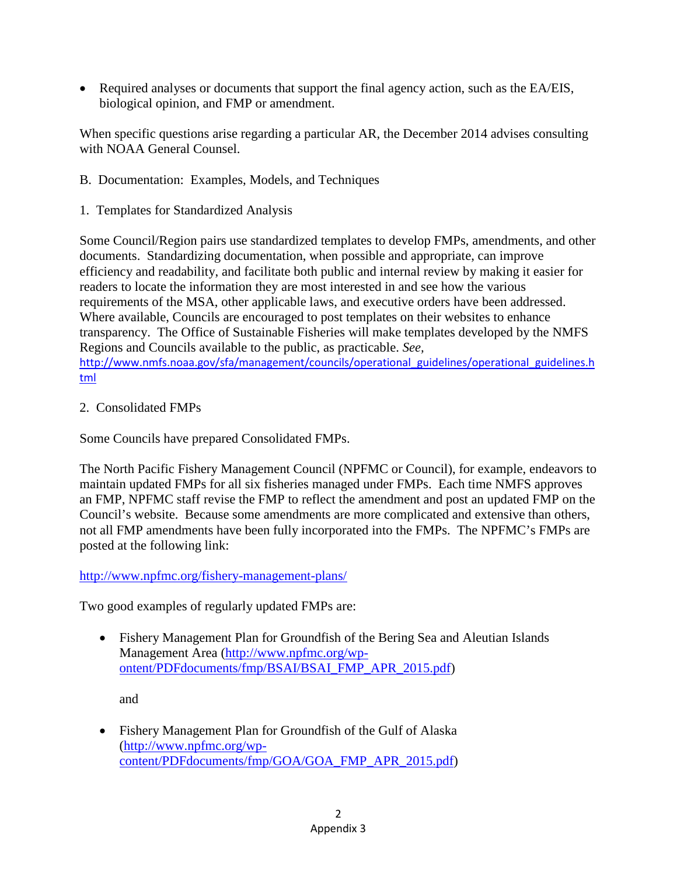• Required analyses or documents that support the final agency action, such as the EA/EIS, biological opinion, and FMP or amendment.

When specific questions arise regarding a particular AR, the December 2014 advises consulting with NOAA General Counsel.

- B. Documentation: Examples, Models, and Techniques
- 1. Templates for Standardized Analysis

Some Council/Region pairs use standardized templates to develop FMPs, amendments, and other documents. Standardizing documentation, when possible and appropriate, can improve efficiency and readability, and facilitate both public and internal review by making it easier for readers to locate the information they are most interested in and see how the various requirements of the MSA, other applicable laws, and executive orders have been addressed. Where available, Councils are encouraged to post templates on their websites to enhance transparency. The Office of Sustainable Fisheries will make templates developed by the NMFS Regions and Councils available to the public, as practicable. *See,*  [http://www.nmfs.noaa.gov/sfa/management/councils/operational\\_guidelines/operational\\_guidelines.h](http://www.nmfs.noaa.gov/sfa/management/councils/operational_guidelines/operational_guidelines.html) [tml](http://www.nmfs.noaa.gov/sfa/management/councils/operational_guidelines/operational_guidelines.html)

2. Consolidated FMPs

Some Councils have prepared Consolidated FMPs.

The North Pacific Fishery Management Council (NPFMC or Council), for example, endeavors to maintain updated FMPs for all six fisheries managed under FMPs. Each time NMFS approves an FMP, NPFMC staff revise the FMP to reflect the amendment and post an updated FMP on the Council's website. Because some amendments are more complicated and extensive than others, not all FMP amendments have been fully incorporated into the FMPs. The NPFMC's FMPs are posted at the following link:

#### <http://www.npfmc.org/fishery-management-plans/>

Two good examples of regularly updated FMPs are:

• Fishery Management Plan for Groundfish of the Bering Sea and Aleutian Islands Management Area [\(http://www.npfmc.org/wp](http://www.npfmc.org/wp-ontent/PDFdocuments/fmp/BSAI/BSAI_FMP_APR_2015.pdf)[ontent/PDFdocuments/fmp/BSAI/BSAI\\_FMP\\_APR\\_2015.pdf\)](http://www.npfmc.org/wp-ontent/PDFdocuments/fmp/BSAI/BSAI_FMP_APR_2015.pdf)

and

• Fishery Management Plan for Groundfish of the Gulf of Alaska [\(http://www.npfmc.org/wp](http://www.npfmc.org/wp-content/PDFdocuments/fmp/GOA/GOA_FMP_APR_2015.pdf)[content/PDFdocuments/fmp/GOA/GOA\\_FMP\\_APR\\_2015.pdf\)](http://www.npfmc.org/wp-content/PDFdocuments/fmp/GOA/GOA_FMP_APR_2015.pdf)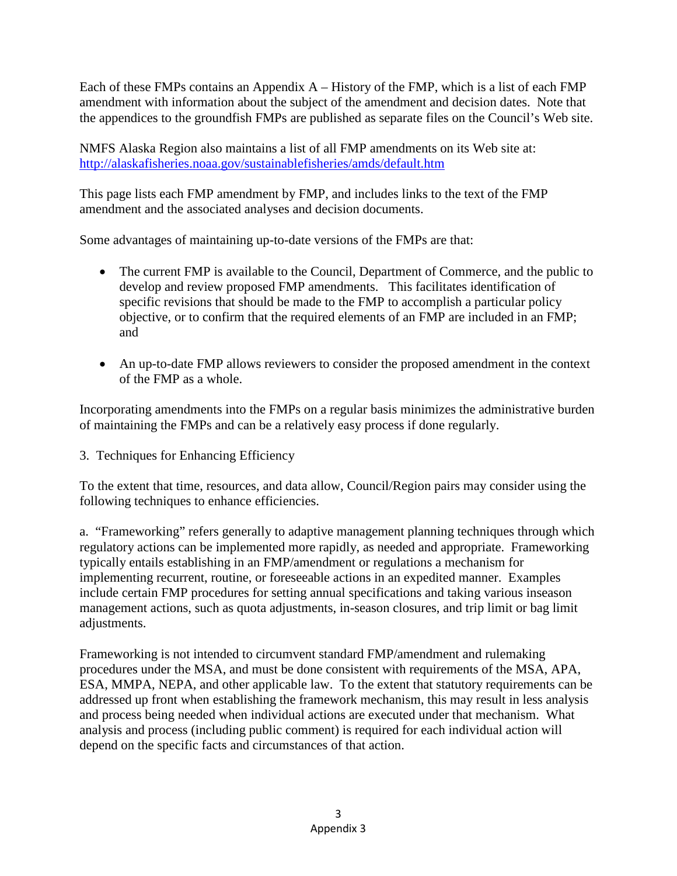Each of these FMPs contains an Appendix  $A$  – History of the FMP, which is a list of each FMP amendment with information about the subject of the amendment and decision dates. Note that the appendices to the groundfish FMPs are published as separate files on the Council's Web site.

NMFS Alaska Region also maintains a list of all FMP amendments on its Web site at: <http://alaskafisheries.noaa.gov/sustainablefisheries/amds/default.htm>

This page lists each FMP amendment by FMP, and includes links to the text of the FMP amendment and the associated analyses and decision documents.

Some advantages of maintaining up-to-date versions of the FMPs are that:

- The current FMP is available to the Council, Department of Commerce, and the public to develop and review proposed FMP amendments. This facilitates identification of specific revisions that should be made to the FMP to accomplish a particular policy objective, or to confirm that the required elements of an FMP are included in an FMP; and
- An up-to-date FMP allows reviewers to consider the proposed amendment in the context of the FMP as a whole.

Incorporating amendments into the FMPs on a regular basis minimizes the administrative burden of maintaining the FMPs and can be a relatively easy process if done regularly.

3. Techniques for Enhancing Efficiency

To the extent that time, resources, and data allow, Council/Region pairs may consider using the following techniques to enhance efficiencies.

a. "Frameworking" refers generally to adaptive management planning techniques through which regulatory actions can be implemented more rapidly, as needed and appropriate. Frameworking typically entails establishing in an FMP/amendment or regulations a mechanism for implementing recurrent, routine, or foreseeable actions in an expedited manner. Examples include certain FMP procedures for setting annual specifications and taking various inseason management actions, such as quota adjustments, in-season closures, and trip limit or bag limit adjustments.

Frameworking is not intended to circumvent standard FMP/amendment and rulemaking procedures under the MSA, and must be done consistent with requirements of the MSA, APA, ESA, MMPA, NEPA, and other applicable law. To the extent that statutory requirements can be addressed up front when establishing the framework mechanism, this may result in less analysis and process being needed when individual actions are executed under that mechanism. What analysis and process (including public comment) is required for each individual action will depend on the specific facts and circumstances of that action.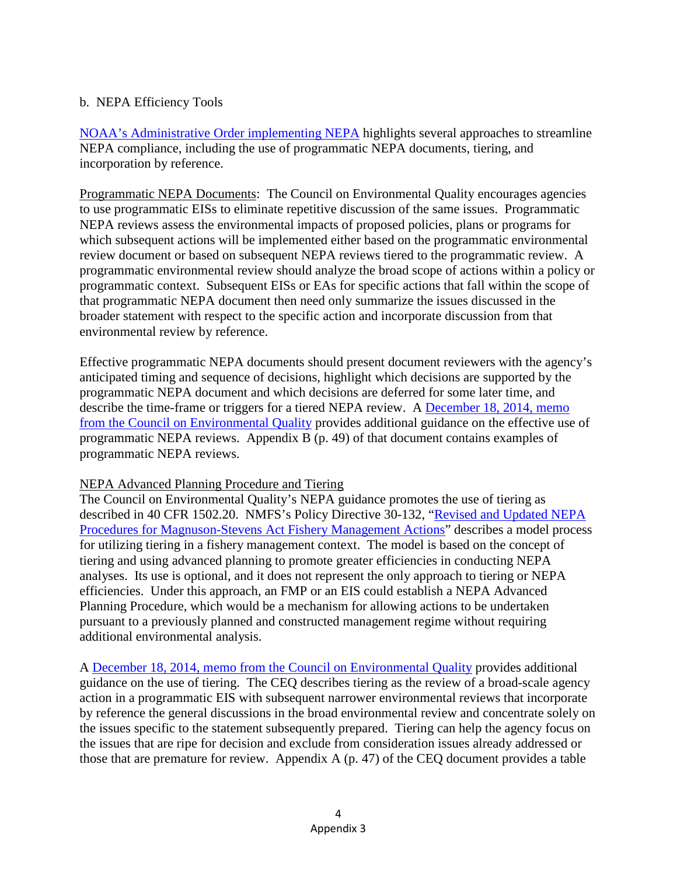#### b. NEPA Efficiency Tools

[NOAA's Administrative Order implementing NEPA](http://www.nepa.noaa.gov/NAO216_6.pdf) highlights several approaches to streamline NEPA compliance, including the use of programmatic NEPA documents, tiering, and incorporation by reference.

Programmatic NEPA Documents: The Council on Environmental Quality encourages agencies to use programmatic EISs to eliminate repetitive discussion of the same issues. Programmatic NEPA reviews assess the environmental impacts of proposed policies, plans or programs for which subsequent actions will be implemented either based on the programmatic environmental review document or based on subsequent NEPA reviews tiered to the programmatic review. A programmatic environmental review should analyze the broad scope of actions within a policy or programmatic context. Subsequent EISs or EAs for specific actions that fall within the scope of that programmatic NEPA document then need only summarize the issues discussed in the broader statement with respect to the specific action and incorporate discussion from that environmental review by reference.

Effective programmatic NEPA documents should present document reviewers with the agency's anticipated timing and sequence of decisions, highlight which decisions are supported by the programmatic NEPA document and which decisions are deferred for some later time, and describe the time-frame or triggers for a tiered NEPA review. A [December 18, 2014,](http://www.whitehouse.gov/sites/default/files/docs/effective_use_of_programmatic_nepa_reviews_final_dec2014_searchable.pdf) memo [from the Council on Environmental Quality](http://www.whitehouse.gov/sites/default/files/docs/effective_use_of_programmatic_nepa_reviews_final_dec2014_searchable.pdf) provides additional guidance on the effective use of programmatic NEPA reviews. Appendix B (p. 49) of that document contains examples of programmatic NEPA reviews.

#### NEPA Advanced Planning Procedure and Tiering

The Council on Environmental Quality's NEPA guidance promotes the use of tiering as described in 40 CFR 1502.20. NMFS's Policy Directive 30-132, ["Revised and Updated NEPA](http://www.nmfs.noaa.gov/op/pds/documents/30/30-132.pdf)  [Procedures for Magnuson-Stevens Act Fishery Management Actions"](http://www.nmfs.noaa.gov/op/pds/documents/30/30-132.pdf) describes a model process for utilizing tiering in a fishery management context. The model is based on the concept of tiering and using advanced planning to promote greater efficiencies in conducting NEPA analyses. Its use is optional, and it does not represent the only approach to tiering or NEPA efficiencies. Under this approach, an FMP or an EIS could establish a NEPA Advanced Planning Procedure, which would be a mechanism for allowing actions to be undertaken pursuant to a previously planned and constructed management regime without requiring additional environmental analysis.

A [December 18, 2014, memo from the Council on Environmental Quality](http://www.whitehouse.gov/sites/default/files/docs/effective_use_of_programmatic_nepa_reviews_final_dec2014_searchable.pdf) provides additional guidance on the use of tiering. The CEQ describes tiering as the review of a broad-scale agency action in a programmatic EIS with subsequent narrower environmental reviews that incorporate by reference the general discussions in the broad environmental review and concentrate solely on the issues specific to the statement subsequently prepared. Tiering can help the agency focus on the issues that are ripe for decision and exclude from consideration issues already addressed or those that are premature for review. Appendix A (p. 47) of the CEQ document provides a table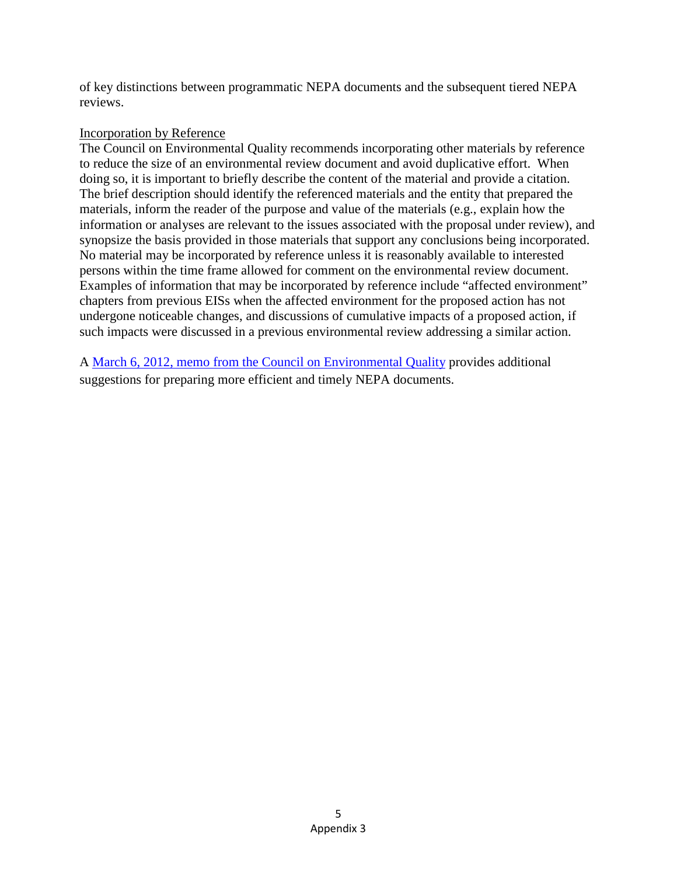of key distinctions between programmatic NEPA documents and the subsequent tiered NEPA reviews.

#### Incorporation by Reference

The Council on Environmental Quality recommends incorporating other materials by reference to reduce the size of an environmental review document and avoid duplicative effort. When doing so, it is important to briefly describe the content of the material and provide a citation. The brief description should identify the referenced materials and the entity that prepared the materials, inform the reader of the purpose and value of the materials (e.g., explain how the information or analyses are relevant to the issues associated with the proposal under review), and synopsize the basis provided in those materials that support any conclusions being incorporated. No material may be incorporated by reference unless it is reasonably available to interested persons within the time frame allowed for comment on the environmental review document. Examples of information that may be incorporated by reference include "affected environment" chapters from previous EISs when the affected environment for the proposed action has not undergone noticeable changes, and discussions of cumulative impacts of a proposed action, if such impacts were discussed in a previous environmental review addressing a similar action.

A [March 6, 2012, memo from the Council on Environmental Quality](https://www.whitehouse.gov/sites/default/files/microsites/ceq/improving_nepa_efficiencies_06mar2012.pdf) provides additional suggestions for preparing more efficient and timely NEPA documents.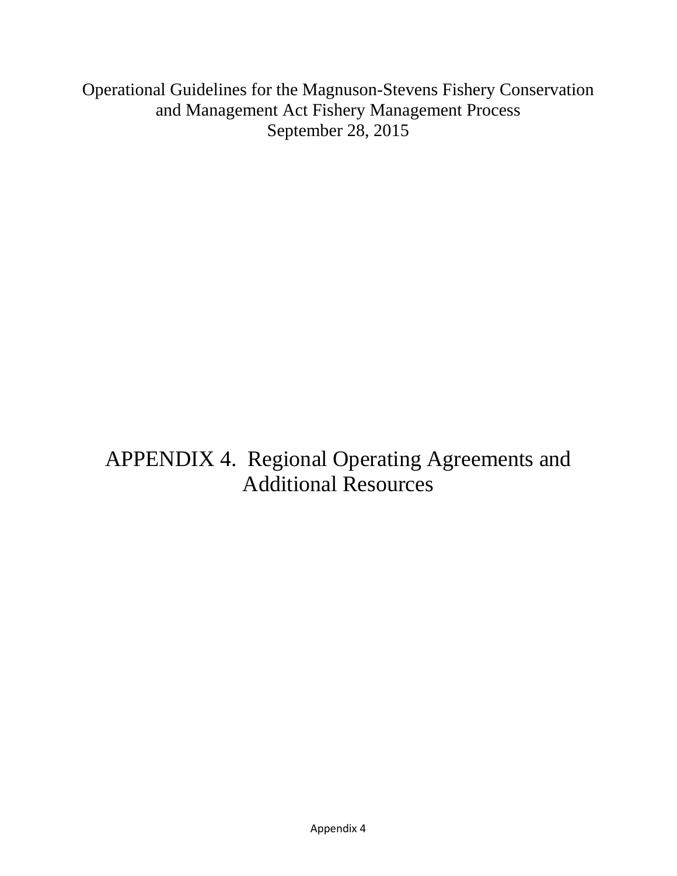Operational Guidelines for the Magnuson-Stevens Fishery Conservation and Management Act Fishery Management Process September 28, 2015

# APPENDIX 4. Regional Operating Agreements and Additional Resources